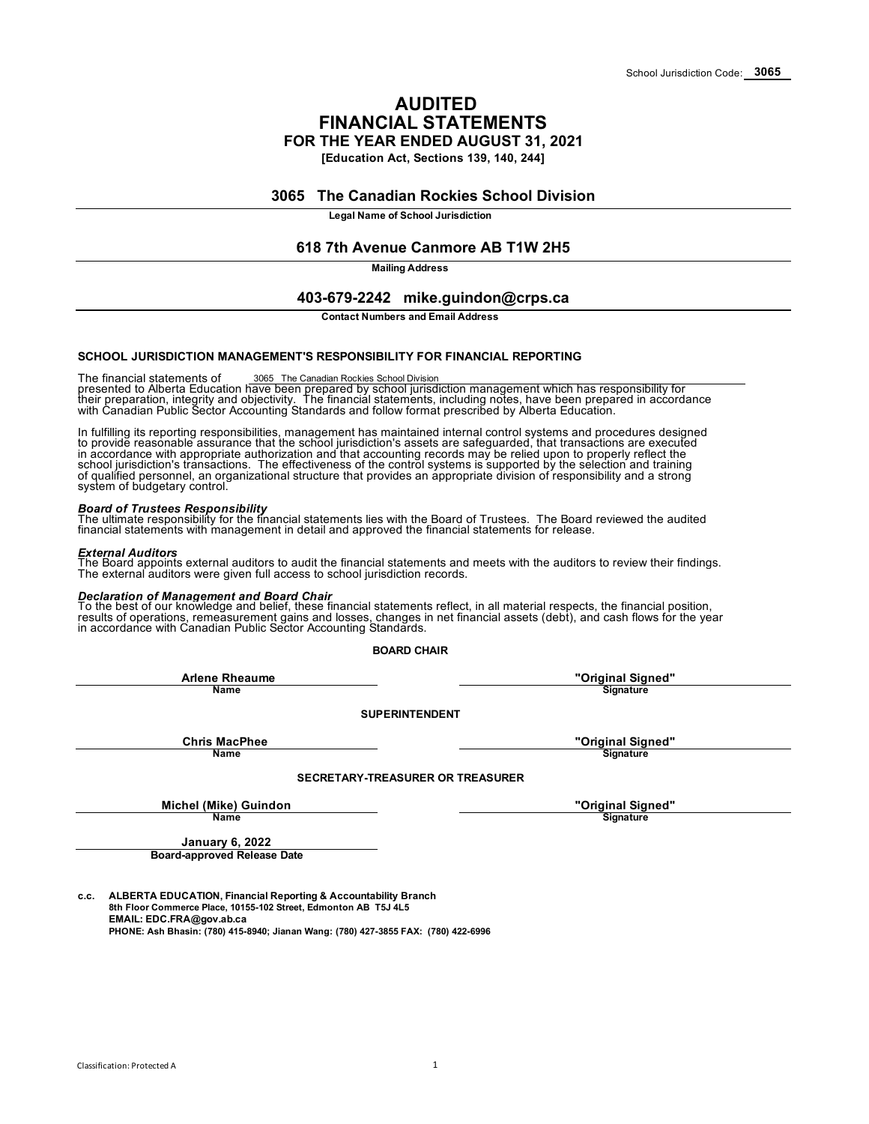# **AUDITED FINANCIAL STATEMENTS**

**FOR THE YEAR ENDED AUGUST 31, 2021**

**[Education Act, Sections 139, 140, 244]**

#### **3065 The Canadian Rockies School Division**

**Legal Name of School Jurisdiction**

#### **618 7th Avenue Canmore AB T1W 2H5**

**Mailing Address**

#### **403-679-2242 mike.guindon@crps.ca**

**Contact Numbers and Email Address**

#### **SCHOOL JURISDICTION MANAGEMENT'S RESPONSIBILITY FOR FINANCIAL REPORTING**

The financial statements of \_\_\_\_<u>\_\_3065\_The Canadian Rockies School Division</u><br>presented to Alberta Education have been prepared by school jurisdiction management which has responsibility for<br>their preparation, integrity an 3065 The Canadian Rockies School Division

school jurisdiction's transactions. The effectiveness of the control systems is supported by the selection and training<br>of qualified personnel, an organizational structure that provides an appropriate division of responsib system of budgetary control. In fulfilling its reporting responsibilities, management has maintained internal control systems and procedures designed<br>to provide reasonable assurance that the school jurisdiction's assets are safeguarded, that transacti

#### *Board of Trustees Responsibility*

The ultimate responsibility for the financial statements lies with the Board of Trustees. The Board reviewed the audited financial statements with management in detail and approved the financial statements for release.

#### *External Auditors*

The Board appoints external auditors to audit the financial statements and meets with the auditors to review their findings. The external auditors were given full access to school jurisdiction records.

*Declaration of Management and Board Chair* To the best of our knowledge and belief, these financial statements reflect, in all material respects, the financial position, results of operations, remeasurement gains and losses, changes in net financial assets (debt), and cash flows for the year<br>in accordance with Canadian Public Sector Accounting Standards.

**BOARD CHAIR**

| <b>Arlene Rheaume</b>                                                                                                                                                                                                                                                  | "Original Signed" |
|------------------------------------------------------------------------------------------------------------------------------------------------------------------------------------------------------------------------------------------------------------------------|-------------------|
| Name                                                                                                                                                                                                                                                                   | <b>Signature</b>  |
| <b>SUPERINTENDENT</b>                                                                                                                                                                                                                                                  |                   |
| <b>Chris MacPhee</b>                                                                                                                                                                                                                                                   | "Original Signed" |
| Name                                                                                                                                                                                                                                                                   | <b>Signature</b>  |
| <b>SECRETARY-TREASURER OR TREASURER</b>                                                                                                                                                                                                                                |                   |
| <b>Michel (Mike) Guindon</b>                                                                                                                                                                                                                                           | "Original Signed" |
| Name                                                                                                                                                                                                                                                                   | <b>Signature</b>  |
| <b>January 6, 2022</b><br><b>Board-approved Release Date</b>                                                                                                                                                                                                           |                   |
| <b>ALBERTA EDUCATION, Financial Reporting &amp; Accountability Branch</b><br>C.C.<br>8th Floor Commerce Place, 10155-102 Street, Edmonton AB T5J 4L5<br>EMAIL: EDC.FRA@gov.ab.ca<br>PHONE: Ash Bhasin: (780) 415-8940; Jianan Wang: (780) 427-3855 FAX: (780) 422-6996 |                   |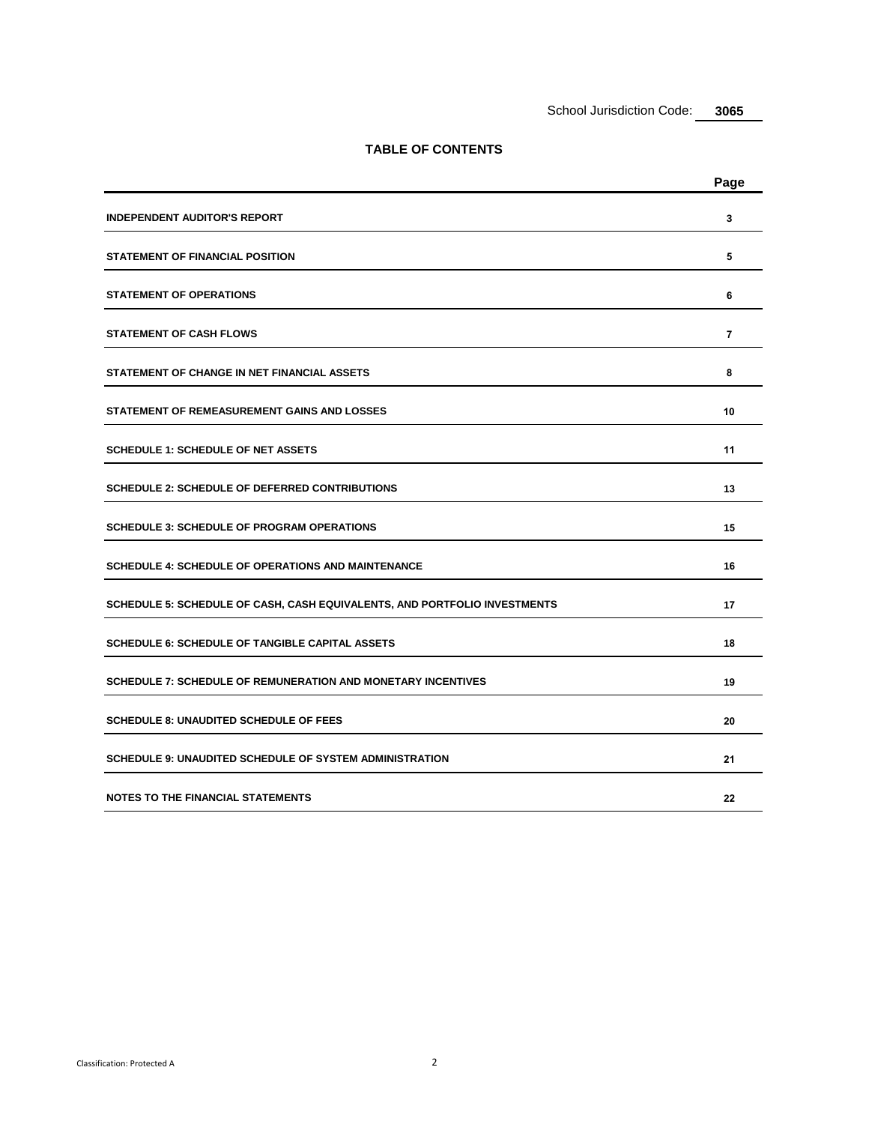# **TABLE OF CONTENTS**

|                                                                           | Page |
|---------------------------------------------------------------------------|------|
| <b>INDEPENDENT AUDITOR'S REPORT</b>                                       | 3    |
| <b>STATEMENT OF FINANCIAL POSITION</b>                                    | 5    |
| <b>STATEMENT OF OPERATIONS</b>                                            | 6    |
| <b>STATEMENT OF CASH FLOWS</b>                                            | 7    |
| STATEMENT OF CHANGE IN NET FINANCIAL ASSETS                               | 8    |
| STATEMENT OF REMEASUREMENT GAINS AND LOSSES                               | 10   |
| <b>SCHEDULE 1: SCHEDULE OF NET ASSETS</b>                                 | 11   |
| <b>SCHEDULE 2: SCHEDULE OF DEFERRED CONTRIBUTIONS</b>                     | 13   |
| <b>SCHEDULE 3: SCHEDULE OF PROGRAM OPERATIONS</b>                         | 15   |
| <b>SCHEDULE 4: SCHEDULE OF OPERATIONS AND MAINTENANCE</b>                 | 16   |
| SCHEDULE 5: SCHEDULE OF CASH, CASH EQUIVALENTS, AND PORTFOLIO INVESTMENTS | 17   |
| <b>SCHEDULE 6: SCHEDULE OF TANGIBLE CAPITAL ASSETS</b>                    | 18   |
| SCHEDULE 7: SCHEDULE OF REMUNERATION AND MONETARY INCENTIVES              | 19   |
| <b>SCHEDULE 8: UNAUDITED SCHEDULE OF FEES</b>                             | 20   |
| SCHEDULE 9: UNAUDITED SCHEDULE OF SYSTEM ADMINISTRATION                   | 21   |
| <b>NOTES TO THE FINANCIAL STATEMENTS</b>                                  | 22   |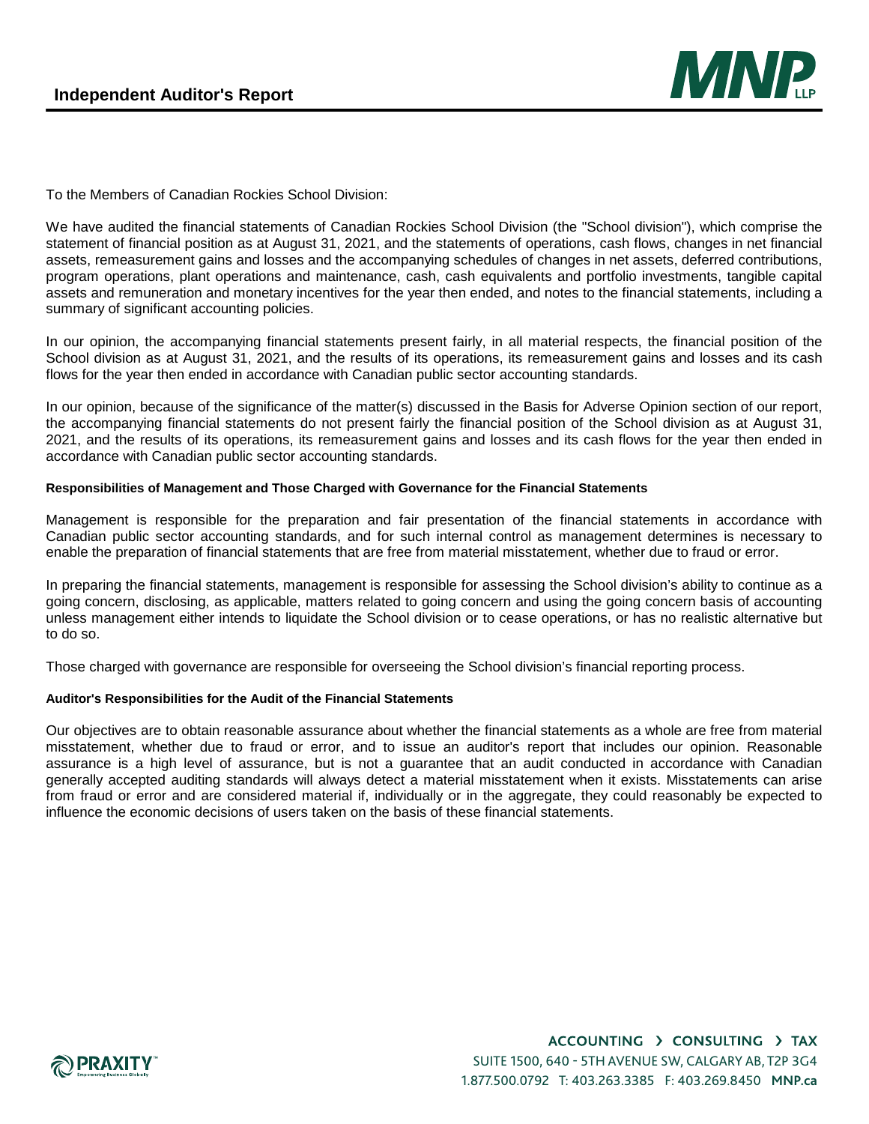

To the Members of Canadian Rockies School Division:

We have audited the financial statements of Canadian Rockies School Division (the "School division"), which comprise the statement of financial position as at August 31, 2021, and the statements of operations, cash flows, changes in net financial assets, remeasurement gains and losses and the accompanying schedules of changes in net assets, deferred contributions, program operations, plant operations and maintenance, cash, cash equivalents and portfolio investments, tangible capital assets and remuneration and monetary incentives for the year then ended, and notes to the financial statements, including a summary of significant accounting policies.

In our opinion, the accompanying financial statements present fairly, in all material respects, the financial position of the School division as at August 31, 2021, and the results of its operations, its remeasurement gains and losses and its cash flows for the year then ended in accordance with Canadian public sector accounting standards.

In our opinion, because of the significance of the matter(s) discussed in the Basis for Adverse Opinion section of our report, the accompanying financial statements do not present fairly the financial position of the School division as at August 31, 2021, and the results of its operations, its remeasurement gains and losses and its cash flows for the year then ended in accordance with Canadian public sector accounting standards.

#### **Responsibilities of Management and Those Charged with Governance for the Financial Statements**

Management is responsible for the preparation and fair presentation of the financial statements in accordance with Canadian public sector accounting standards, and for such internal control as management determines is necessary to enable the preparation of financial statements that are free from material misstatement, whether due to fraud or error.

In preparing the financial statements, management is responsible for assessing the School division's ability to continue as a going concern, disclosing, as applicable, matters related to going concern and using the going concern basis of accounting unless management either intends to liquidate the School division or to cease operations, or has no realistic alternative but to do so.

Those charged with governance are responsible for overseeing the School division's financial reporting process.

#### **Auditor's Responsibilities for the Audit of the Financial Statements**

Our objectives are to obtain reasonable assurance about whether the financial statements as a whole are free from material misstatement, whether due to fraud or error, and to issue an auditor's report that includes our opinion. Reasonable assurance is a high level of assurance, but is not a guarantee that an audit conducted in accordance with Canadian generally accepted auditing standards will always detect a material misstatement when it exists. Misstatements can arise from fraud or error and are considered material if, individually or in the aggregate, they could reasonably be expected to influence the economic decisions of users taken on the basis of these financial statements.

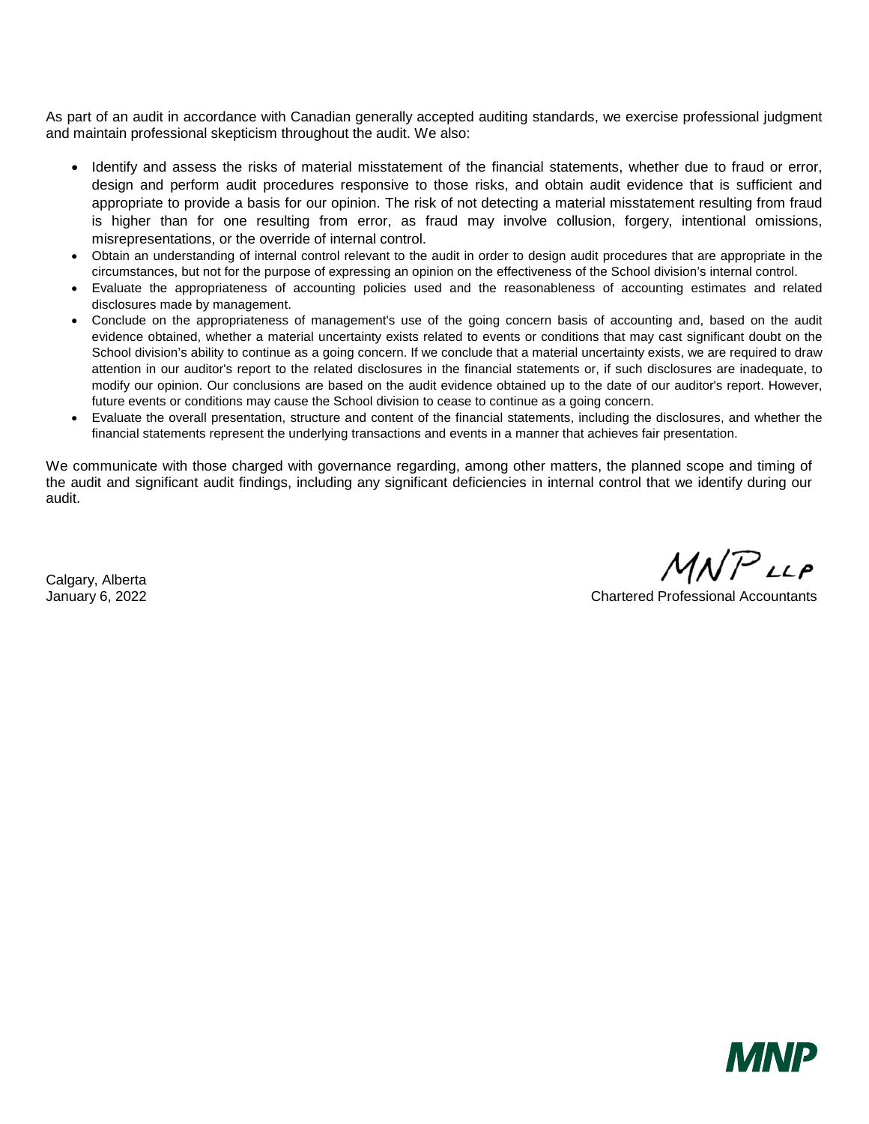As part of an audit in accordance with Canadian generally accepted auditing standards, we exercise professional judgment and maintain professional skepticism throughout the audit. We also:

- Identify and assess the risks of material misstatement of the financial statements, whether due to fraud or error, design and perform audit procedures responsive to those risks, and obtain audit evidence that is sufficient and appropriate to provide a basis for our opinion. The risk of not detecting a material misstatement resulting from fraud is higher than for one resulting from error, as fraud may involve collusion, forgery, intentional omissions, misrepresentations, or the override of internal control.
- Obtain an understanding of internal control relevant to the audit in order to design audit procedures that are appropriate in the circumstances, but not for the purpose of expressing an opinion on the effectiveness of the School division's internal control.
- Evaluate the appropriateness of accounting policies used and the reasonableness of accounting estimates and related disclosures made by management.
- Conclude on the appropriateness of management's use of the going concern basis of accounting and, based on the audit evidence obtained, whether a material uncertainty exists related to events or conditions that may cast significant doubt on the School division's ability to continue as a going concern. If we conclude that a material uncertainty exists, we are required to draw attention in our auditor's report to the related disclosures in the financial statements or, if such disclosures are inadequate, to modify our opinion. Our conclusions are based on the audit evidence obtained up to the date of our auditor's report. However, future events or conditions may cause the School division to cease to continue as a going concern.
- Evaluate the overall presentation, structure and content of the financial statements, including the disclosures, and whether the financial statements represent the underlying transactions and events in a manner that achieves fair presentation.

We communicate with those charged with governance regarding, among other matters, the planned scope and timing of the audit and significant audit findings, including any significant deficiencies in internal control that we identify during our audit.

Calgary, Alberta

 $MNP$ LLP

January 6, 2022 Chartered Professional Accountants

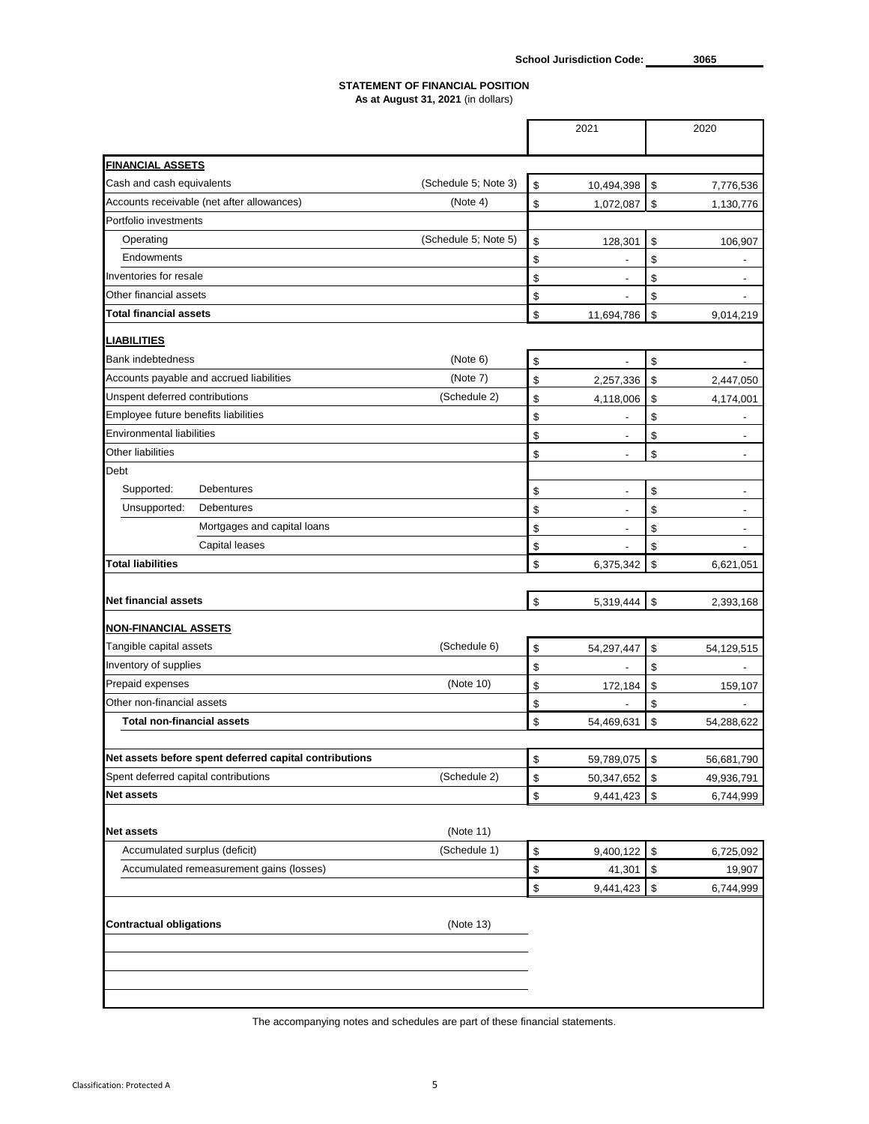**As at August 31, 2021** (in dollars)

|                                                        |                      | 2021                                      | 2020                                   |
|--------------------------------------------------------|----------------------|-------------------------------------------|----------------------------------------|
|                                                        |                      |                                           |                                        |
| <b>FINANCIAL ASSETS</b>                                |                      |                                           |                                        |
| Cash and cash equivalents                              | (Schedule 5; Note 3) | \$<br>10,494,398                          | \$<br>7,776,536                        |
| Accounts receivable (net after allowances)             | (Note 4)             | $\sqrt[6]{\frac{1}{2}}$<br>1,072,087      | \$<br>1,130,776                        |
| Portfolio investments                                  |                      |                                           |                                        |
| Operating                                              | (Schedule 5; Note 5) | \$<br>128,301                             | \$<br>106,907                          |
| Endowments                                             |                      | $\boldsymbol{\mathsf{S}}$                 | \$                                     |
| Inventories for resale                                 |                      | \$<br>$\qquad \qquad \blacksquare$        | \$<br>$\overline{\phantom{a}}$         |
| Other financial assets                                 |                      | \$<br>$\overline{\phantom{a}}$            | \$<br>$\blacksquare$                   |
| <b>Total financial assets</b>                          |                      | \$<br>11,694,786                          | \$<br>9,014,219                        |
| <b>LIABILITIES</b>                                     |                      |                                           |                                        |
| <b>Bank indebtedness</b>                               | (Note 6)             | \$                                        | \$                                     |
| Accounts payable and accrued liabilities               | (Note 7)             | \$<br>2,257,336                           | \$<br>2,447,050                        |
| Unspent deferred contributions                         | (Schedule 2)         | \$<br>4,118,006                           | \$<br>4,174,001                        |
| Employee future benefits liabilities                   |                      | \$<br>÷,                                  | \$                                     |
| <b>Environmental liabilities</b>                       |                      | \$<br>$\overline{\phantom{a}}$            | \$<br>$\blacksquare$                   |
| Other liabilities                                      |                      | \$                                        | \$<br>$\overline{\phantom{a}}$         |
| Debt                                                   |                      |                                           |                                        |
| Supported:<br>Debentures                               |                      | \$<br>$\overline{\phantom{a}}$            | \$<br>$\overline{\phantom{a}}$         |
| Unsupported:<br>Debentures                             |                      | \$<br>$\overline{\phantom{a}}$            | \$<br>$\overline{\phantom{m}}$         |
| Mortgages and capital loans                            |                      | \$<br>$\overline{a}$                      | \$<br>$\overline{\phantom{a}}$         |
| Capital leases                                         |                      | \$                                        | \$                                     |
| <b>Total liabilities</b>                               |                      | \$<br>6,375,342                           | \$<br>6,621,051                        |
|                                                        |                      |                                           |                                        |
| <b>Net financial assets</b>                            |                      | $\,$<br>5,319,444                         | \$<br>2,393,168                        |
|                                                        |                      |                                           |                                        |
| <b>NON-FINANCIAL ASSETS</b>                            |                      |                                           |                                        |
| Tangible capital assets                                | (Schedule 6)         | \$<br>54,297,447                          | \$<br>54,129,515                       |
| Inventory of supplies                                  |                      | $\frac{1}{2}$<br>$\overline{\phantom{a}}$ | \$                                     |
| Prepaid expenses                                       | (Note 10)            | \$<br>172,184                             | \$<br>159,107                          |
| Other non-financial assets                             |                      | \$                                        | \$                                     |
| <b>Total non-financial assets</b>                      |                      | \$<br>54,469,631                          | \$<br>54,288,622                       |
|                                                        |                      |                                           |                                        |
| Net assets before spent deferred capital contributions |                      | \$<br>59,789,075                          | \$<br>56,681,790                       |
| Spent deferred capital contributions                   | (Schedule 2)         | \$<br>50,347,652                          | \$<br>49,936,791                       |
| <b>Net assets</b>                                      |                      | $\,$<br>9,441,423                         | \$<br>6,744,999                        |
| <b>Net assets</b>                                      | (Note 11)            |                                           |                                        |
| Accumulated surplus (deficit)                          | (Schedule 1)         |                                           |                                        |
| Accumulated remeasurement gains (losses)               |                      | $\,$<br>9,400,122                         | $\boldsymbol{\mathsf{S}}$<br>6,725,092 |
|                                                        |                      | $\,$<br>41,301<br>$\,$<br>9,441,423       | \$<br>19,907<br>\$<br>6,744,999        |
|                                                        |                      |                                           |                                        |
| <b>Contractual obligations</b>                         | (Note 13)            |                                           |                                        |
|                                                        |                      |                                           |                                        |
|                                                        |                      |                                           |                                        |
|                                                        |                      |                                           |                                        |
|                                                        |                      |                                           |                                        |
|                                                        |                      |                                           |                                        |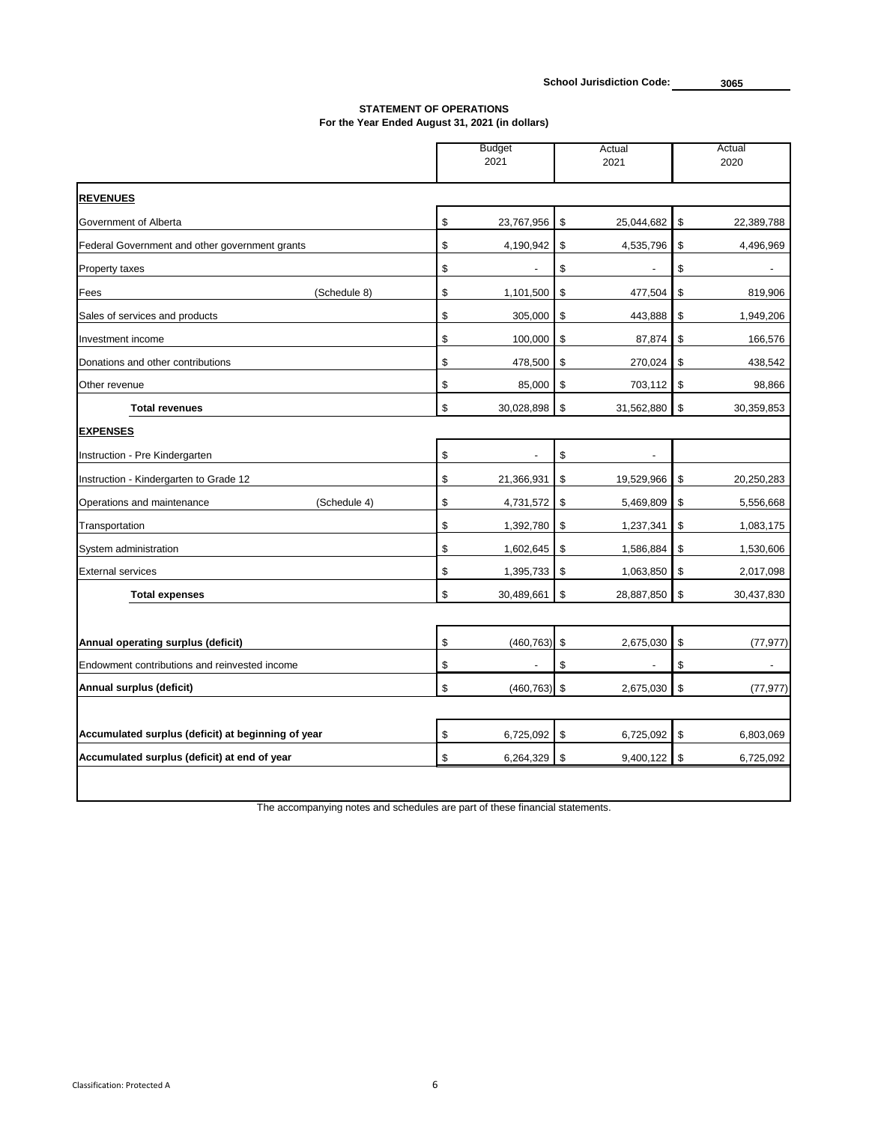School Jurisdiction Code: 3065

# **STATEMENT OF OPERATIONS**

**For the Year Ended August 31, 2021 (in dollars)**

|                                                    | <b>Budget</b><br>2021 | Actual<br>2021   |               | Actual<br>2020 |
|----------------------------------------------------|-----------------------|------------------|---------------|----------------|
| <b>REVENUES</b>                                    |                       |                  |               |                |
| Government of Alberta                              | \$<br>23,767,956      | \$<br>25,044,682 | \$            | 22,389,788     |
| Federal Government and other government grants     | \$<br>4,190,942       | \$<br>4,535,796  | \$            | 4,496,969      |
| Property taxes                                     | \$                    | \$               | \$            |                |
| (Schedule 8)<br>Fees                               | \$<br>1,101,500       | \$<br>477,504    | \$            | 819,906        |
| Sales of services and products                     | \$<br>305,000         | \$<br>443,888    | \$            | 1,949,206      |
| Investment income                                  | \$<br>100,000         | \$<br>87,874     | \$            | 166,576        |
| Donations and other contributions                  | \$<br>478,500         | \$<br>270,024    | \$            | 438,542        |
| Other revenue                                      | \$<br>85,000          | \$<br>703,112    | \$            | 98,866         |
| <b>Total revenues</b>                              | \$<br>30,028,898      | \$<br>31,562,880 | $\mathbf{\$}$ | 30,359,853     |
| <b>EXPENSES</b>                                    |                       |                  |               |                |
| Instruction - Pre Kindergarten                     | \$                    | \$               |               |                |
| Instruction - Kindergarten to Grade 12             | \$<br>21,366,931      | \$<br>19,529,966 | \$            | 20,250,283     |
| Operations and maintenance<br>(Schedule 4)         | \$<br>4,731,572       | \$<br>5,469,809  | \$            | 5,556,668      |
| Transportation                                     | \$<br>1,392,780       | \$<br>1,237,341  | \$            | 1,083,175      |
| System administration                              | \$<br>1,602,645       | \$<br>1,586,884  | \$            | 1,530,606      |
| External services                                  | \$<br>1,395,733       | \$<br>1,063,850  | \$            | 2,017,098      |
| <b>Total expenses</b>                              | \$<br>30,489,661      | \$<br>28,887,850 | \$            | 30,437,830     |
|                                                    |                       |                  |               |                |
| Annual operating surplus (deficit)                 | \$<br>(460, 763)      | \$<br>2,675,030  | \$            | (77, 977)      |
| Endowment contributions and reinvested income      | \$                    | \$               | \$            |                |
| Annual surplus (deficit)                           | \$<br>(460, 763)      | \$<br>2,675,030  | \$            | (77, 977)      |
|                                                    |                       |                  |               |                |
| Accumulated surplus (deficit) at beginning of year | \$<br>6,725,092       | \$<br>6,725,092  | \$            | 6,803,069      |
| Accumulated surplus (deficit) at end of year       | \$<br>6,264,329       | \$<br>9,400,122  | \$            | 6,725,092      |
|                                                    |                       |                  |               |                |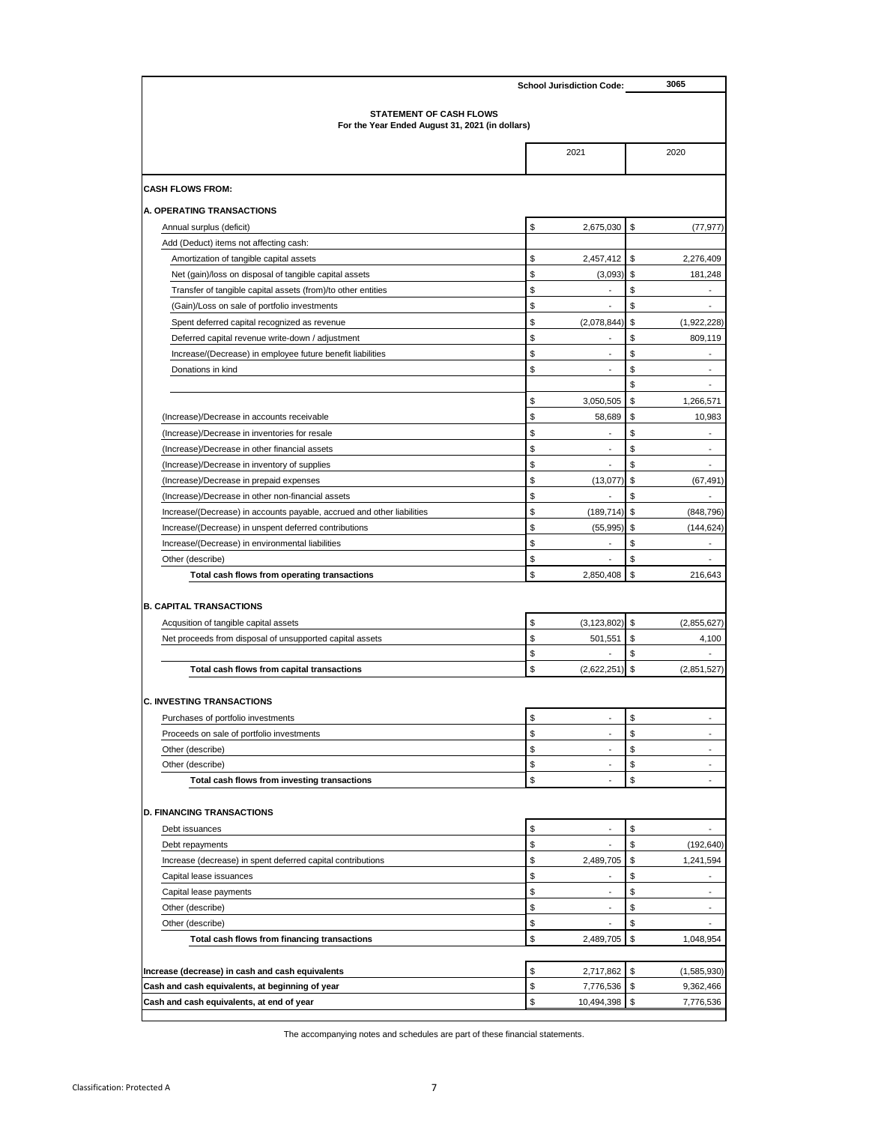|                                                                                                     |          | <b>School Jurisdiction Code:</b>           | 3065                                                                            |
|-----------------------------------------------------------------------------------------------------|----------|--------------------------------------------|---------------------------------------------------------------------------------|
| <b>STATEMENT OF CASH FLOWS</b><br>For the Year Ended August 31, 2021 (in dollars)                   |          |                                            |                                                                                 |
|                                                                                                     |          |                                            |                                                                                 |
|                                                                                                     |          | 2021                                       | 2020                                                                            |
| <b>CASH FLOWS FROM:</b>                                                                             |          |                                            |                                                                                 |
| A. OPERATING TRANSACTIONS                                                                           |          |                                            |                                                                                 |
| Annual surplus (deficit)                                                                            | \$       | 2,675,030                                  | \$<br>(77, 977)                                                                 |
| Add (Deduct) items not affecting cash:                                                              |          |                                            |                                                                                 |
| Amortization of tangible capital assets                                                             | \$       | 2,457,412                                  | \$<br>2,276,409                                                                 |
| Net (gain)/loss on disposal of tangible capital assets                                              | \$       | (3.093)                                    | \$<br>181,248                                                                   |
| Transfer of tangible capital assets (from)/to other entities                                        | \$       | $\overline{\phantom{a}}$                   | \$<br>$\overline{\phantom{a}}$                                                  |
| (Gain)/Loss on sale of portfolio investments                                                        | \$       | $\overline{a}$                             | \$<br>$\overline{\phantom{a}}$                                                  |
| Spent deferred capital recognized as revenue                                                        | \$       | (2,078,844)                                | \$<br>(1,922,228)                                                               |
| Deferred capital revenue write-down / adjustment                                                    | \$       | $\blacksquare$                             | \$<br>809,119                                                                   |
| Increase/(Decrease) in employee future benefit liabilities                                          | \$       |                                            | \$                                                                              |
| Donations in kind                                                                                   | \$       |                                            | \$<br>$\overline{a}$                                                            |
|                                                                                                     |          |                                            | \$<br>$\blacksquare$                                                            |
|                                                                                                     | \$       | 3,050,505                                  | \$<br>1,266,571                                                                 |
| (Increase)/Decrease in accounts receivable                                                          | \$       | 58,689                                     | \$<br>10,983                                                                    |
| (Increase)/Decrease in inventories for resale                                                       | \$       | $\overline{a}$                             | \$<br>$\overline{a}$                                                            |
| (Increase)/Decrease in other financial assets                                                       | \$       | $\blacksquare$                             | \$<br>$\blacksquare$                                                            |
| (Increase)/Decrease in inventory of supplies                                                        | \$       |                                            | \$<br>$\overline{\phantom{a}}$                                                  |
| (Increase)/Decrease in prepaid expenses                                                             | \$       | (13,077)                                   | \$<br>(67, 491)                                                                 |
| (Increase)/Decrease in other non-financial assets                                                   | \$       | $\overline{a}$                             | \$<br>$\overline{a}$                                                            |
| Increase/(Decrease) in accounts payable, accrued and other liabilities                              | \$       | (189, 714)                                 | \$<br>(848, 796)                                                                |
| Increase/(Decrease) in unspent deferred contributions                                               | \$       | (55,995)                                   | \$<br>(144, 624)                                                                |
| Increase/(Decrease) in environmental liabilities                                                    | \$       | $\overline{a}$                             | \$<br>$\overline{a}$                                                            |
| Other (describe)                                                                                    | \$       | $\overline{a}$                             | \$<br>$\blacksquare$                                                            |
| Total cash flows from operating transactions                                                        | \$       | 2,850,408                                  | \$<br>216,643                                                                   |
| <b>B. CAPITAL TRANSACTIONS</b>                                                                      |          |                                            |                                                                                 |
| Acqusition of tangible capital assets                                                               | \$       | (3, 123, 802)                              | \$<br>(2,855,627)                                                               |
| Net proceeds from disposal of unsupported capital assets                                            | \$       | 501,551 \$                                 | 4,100                                                                           |
|                                                                                                     | \$       |                                            | \$                                                                              |
|                                                                                                     |          |                                            |                                                                                 |
| Total cash flows from capital transactions                                                          | \$       | (2,622,251)                                | \$                                                                              |
|                                                                                                     |          |                                            |                                                                                 |
| <b>C. INVESTING TRANSACTIONS</b>                                                                    |          |                                            |                                                                                 |
| Purchases of portfolio investments                                                                  | \$       | $\overline{a}$                             | \$                                                                              |
| Proceeds on sale of portfolio investments                                                           | \$       | $\overline{\phantom{a}}$                   | \$<br>$\blacksquare$                                                            |
| Other (describe)                                                                                    | \$       |                                            | \$                                                                              |
| Other (describe)                                                                                    | \$       | $\overline{a}$<br>$\overline{\phantom{a}}$ | \$<br>$\overline{\phantom{a}}$<br>$\blacksquare$                                |
| Total cash flows from investing transactions                                                        | \$       |                                            | \$                                                                              |
| <b>D. FINANCING TRANSACTIONS</b>                                                                    |          |                                            |                                                                                 |
| Debt issuances                                                                                      | \$       |                                            | \$                                                                              |
| Debt repayments                                                                                     | \$       | $\overline{a}$                             | \$                                                                              |
| Increase (decrease) in spent deferred capital contributions                                         | \$       | 2,489,705                                  | \$                                                                              |
| Capital lease issuances                                                                             | \$       |                                            | \$<br>$\overline{a}$                                                            |
| Capital lease payments                                                                              | \$       | $\overline{\phantom{a}}$                   | \$<br>$\overline{\phantom{a}}$                                                  |
| Other (describe)                                                                                    | \$       | $\overline{\phantom{a}}$                   | \$<br>$\overline{\phantom{a}}$                                                  |
| Other (describe)                                                                                    | \$       |                                            | \$<br>$\overline{a}$                                                            |
| Total cash flows from financing transactions                                                        | \$       | 2,489,705                                  | \$                                                                              |
|                                                                                                     |          |                                            |                                                                                 |
| Increase (decrease) in cash and cash equivalents<br>Cash and cash equivalents, at beginning of year | \$<br>\$ | 2,717,862 \$<br>7,776,536 \$               | (2,851,527)<br>(192, 640)<br>1,241,594<br>1,048,954<br>(1,585,930)<br>9,362,466 |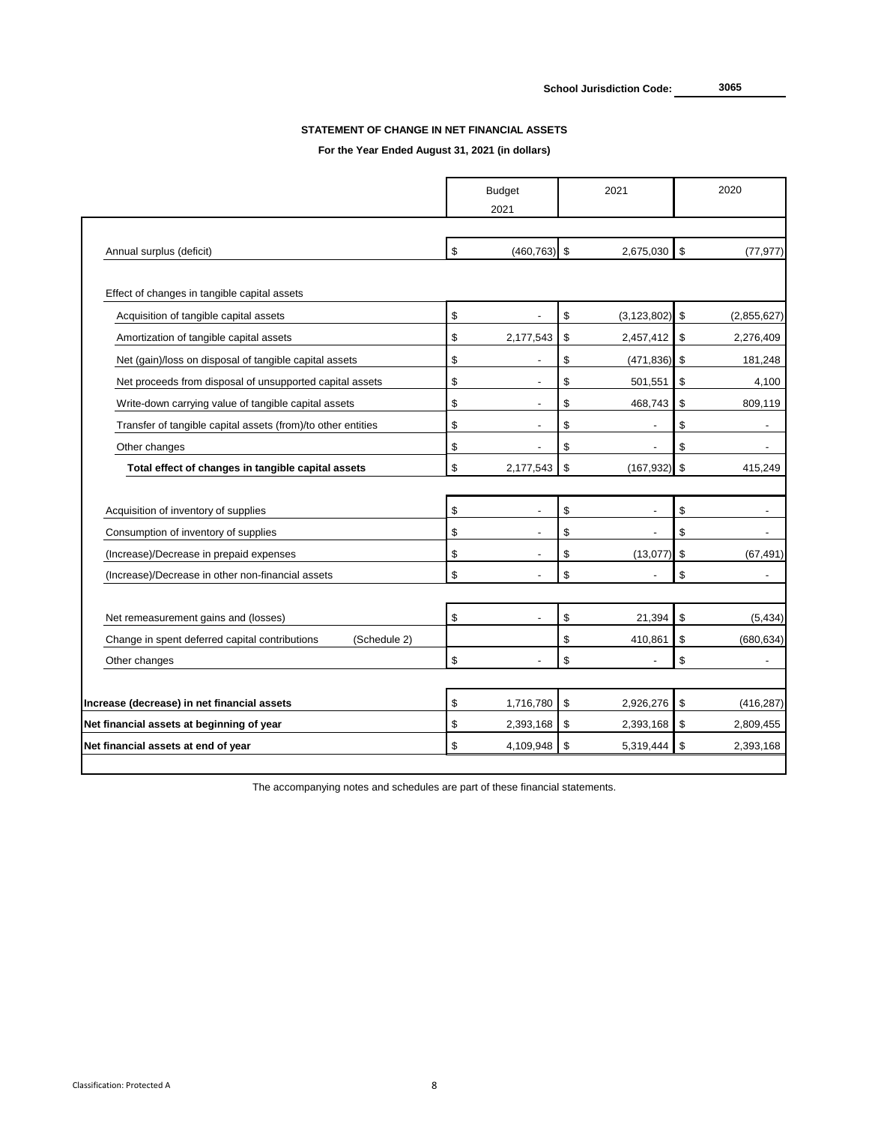**3065**

#### **STATEMENT OF CHANGE IN NET FINANCIAL ASSETS**

#### **For the Year Ended August 31, 2021 (in dollars)**

|                                                                | <b>Budget</b><br>2021 | 2021                           | 2020                           |
|----------------------------------------------------------------|-----------------------|--------------------------------|--------------------------------|
|                                                                |                       |                                |                                |
| Annual surplus (deficit)                                       | \$<br>(460, 763)      | <sup>\$</sup><br>2,675,030     | \$<br>(77, 977)                |
|                                                                |                       |                                |                                |
| Effect of changes in tangible capital assets                   |                       |                                |                                |
| Acquisition of tangible capital assets                         | \$                    | \$<br>(3, 123, 802)            | \$<br>(2,855,627)              |
| Amortization of tangible capital assets                        | \$<br>2,177,543       | \$<br>2,457,412                | \$<br>2,276,409                |
| Net (gain)/loss on disposal of tangible capital assets         | \$<br>$\overline{a}$  | \$<br>$(471, 836)$ \$          | 181,248                        |
| Net proceeds from disposal of unsupported capital assets       | \$                    | \$<br>501,551                  | \$<br>4,100                    |
| Write-down carrying value of tangible capital assets           | \$                    | \$<br>468,743                  | \$<br>809,119                  |
| Transfer of tangible capital assets (from)/to other entities   | \$<br>$\overline{a}$  | \$<br>$\overline{\phantom{a}}$ | \$<br>$\overline{\phantom{a}}$ |
| Other changes                                                  | \$                    | \$                             | \$<br>-                        |
| Total effect of changes in tangible capital assets             | \$<br>2,177,543       | \$<br>(167, 932)               | \$<br>415,249                  |
|                                                                |                       |                                |                                |
| Acquisition of inventory of supplies                           | \$<br>L,              | \$<br>÷,                       | \$                             |
| Consumption of inventory of supplies                           | \$<br>$\overline{a}$  | \$                             | \$                             |
| (Increase)/Decrease in prepaid expenses                        | \$                    | \$<br>(13,077)                 | \$<br>(67, 491)                |
| (Increase)/Decrease in other non-financial assets              | \$                    | \$                             | \$                             |
|                                                                |                       |                                |                                |
| Net remeasurement gains and (losses)                           | \$<br>$\overline{a}$  | \$<br>21,394                   | \$<br>(5, 434)                 |
| Change in spent deferred capital contributions<br>(Schedule 2) |                       | \$<br>410,861                  | \$<br>(680, 634)               |
| Other changes                                                  | \$                    | \$                             | \$                             |
|                                                                |                       |                                |                                |
| Increase (decrease) in net financial assets                    | \$<br>1,716,780       | \$<br>2,926,276                | \$<br>(416, 287)               |
| Net financial assets at beginning of year                      | \$<br>2,393,168       | \$<br>2,393,168                | \$<br>2,809,455                |
| Net financial assets at end of year                            | \$<br>4,109,948       | \$<br>5,319,444                | \$<br>2,393,168                |
|                                                                |                       |                                |                                |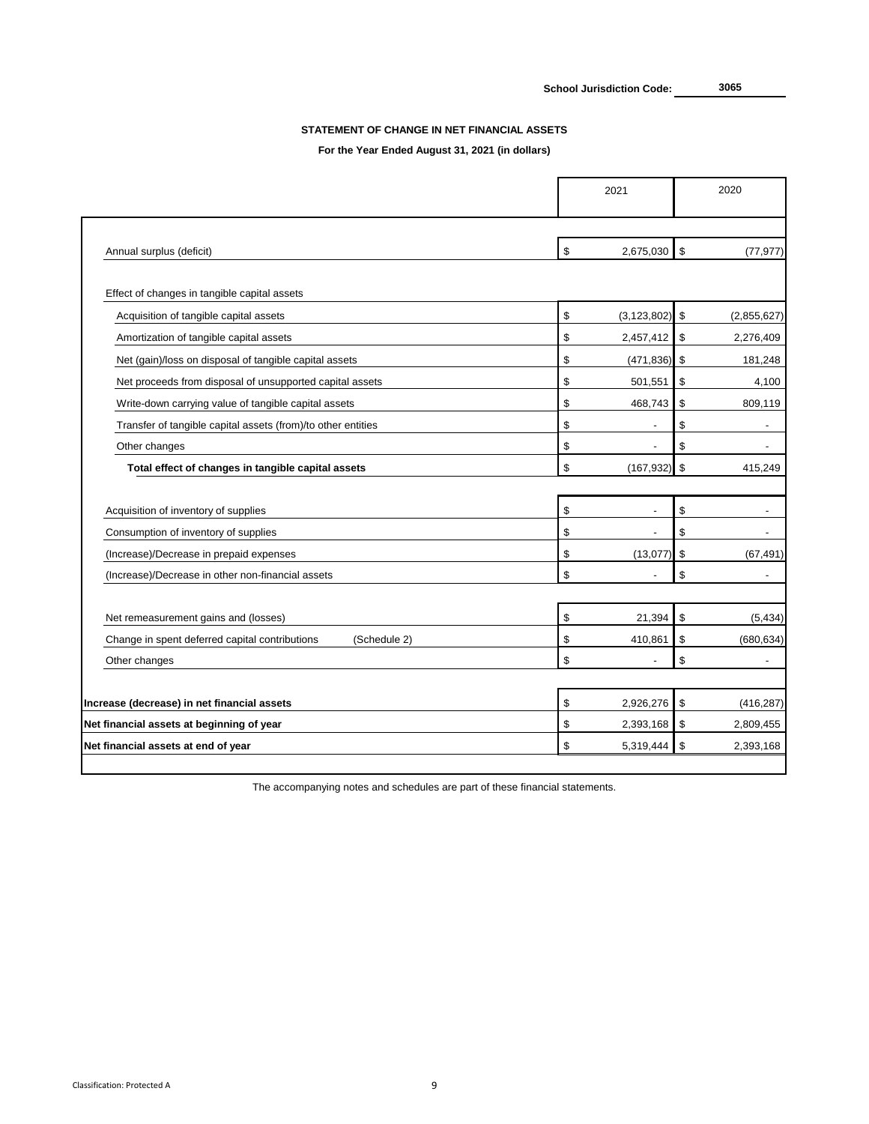#### **3065**

#### **STATEMENT OF CHANGE IN NET FINANCIAL ASSETS**

#### **For the Year Ended August 31, 2021 (in dollars)**

|                                                                | 2021                           | 2020                           |
|----------------------------------------------------------------|--------------------------------|--------------------------------|
|                                                                |                                |                                |
| Annual surplus (deficit)                                       | \$<br>2,675,030                | <sup>\$</sup><br>(77, 977)     |
|                                                                |                                |                                |
| Effect of changes in tangible capital assets                   |                                |                                |
| Acquisition of tangible capital assets                         | \$<br>(3, 123, 802)            | \$<br>(2,855,627)              |
| Amortization of tangible capital assets                        | \$<br>2,457,412                | \$<br>2,276,409                |
| Net (gain)/loss on disposal of tangible capital assets         | \$<br>$(471, 836)$ \$          | 181,248                        |
| Net proceeds from disposal of unsupported capital assets       | \$<br>501,551                  | \$<br>4,100                    |
| Write-down carrying value of tangible capital assets           | \$<br>468,743                  | \$<br>809,119                  |
| Transfer of tangible capital assets (from)/to other entities   | \$                             | \$                             |
| Other changes                                                  | \$                             | \$                             |
| Total effect of changes in tangible capital assets             | \$<br>(167, 932)               | \$<br>415,249                  |
|                                                                |                                |                                |
| Acquisition of inventory of supplies                           | \$<br>$\overline{\phantom{a}}$ | \$<br>$\overline{\phantom{a}}$ |
| Consumption of inventory of supplies                           | \$                             | \$                             |
| (Increase)/Decrease in prepaid expenses                        | \$<br>(13,077)                 | \$<br>(67, 491)                |
| (Increase)/Decrease in other non-financial assets              | \$                             | \$                             |
|                                                                |                                |                                |
| Net remeasurement gains and (losses)                           | \$<br>21,394                   | \$<br>(5, 434)                 |
| Change in spent deferred capital contributions<br>(Schedule 2) | \$<br>410,861                  | \$<br>(680, 634)               |
| Other changes                                                  | \$                             | \$                             |
|                                                                |                                |                                |
| Increase (decrease) in net financial assets                    | \$<br>2,926,276                | \$<br>(416, 287)               |
| Net financial assets at beginning of year                      | \$<br>2,393,168                | \$<br>2,809,455                |
|                                                                |                                |                                |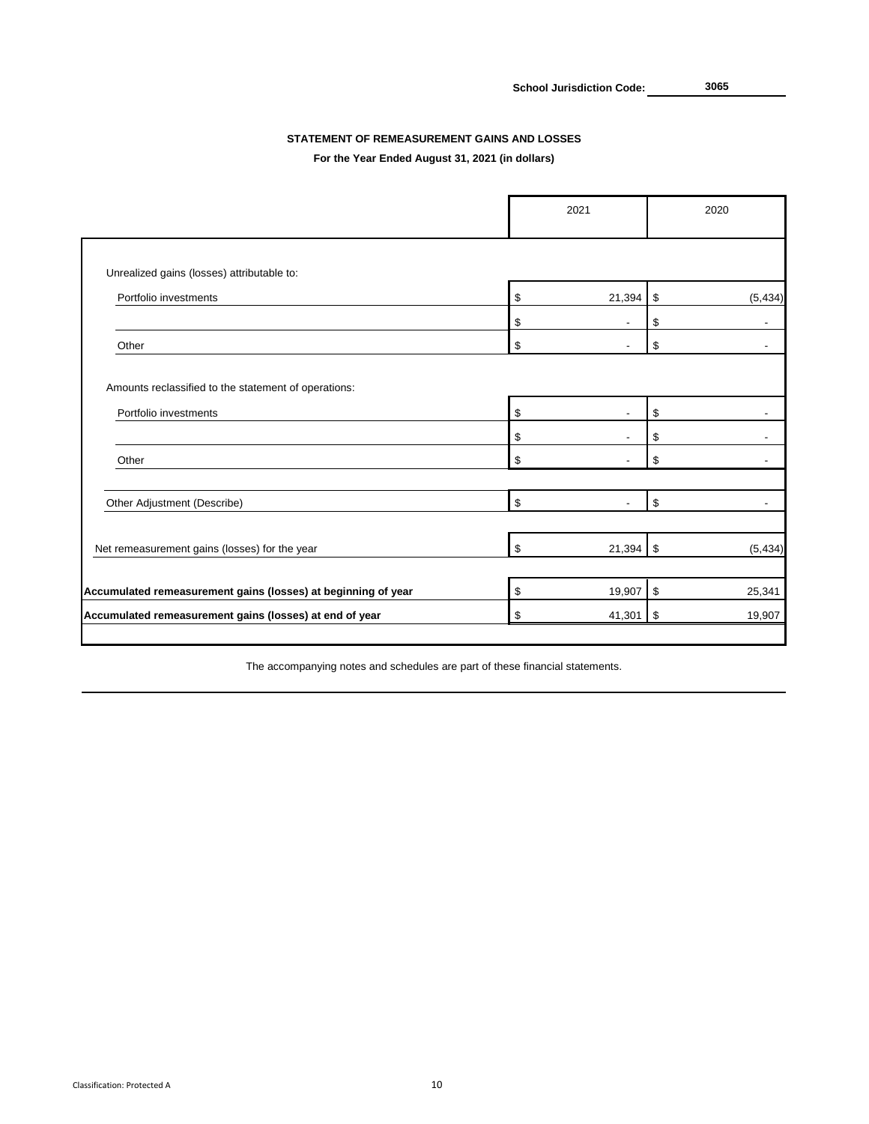# **STATEMENT OF REMEASUREMENT GAINS AND LOSSES**

#### **For the Year Ended August 31, 2021 (in dollars)**

|                                                               | 2021                           |               | 2020     |
|---------------------------------------------------------------|--------------------------------|---------------|----------|
| Unrealized gains (losses) attributable to:                    |                                |               |          |
|                                                               |                                |               |          |
| Portfolio investments                                         | \$<br>21,394                   | \$            | (5, 434) |
|                                                               | \$<br>$\overline{\phantom{0}}$ | \$            |          |
| Other                                                         | \$                             | \$            |          |
| Amounts reclassified to the statement of operations:          |                                |               |          |
| Portfolio investments                                         | \$                             | \$            |          |
|                                                               | \$                             | \$            |          |
| Other                                                         | \$                             | \$            |          |
|                                                               |                                |               |          |
| Other Adjustment (Describe)                                   | \$                             | \$            |          |
|                                                               |                                |               |          |
| Net remeasurement gains (losses) for the year                 | \$<br>21,394                   | $\sqrt[6]{3}$ | (5, 434) |
|                                                               |                                |               |          |
| Accumulated remeasurement gains (losses) at beginning of year | \$<br>19,907                   | \$            | 25,341   |
| Accumulated remeasurement gains (losses) at end of year       | \$<br>41,301                   | \$            | 19,907   |
|                                                               |                                |               |          |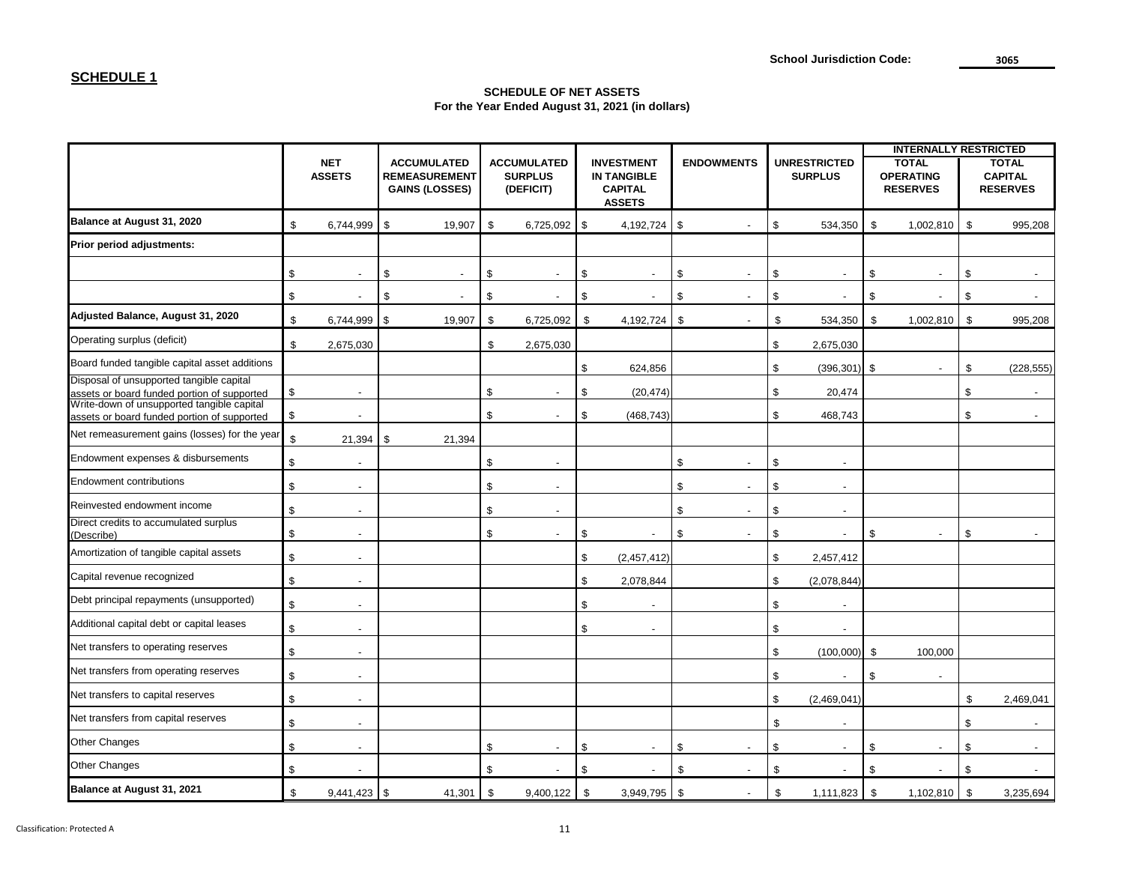#### **SCHEDULE OF NET ASSETS For the Year Ended August 31, 2021 (in dollars)**

|                                                                                           |                                |    |                                                                     |    |                                                   |           |                                                                            |                                |                                       | <b>INTERNALLY RESTRICTED</b> |                                                     |    |                                                   |
|-------------------------------------------------------------------------------------------|--------------------------------|----|---------------------------------------------------------------------|----|---------------------------------------------------|-----------|----------------------------------------------------------------------------|--------------------------------|---------------------------------------|------------------------------|-----------------------------------------------------|----|---------------------------------------------------|
|                                                                                           | <b>NET</b><br><b>ASSETS</b>    |    | <b>ACCUMULATED</b><br><b>REMEASUREMENT</b><br><b>GAINS (LOSSES)</b> |    | <b>ACCUMULATED</b><br><b>SURPLUS</b><br>(DEFICIT) |           | <b>INVESTMENT</b><br><b>IN TANGIBLE</b><br><b>CAPITAL</b><br><b>ASSETS</b> | <b>ENDOWMENTS</b>              | <b>UNRESTRICTED</b><br><b>SURPLUS</b> |                              | <b>TOTAL</b><br><b>OPERATING</b><br><b>RESERVES</b> |    | <b>TOTAL</b><br><b>CAPITAL</b><br><b>RESERVES</b> |
| Balance at August 31, 2020                                                                | \$<br>6,744,999                | \$ | 19,907                                                              | \$ | 6,725,092                                         | <b>\$</b> | 4,192,724                                                                  | \$<br>$\overline{\phantom{a}}$ | \$<br>534,350                         | \$                           | 1,002,810                                           | \$ | 995,208                                           |
| Prior period adjustments:                                                                 |                                |    |                                                                     |    |                                                   |           |                                                                            |                                |                                       |                              |                                                     |    |                                                   |
|                                                                                           | \$<br>$\overline{\phantom{a}}$ | \$ |                                                                     | \$ | $\overline{\phantom{a}}$                          | \$        | $\blacksquare$                                                             | \$<br>$\overline{\phantom{a}}$ | \$<br>$\overline{\phantom{a}}$        | \$                           |                                                     | \$ |                                                   |
|                                                                                           | \$<br>$\blacksquare$           | \$ |                                                                     | \$ |                                                   | \$        | ÷,                                                                         | \$                             | \$                                    | \$                           |                                                     | \$ |                                                   |
| Adjusted Balance, August 31, 2020                                                         | \$<br>6,744,999                | \$ | 19,907                                                              | \$ | 6,725,092                                         | \$        | 4,192,724                                                                  | $\mathbb{S}$<br>÷,             | \$<br>534,350                         | \$                           | 1,002,810                                           | \$ | 995,208                                           |
| Operating surplus (deficit)                                                               | \$<br>2,675,030                |    |                                                                     | \$ | 2,675,030                                         |           |                                                                            |                                | \$<br>2,675,030                       |                              |                                                     |    |                                                   |
| Board funded tangible capital asset additions                                             |                                |    |                                                                     |    |                                                   | \$        | 624,856                                                                    |                                | \$<br>(396, 301)                      | \$                           |                                                     | \$ | (228, 555)                                        |
| Disposal of unsupported tangible capital<br>assets or board funded portion of supported   | \$<br>$\overline{\phantom{a}}$ |    |                                                                     | \$ | $\overline{\phantom{a}}$                          | \$        | (20, 474)                                                                  |                                | \$<br>20,474                          |                              |                                                     | \$ | $\sim$                                            |
| Write-down of unsupported tangible capital<br>assets or board funded portion of supported | \$<br>$\overline{a}$           |    |                                                                     | \$ | $\blacksquare$                                    | \$        | (468, 743)                                                                 |                                | \$<br>468,743                         |                              |                                                     | \$ |                                                   |
| Net remeasurement gains (losses) for the year                                             | \$<br>21,394                   | \$ | 21,394                                                              |    |                                                   |           |                                                                            |                                |                                       |                              |                                                     |    |                                                   |
| Endowment expenses & disbursements                                                        | \$<br>$\overline{\phantom{a}}$ |    |                                                                     | \$ | $\sim$                                            |           |                                                                            | \$<br>Ĭ.                       | \$<br>$\overline{\phantom{a}}$        |                              |                                                     |    |                                                   |
| <b>Endowment contributions</b>                                                            | \$<br>$\overline{\phantom{a}}$ |    |                                                                     | \$ |                                                   |           |                                                                            | \$<br>÷                        | \$<br>$\overline{\phantom{a}}$        |                              |                                                     |    |                                                   |
| Reinvested endowment income                                                               | \$<br>$\blacksquare$           |    |                                                                     | \$ | $\overline{\phantom{a}}$                          |           |                                                                            | \$<br>$\overline{\phantom{a}}$ | \$<br>$\blacksquare$                  |                              |                                                     |    |                                                   |
| Direct credits to accumulated surplus<br>(Describe)                                       | \$<br>$\sim$                   |    |                                                                     | \$ |                                                   | \$        |                                                                            | \$<br>$\overline{a}$           | \$                                    | \$                           |                                                     | \$ |                                                   |
| Amortization of tangible capital assets                                                   | \$<br>$\overline{\phantom{a}}$ |    |                                                                     |    |                                                   | \$        | (2,457,412)                                                                |                                | \$<br>2,457,412                       |                              |                                                     |    |                                                   |
| Capital revenue recognized                                                                | \$<br>$\blacksquare$           |    |                                                                     |    |                                                   | \$        | 2,078,844                                                                  |                                | \$<br>(2,078,844)                     |                              |                                                     |    |                                                   |
| Debt principal repayments (unsupported)                                                   | \$<br>$\blacksquare$           |    |                                                                     |    |                                                   | \$        | $\blacksquare$                                                             |                                | \$                                    |                              |                                                     |    |                                                   |
| Additional capital debt or capital leases                                                 | \$<br>$\blacksquare$           |    |                                                                     |    |                                                   | \$        | $\sim$                                                                     |                                | \$<br>$\blacksquare$                  |                              |                                                     |    |                                                   |
| Net transfers to operating reserves                                                       | \$<br>$\sim$                   |    |                                                                     |    |                                                   |           |                                                                            |                                | \$<br>(100,000)                       | \$                           | 100,000                                             |    |                                                   |
| Net transfers from operating reserves                                                     | \$<br>$\overline{\phantom{a}}$ |    |                                                                     |    |                                                   |           |                                                                            |                                | \$                                    | \$                           |                                                     |    |                                                   |
| Net transfers to capital reserves                                                         | \$<br>$\overline{\phantom{a}}$ |    |                                                                     |    |                                                   |           |                                                                            |                                | \$<br>(2,469,041)                     |                              |                                                     | \$ | 2,469,041                                         |
| Net transfers from capital reserves                                                       | \$<br>$\overline{a}$           |    |                                                                     |    |                                                   |           |                                                                            |                                | \$<br>$\overline{\phantom{a}}$        |                              |                                                     | \$ |                                                   |
| Other Changes                                                                             | \$<br>$\blacksquare$           |    |                                                                     | \$ |                                                   | \$        | $\blacksquare$                                                             | \$                             | \$<br>$\blacksquare$                  | \$                           |                                                     | \$ |                                                   |
| <b>Other Changes</b>                                                                      | \$<br>$\tilde{\phantom{a}}$    |    |                                                                     | \$ |                                                   | \$        |                                                                            | \$<br>$\overline{\phantom{a}}$ | \$<br>٠                               | \$                           |                                                     | \$ |                                                   |
| Balance at August 31, 2021                                                                | \$<br>$9,441,423$ \$           |    | 41,301                                                              | \$ | 9,400,122                                         | \$        | 3,949,795                                                                  | - \$<br>$\overline{a}$         | \$<br>1,111,823                       | \$                           | 1,102,810                                           | \$ | 3,235,694                                         |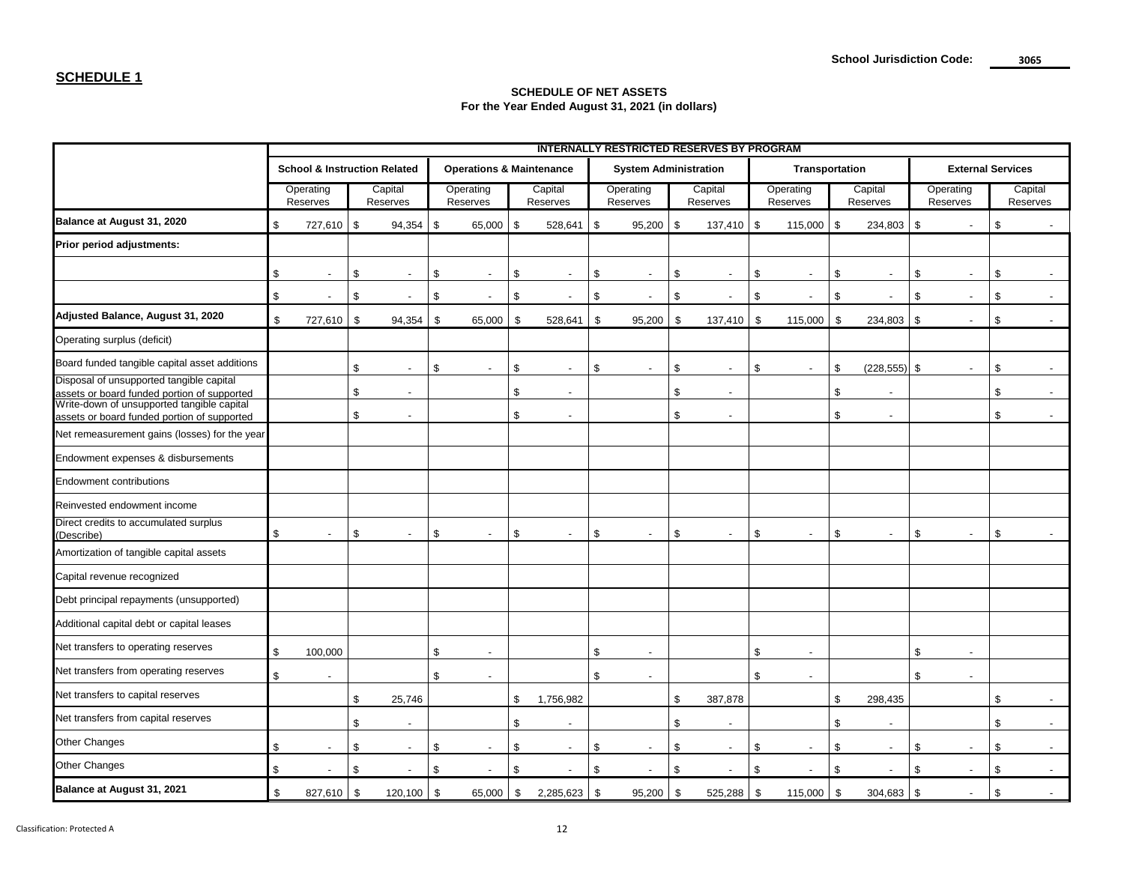# **SCHEDULE 1**

#### **For the Year Ended August 31, 2021 (in dollars) SCHEDULE OF NET ASSETS**

|                                                                                         | <b>INTERNALLY RESTRICTED RESERVES BY PROGRAM</b> |                                         |                           |                          |    |                                     |    |                          |      |                              |    |                          |                |                          |                                |                |                          |    |                          |
|-----------------------------------------------------------------------------------------|--------------------------------------------------|-----------------------------------------|---------------------------|--------------------------|----|-------------------------------------|----|--------------------------|------|------------------------------|----|--------------------------|----------------|--------------------------|--------------------------------|----------------|--------------------------|----|--------------------------|
|                                                                                         |                                                  | <b>School &amp; Instruction Related</b> |                           |                          |    | <b>Operations &amp; Maintenance</b> |    |                          |      | <b>System Administration</b> |    |                          | Transportation |                          | <b>External Services</b>       |                |                          |    |                          |
|                                                                                         |                                                  | Operating<br>Reserves                   |                           | Capital<br>Reserves      |    | Operating<br>Reserves               |    | Capital<br>Reserves      |      | Operating<br>Reserves        |    | Capital<br>Reserves      |                | Operating<br>Reserves    | Capital<br>Reserves            |                | Operating<br>Reserves    |    | Capital<br>Reserves      |
| Balance at August 31, 2020                                                              | \$                                               | 727,610                                 | \$                        | 94,354                   | \$ | 65,000                              | \$ | 528,641                  | \$   | 95,200                       | \$ | 137,410                  | \$             | 115,000                  | \$<br>234,803                  | \$             | $\overline{\phantom{a}}$ | \$ | $\overline{\phantom{a}}$ |
| Prior period adjustments:                                                               |                                                  |                                         |                           |                          |    |                                     |    |                          |      |                              |    |                          |                |                          |                                |                |                          |    |                          |
|                                                                                         | \$                                               | $\overline{\phantom{a}}$                | \$                        | $\overline{\phantom{a}}$ | \$ | $\blacksquare$                      | \$ | $\overline{\phantom{a}}$ | \$   | $\blacksquare$               | \$ | $\overline{a}$           | \$             | $\overline{\phantom{a}}$ | \$<br>$\overline{\phantom{a}}$ | \$             | $\blacksquare$           | \$ |                          |
|                                                                                         | \$                                               | $\overline{\phantom{a}}$                | $\sqrt[6]{3}$             | $\blacksquare$           | \$ | ÷                                   | \$ |                          | \$   |                              | \$ |                          | \$             | ÷,                       | \$                             | $\mathfrak{S}$ | $\overline{\phantom{a}}$ | \$ |                          |
| Adjusted Balance, August 31, 2020                                                       | \$                                               | 727,610                                 | \$                        | 94,354                   | \$ | 65,000                              | \$ | 528,641                  | \$   | 95,200                       | \$ | 137,410                  | \$             | 115,000                  | \$<br>234,803                  | \$             | $\overline{\phantom{a}}$ | \$ |                          |
| Operating surplus (deficit)                                                             |                                                  |                                         |                           |                          |    |                                     |    |                          |      |                              |    |                          |                |                          |                                |                |                          |    |                          |
| Board funded tangible capital asset additions                                           |                                                  |                                         | \$                        | $\blacksquare$           | \$ | $\blacksquare$                      | \$ | $\overline{\phantom{a}}$ | \$   | $\blacksquare$               | \$ | $\overline{\phantom{a}}$ | \$             | $\overline{\phantom{a}}$ | \$<br>(228, 555)               | \$             | $\sim$                   | \$ |                          |
| Disposal of unsupported tangible capital<br>assets or board funded portion of supported |                                                  |                                         | \$                        | $\overline{\phantom{a}}$ |    |                                     | \$ | $\overline{\phantom{a}}$ |      |                              | \$ | $\overline{a}$           |                |                          | \$<br>$\overline{\phantom{a}}$ |                |                          | \$ | $\overline{\phantom{a}}$ |
| Write-down of unsupported tangible capital                                              |                                                  |                                         |                           |                          |    |                                     |    |                          |      |                              |    |                          |                |                          |                                |                |                          |    |                          |
| assets or board funded portion of supported                                             |                                                  |                                         | \$                        | $\sim$                   |    |                                     | \$ |                          |      |                              | \$ |                          |                |                          | \$                             |                |                          | \$ |                          |
| Net remeasurement gains (losses) for the year                                           |                                                  |                                         |                           |                          |    |                                     |    |                          |      |                              |    |                          |                |                          |                                |                |                          |    |                          |
| Endowment expenses & disbursements                                                      |                                                  |                                         |                           |                          |    |                                     |    |                          |      |                              |    |                          |                |                          |                                |                |                          |    |                          |
| <b>Endowment contributions</b>                                                          |                                                  |                                         |                           |                          |    |                                     |    |                          |      |                              |    |                          |                |                          |                                |                |                          |    |                          |
| Reinvested endowment income                                                             |                                                  |                                         |                           |                          |    |                                     |    |                          |      |                              |    |                          |                |                          |                                |                |                          |    |                          |
| Direct credits to accumulated surplus<br>(Describe)                                     | \$                                               | $\overline{a}$                          | $\mathfrak{s}$            | $\sim$                   | \$ | $\overline{a}$                      | \$ |                          | \$   | $\overline{\phantom{a}}$     | \$ | $\sim$                   | \$             | $\overline{a}$           | \$<br>$\sim$                   | \$             | $\sim$                   | \$ |                          |
| Amortization of tangible capital assets                                                 |                                                  |                                         |                           |                          |    |                                     |    |                          |      |                              |    |                          |                |                          |                                |                |                          |    |                          |
| Capital revenue recognized                                                              |                                                  |                                         |                           |                          |    |                                     |    |                          |      |                              |    |                          |                |                          |                                |                |                          |    |                          |
| Debt principal repayments (unsupported)                                                 |                                                  |                                         |                           |                          |    |                                     |    |                          |      |                              |    |                          |                |                          |                                |                |                          |    |                          |
| Additional capital debt or capital leases                                               |                                                  |                                         |                           |                          |    |                                     |    |                          |      |                              |    |                          |                |                          |                                |                |                          |    |                          |
| Net transfers to operating reserves                                                     | \$                                               | 100,000                                 |                           |                          | \$ |                                     |    |                          | \$   |                              |    |                          | \$             |                          |                                | \$             |                          |    |                          |
| Net transfers from operating reserves                                                   | \$                                               | $\overline{\phantom{a}}$                |                           |                          | \$ | $\overline{\phantom{a}}$            |    |                          | \$   | ٠                            |    |                          | \$             | $\overline{\phantom{a}}$ |                                | \$             | $\overline{a}$           |    |                          |
| Net transfers to capital reserves                                                       |                                                  |                                         | \$                        | 25,746                   |    |                                     | \$ | 1,756,982                |      |                              | \$ | 387,878                  |                |                          | \$<br>298,435                  |                |                          | \$ | $\overline{\phantom{0}}$ |
| Net transfers from capital reserves                                                     |                                                  |                                         | \$                        | $\sim$                   |    |                                     | \$ |                          |      |                              | \$ |                          |                |                          | \$<br>$\overline{\phantom{a}}$ |                |                          | \$ |                          |
| <b>Other Changes</b>                                                                    | \$                                               | $\blacksquare$                          | \$                        | $\sim$                   | \$ | ÷,                                  | \$ |                          | \$   | $\blacksquare$               | \$ | $\overline{\phantom{a}}$ | \$             | $\blacksquare$           | \$<br>$\overline{\phantom{a}}$ | \$             | $\blacksquare$           | \$ |                          |
| <b>Other Changes</b>                                                                    | \$                                               | $\overline{\phantom{a}}$                | $\boldsymbol{\mathsf{S}}$ | $\overline{\phantom{a}}$ | \$ | $\overline{\phantom{a}}$            | \$ |                          | \$   | $\overline{\phantom{a}}$     | \$ |                          | \$             | $\overline{\phantom{a}}$ | \$<br>$\overline{\phantom{a}}$ | \$             | $\overline{\phantom{a}}$ | \$ |                          |
| Balance at August 31, 2021                                                              | \$                                               | 827,610                                 | \$                        | 120,100                  | \$ | 65,000                              | \$ | 2,285,623                | - \$ | 95,200                       | \$ | 525,288                  | \$             | 115,000                  | \$<br>304,683                  | \$             | $\overline{\phantom{a}}$ | \$ |                          |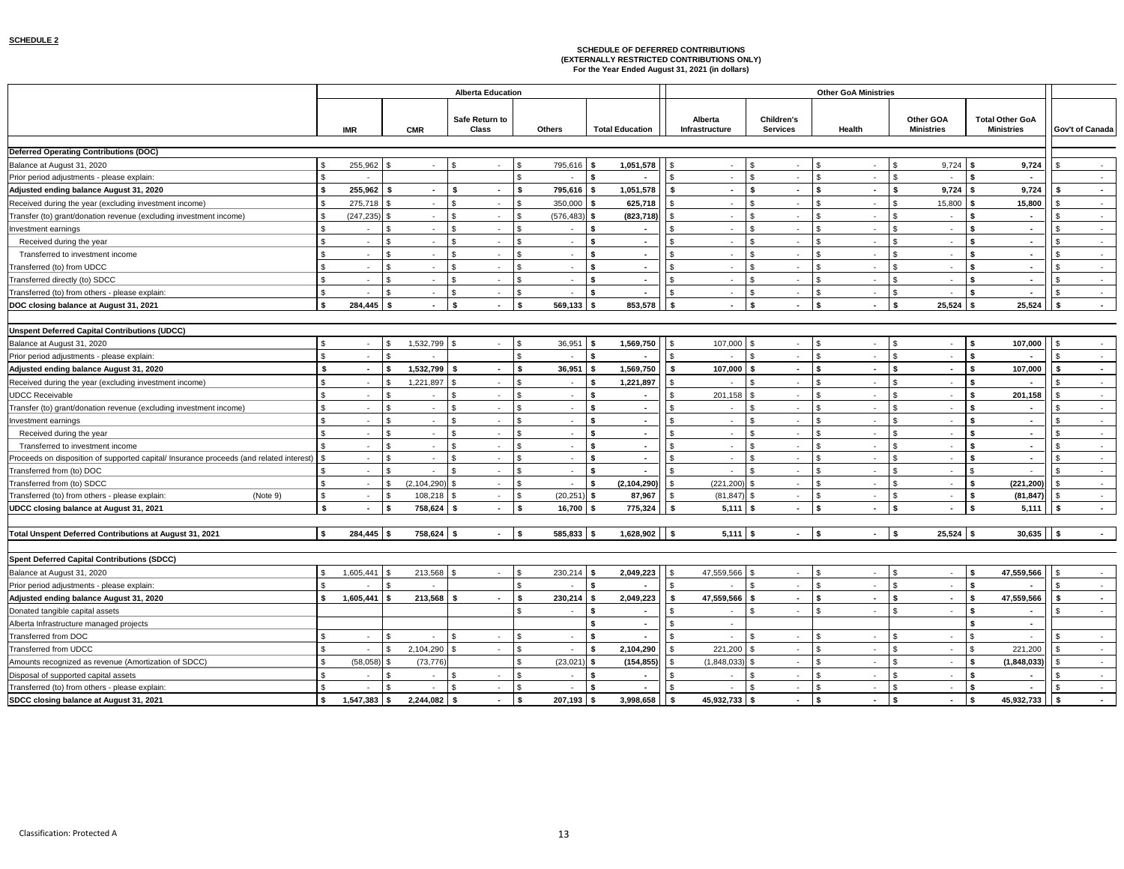# **SCHEDULE OF DEFERRED CONTRIBUTIONS (EXTERNALLY RESTRICTED CONTRIBUTIONS ONLY) For the Year Ended August 31, 2021 (in dollars)**

|                                                                                         | <b>Alberta Education</b> |                        |                  |                                   |                    |                        |                        |    | <b>Other GoA Ministries</b> |                                      |               |        |                                |                                             |                         |  |  |
|-----------------------------------------------------------------------------------------|--------------------------|------------------------|------------------|-----------------------------------|--------------------|------------------------|------------------------|----|-----------------------------|--------------------------------------|---------------|--------|--------------------------------|---------------------------------------------|-------------------------|--|--|
|                                                                                         |                          | <b>IMR</b>             | <b>CMR</b>       | Safe Return to<br>Class           |                    | Others                 | <b>Total Education</b> |    | Alberta<br>Infrastructure   | <b>Children's</b><br><b>Services</b> |               | Health | Other GOA<br><b>Ministries</b> | <b>Total Other GoA</b><br><b>Ministries</b> | Gov't of Canada         |  |  |
| <b>Deferred Operating Contributions (DOC)</b>                                           |                          |                        |                  |                                   |                    |                        |                        |    |                             |                                      |               |        |                                |                                             |                         |  |  |
| Balance at August 31, 2020                                                              |                          | 255,962 \$             | $\sim$           | $\sqrt{s}$<br>$\sim$              | $\sqrt{3}$         | 795,616 \$             | 1,051,578              |    | $\sim$                      | $ \sqrt{S}$<br>$\mathfrak{L}$        |               | $\sim$ | l \$<br>$9,724$ \$             | 9,724                                       | $\sim$                  |  |  |
| Prior period adjustments - please explain:                                              |                          |                        |                  |                                   | $\mathbf{s}$       | s<br>$\sim$            | $\blacksquare$         |    | $\sim$                      | $\mathfrak{s}$<br>$\sim$             | s             | $\sim$ | $\sqrt{3}$<br>$\sim$           |                                             | $\sim$                  |  |  |
| Adjusted ending balance August 31, 2020                                                 |                          | 255,962                | $\sim$           | l s<br>$\sim$                     | s.                 | 795,616 \$             | 1,051,578              |    | $\sim$                      | \$<br>$\sim$                         | $\mathbf{s}$  | $\sim$ | - \$<br>9,724                  | 9,724                                       | $\sim$                  |  |  |
| Received during the year (excluding investment income)                                  |                          | 275,718                | $\sim$           | $\vert$ \$<br>$\sim$              | $\sqrt{3}$         | 350,000<br>- 5         | 625,718                |    | $\sim$                      | <sup>\$</sup><br>$\sim$              | \$            | $\sim$ | $\mathsf{\$}$<br>15,800        | 15,800<br>\$                                | $\sim$                  |  |  |
| Transfer (to) grant/donation revenue (excluding investment income)                      |                          | $(247, 235)$ \$        | $\sim$           | l \$<br>$\sim$                    | $\sqrt{3}$         | $(576, 483)$ \$        | (823, 718)             |    | $\sim$                      | \$<br>$\sim$                         | \$            | $\sim$ | $\mathsf{\$}$<br>$\sim$        | \$<br>$\sim$                                | $\sim$                  |  |  |
| Investment earnings                                                                     |                          | S<br>$\sim$            | $\sim$           | $\sqrt{3}$<br>$\sim$              | $\sqrt{3}$         | $\sim$                 | \$<br>$\sim$           |    | $\sim$                      | \$<br>$\sim$                         | \$            | $\sim$ | $\sqrt{3}$<br>$\sim$           | \$<br>$\sim$                                | $\sim$                  |  |  |
| Received during the year                                                                | s.                       | $\mathbf{s}$<br>$\sim$ | $\sim$           | $\sqrt{S}$<br>$\mathcal{L}^{\pm}$ | l s                | $\sim$                 | s.<br>$\sim$           |    | $\sim$                      | $\mathfrak{L}$<br>$\sim$             | $\sqrt{3}$    | $\sim$ | l \$<br>$\sim$                 | \$<br>$\sim$                                | $\sim$                  |  |  |
| Transferred to investment income                                                        | \$.                      | $\mathbf{s}$<br>$\sim$ | $\sim$           | $\mathbf{s}$<br>$\sim$            | $\sqrt{s}$         | $\mathbf{s}$<br>$\sim$ | $\sim$                 |    | $\sim$                      | $\mathfrak{L}$<br>$\sim$             | $\mathsf{\$}$ | $\sim$ | $\mathsf{\$}$<br>$\sim$        | \$<br>$\sim$                                | $\sim$                  |  |  |
| Transferred (to) from UDCC                                                              | \$.                      | \$<br>$\sim$           | $\sim$           | $\sqrt{s}$<br>$\sim$              | $\sqrt{3}$         | $\mathbf{S}$<br>$\sim$ | $\sim$                 |    | $\sim$                      | $\mathfrak{L}$<br>$\sim$             | $\sqrt{3}$    | $\sim$ | l \$<br>$\sim$                 | \$<br>$\mathbf{r}$                          | $\sim$                  |  |  |
| Transferred directly (to) SDCC                                                          | \$.                      | \$<br>$\sim$           | $\sim$           | $\sqrt{s}$<br>$\mathcal{L}^{\pm}$ | l \$               | $\mathbf{S}$<br>$\sim$ | $\sim$                 |    | $\sim$                      | <sup>\$</sup><br>$\sim$              | \$            | $\sim$ | $\sim$<br>$\sim$               | \$<br>$\sim$                                | $\sim$                  |  |  |
| Transferred (to) from others - please explain:                                          | \$.                      | £.<br>$\sim$           | $\sim$           | $\mathsf{s}$<br>$\sim$            | l \$               | $\mathbf{S}$<br>$\sim$ | $\sim$                 |    | $\sim$                      | $\mathfrak{L}$<br>$\sim$             | l \$          | $\sim$ | l \$<br>$\sim$                 | ¢<br>$\sim$                                 | $\mathcal{F}$<br>$\sim$ |  |  |
| DOC closing balance at August 31, 2021                                                  | \$                       | 284,445<br>-S          | $ \sqrt{5}$      | $\sim$                            | l \$               | 569,133<br>- 1         | 853,578                | Ś  | $\sim$ $\sim$               | $ \sqrt{5}$<br>S.                    |               | $\sim$ | $\sqrt{2}$<br>$25,524$ \$      | 25,524                                      | <b>s</b><br>$\sim$      |  |  |
|                                                                                         |                          |                        |                  |                                   |                    |                        |                        |    |                             |                                      |               |        |                                |                                             |                         |  |  |
| Unspent Deferred Capital Contributions (UDCC)                                           |                          |                        |                  |                                   |                    |                        |                        |    |                             |                                      |               |        |                                |                                             |                         |  |  |
| Balance at August 31, 2020                                                              | \$.                      | \$.<br>$\sim$          | 1,532,799 \$     | $\sim$                            | $\mathbf{s}$       | 36,951<br>- \$         | 1,569,750              |    | 107,000                     | $\sim$                               | $\sqrt{s}$    | $\sim$ | l \$<br>$\sim$                 | 107,000<br>\$                               | $\sim$                  |  |  |
| Prior period adjustments - please explain:                                              | \$                       | \$.<br>$\sim$          |                  |                                   | $\mathbb{S}$       | <b>s</b><br>$\sim$     |                        |    |                             | \$<br>$\sim$                         | $\sqrt{s}$    | $\sim$ | $\mathbf S$<br>$\sim$          | \$                                          | $\sim$                  |  |  |
| Adjusted ending balance August 31, 2020                                                 | s                        | \$                     | 1,532,799 \$     | $\sim$                            | l s                | 36,951<br>l s          | 1,569,750              |    | 107,000                     | $ s$                                 |               | $\sim$ | l s<br>$\blacksquare$          | \$<br>107,000                               | \$<br>$\sim$            |  |  |
| Received during the year (excluding investment income)                                  |                          | \$<br>$\sim$           | 1,221,897 \$     | $\sim$                            | \$                 | \$<br>$\sim$           | 1,221,897              |    | $\overline{\phantom{a}}$    | \$<br>$\sim$                         | $\mathbf{s}$  | $\sim$ | $\sqrt{3}$<br>$\omega$         | \$                                          | $\sim$                  |  |  |
| <b>UDCC Receivable</b>                                                                  |                          | \$<br>$\sim$           | $\sim$           | $\sqrt{S}$<br>$\sim$              | Ŝ.                 | <b>s</b><br>$\sim$     | $\sim$                 |    | 201,158                     | $\sim$                               | <sup>\$</sup> | $\sim$ | $\mathsf{S}$<br>$\sim$         | \$<br>201,158                               | $\sim$                  |  |  |
| Transfer (to) grant/donation revenue (excluding investment income)                      |                          | \$<br>$\sim$           | $\sim$           | $\sqrt{3}$<br>$\sim$              | \$                 | $\sim$                 | \$<br>$\sim$           |    | $\sim$                      | \$<br>$\sim$                         | \$            | $\sim$ | $\mathsf{\$}$<br>$\sim$        | \$<br>$\overline{\phantom{a}}$              | $\sim$                  |  |  |
| Investment earnings                                                                     |                          | \$<br>$\sim$           | $ \sqrt{S}$      | $\sim$                            | $\mathbf{s}$       | <b>s</b><br>$\sim$     | $\sim$                 |    | $\sim$                      | \$<br>$\sim$                         | \$            | $\sim$ | $\mathsf{\$}$<br>$\sim$        | \$<br>$\sim$                                | $\sim$                  |  |  |
| Received during the year                                                                |                          | \$<br>$\sim$           | $\sim$           | l s<br>$\sim$                     | $\sqrt{3}$         | $\sim$                 | \$<br>$\sim$           |    | $\sim$                      | \$<br>$\sim$                         | \$            | $\sim$ | $\mathsf{S}$<br>$\sim$         | \$<br>$\sim$                                | $\sim$                  |  |  |
| Transferred to investment income                                                        |                          | \$.<br>$\sim$          | $\sim$           | $\mathbf{s}$<br>$\sim$            | l s                | <b>s</b><br>$\sim$     | $\sim$                 |    | $\sim$                      | $\mathfrak{L}$<br>$\sim$             | $\mathbb{S}$  | $\sim$ | $\mathbf S$<br>$\sim$          | \$<br>$\sim$                                | $\sim$                  |  |  |
| Proceeds on disposition of supported capital/ Insurance proceeds (and related interest) |                          | \$<br>$\sim$           | $\sim$           | l \$<br>$\sim$                    | $\sqrt{3}$         | $\sim$                 | \$<br>$\sim$           |    | $\sim$                      | \$<br>$\sim$                         | $\mathsf{\$}$ | $\sim$ | $\mathsf{\$}$<br>$\sim$        | \$<br>$\sim$                                | $\sim$                  |  |  |
| Transferred from (to) DOC                                                               |                          | \$<br>$\sim$           | $\sim$           | l \$<br>$\sim$                    | $\mathbf{\hat{s}}$ | ŝ.<br>$\sim$           | $\sim$                 |    | $\sim$                      | \$<br>$\sim$                         | \$            | $\sim$ | $\mathsf{\$}$<br>$\sim$        | \$<br>$\sim$                                | $\sim$                  |  |  |
| Transferred from (to) SDCC                                                              |                          | \$<br>$\sim$           | $(2,104,290)$ \$ | $\sim$                            | $\sqrt{3}$         | $\sim$                 | \$<br>(2, 104, 290)    |    | $(221, 200)$ \$             | $\sim$                               | \$            | $\sim$ | $\mathsf{\$}$<br>$\sim$        | (221, 200)<br>\$                            | $\sim$<br>- \$          |  |  |
| Transferred (to) from others - please explain:<br>(Note 9)                              | s.                       | \$<br>$\sim$           | 108,218 \$       | $\sim$                            | $\sqrt{s}$         | $(20, 251)$ \$         | 87,967                 |    | $(81, 847)$ \$              | $\sim$                               | <b>S</b>      | $\sim$ | $\mathsf{\$}$<br>$\sim$        | \$<br>(81, 847)                             | - \$<br>$\sim$          |  |  |
| UDCC closing balance at August 31, 2021                                                 | \$                       | Ŝ.<br>$\sim$           | 758,624 \$       | $\sim$                            | l s                | $16,700$ \$            | 775,324                | \$ | $5,111$ \$                  | $\sim$ 10 $\pm$                      | $\vert$ s     | $\sim$ | l \$<br>$\blacksquare$         | 5,111<br>\$                                 | $\sim$<br>$\mathbf{s}$  |  |  |
|                                                                                         |                          |                        |                  |                                   |                    |                        |                        |    |                             |                                      |               |        |                                |                                             |                         |  |  |
| Total Unspent Deferred Contributions at August 31, 2021                                 | \$                       | $284,445$ \$           | 758,624 \$       | $\sim$                            | l s                | $585,833$ \$           | $1,628,902$ \$         |    | $5,111$ \$                  | $ \sqrt{5}$                          |               | $\sim$ | $\sim$<br>$25,524$ \$          | $30,635$   \$                               | $\sim$                  |  |  |
|                                                                                         |                          |                        |                  |                                   |                    |                        |                        |    |                             |                                      |               |        |                                |                                             |                         |  |  |
| <b>Spent Deferred Capital Contributions (SDCC)</b>                                      |                          |                        |                  |                                   |                    |                        |                        |    |                             |                                      |               |        |                                |                                             |                         |  |  |
| Balance at August 31, 2020                                                              |                          | 1,605,441<br>-S        | 213,568 \$       | $\sim$                            | <b>S</b>           | 230,214<br>l S<br>\$.  | 2,049,223              |    | 47,559,566                  | $\sim$<br>- \$                       | $\sqrt{s}$    | $\sim$ | $\mathsf{\$}$<br>$\sim$        | 47,559,566<br>- \$                          |                         |  |  |
| Prior period adjustments - please explain:                                              |                          | S                      |                  |                                   | \$                 | $\sim$                 |                        |    |                             | $\mathfrak{L}$<br>$\sim$             | l \$          | $\sim$ | $\mathsf{S}$<br>$\sim$         | \$                                          | $\sim$                  |  |  |
| Adjusted ending balance August 31, 2020                                                 |                          | $1,605,441$ \$         | $213,568$ \$     | $\sim$                            | l s                | $230,214$ \$           | 2,049,223              |    | 47,559,566                  | $-5$                                 |               | $\sim$ | l \$<br>$\blacksquare$         | 47,559,566<br>\$                            | $\sim$                  |  |  |
| Donated tangible capital assets                                                         |                          |                        |                  |                                   | $\hat{\mathbf{S}}$ | S<br>$\sim$            | $\sim$                 |    | $\sim$                      | \$<br>$\sim$                         | l s           | $\sim$ | $\mathsf{s}$<br>$\omega$       | $\mathbf{s}$<br>$\sim$                      | $\sim$                  |  |  |
| Alberta Infrastructure managed projects                                                 |                          |                        |                  |                                   |                    | S                      | $\sim$                 |    | $\sim$                      |                                      |               |        |                                | \$<br>$\sim$                                |                         |  |  |
| Transferred from DOC                                                                    |                          | \$<br>$\sim$           |                  | ÷.                                | $\mathbf{\hat{s}}$ | S<br>×.                |                        |    | ×.                          | $\sim$                               | \$            | $\sim$ | <b>S</b><br>$\sim$             | $\sim$                                      | $\sim$                  |  |  |
| Transferred from UDCC                                                                   |                          | S<br>$\sim$            | 2,104,290        | $\sim$                            | \$                 | $\sim$                 | \$<br>2,104,290        |    | 221,200                     | $\sim$                               | \$            | $\sim$ | $\sqrt{3}$<br>$\sim$           | \$<br>221,200                               | $\sim$                  |  |  |
| Amounts recognized as revenue (Amortization of SDCC)                                    |                          | (58,058)<br>S          | (73, 776)        |                                   | \$                 | (23, 021)<br>l \$      | (154, 855)             |    | (1,848,033)                 | $\sim$                               | \$            | $\sim$ | $\mathsf{S}$<br>$\sim$         | (1, 848, 033)<br>\$                         | $\sim$                  |  |  |
| Disposal of supported capital assets                                                    |                          | S<br>$\sim$            | $\sim$           | <b>S</b><br>$\sim$                | $\sqrt{3}$         | $\sim$<br>S            | \$<br>$\sim$           |    | $\sim$                      | \$<br>$\sim$                         | \$            | $\sim$ | $\mathsf{\$}$<br>$\sim$        | \$                                          | $\sim$                  |  |  |
| Transferred (to) from others - please explain:                                          |                          | \$<br>$\sim$           | $\sim$           | $\mathbf{s}$<br>$\sim$            | $\mathbf{s}$       | $\sim$                 | $\sim$                 |    | $\sim$                      | \$<br>$\sim$                         | \$            | $\sim$ | $\mathsf{\$}$<br>$\sim$        | \$<br>$\sim$                                | $\sim$                  |  |  |
| SDCC closing balance at August 31, 2021                                                 | \$                       | 1,547,383<br>l \$      | $2,244,082$ \$   | $\sim$                            | \$                 | $207,193$ \$           | 3,998,658              |    | 45,932,733 \$               | $\sim$                               | \$            | $\sim$ | l s<br>$\sim$                  | 45,932,733<br>\$                            | $\sim$                  |  |  |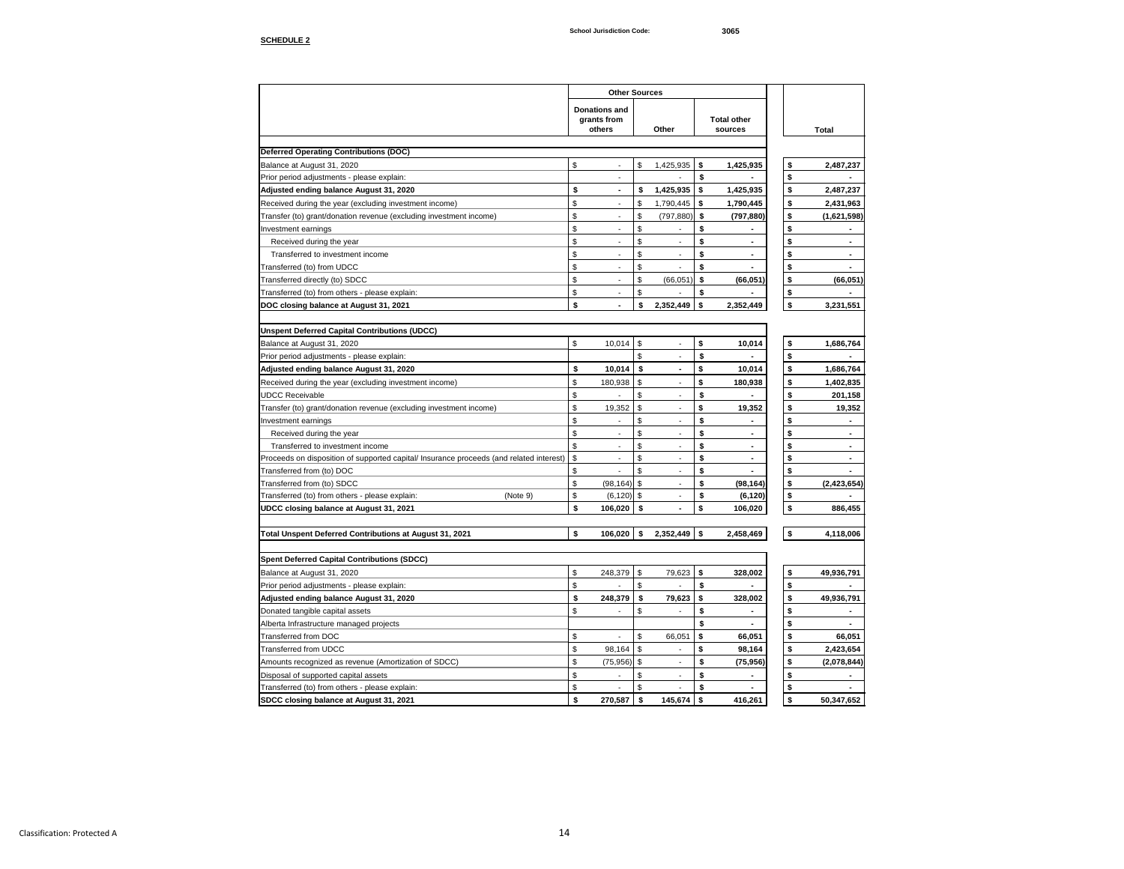|                                                                                                                             | <b>Other Sources</b>                          |     |            |                                |    |                          |
|-----------------------------------------------------------------------------------------------------------------------------|-----------------------------------------------|-----|------------|--------------------------------|----|--------------------------|
|                                                                                                                             | <b>Donations and</b><br>grants from<br>others |     | Other      | <b>Total other</b><br>sources  |    | Total                    |
|                                                                                                                             |                                               |     |            |                                |    |                          |
| <b>Deferred Operating Contributions (DOC)</b>                                                                               |                                               |     |            |                                |    |                          |
| Balance at August 31, 2020                                                                                                  | \$<br>×.                                      | \$  | 1,425,935  | \$<br>1,425,935                | \$ | 2,487,237                |
| Prior period adjustments - please explain:                                                                                  |                                               |     |            | \$                             | s  |                          |
| Adjusted ending balance August 31, 2020                                                                                     | \$<br>$\overline{a}$                          | \$  | 1,425,935  | \$<br>1,425,935                | \$ | 2,487,237                |
| Received during the year (excluding investment income)                                                                      | \$                                            | S   | 1,790,445  | \$<br>1,790,445                | \$ | 2,431,963                |
| Transfer (to) grant/donation revenue (excluding investment income)                                                          | \$                                            | S   | (797, 880) | \$<br>(797, 880)               | \$ | (1,621,598)              |
| Investment earnings                                                                                                         | \$                                            | \$  |            | \$                             | \$ |                          |
| Received during the year                                                                                                    | \$                                            | \$  | ×,         | \$                             | \$ |                          |
| Transferred to investment income                                                                                            | \$<br>٠                                       | \$  | ٠          | \$<br>٠                        | \$ | $\sim$                   |
| Transferred (to) from UDCC                                                                                                  | \$<br>÷                                       | \$  | ×          | \$<br>$\overline{\phantom{a}}$ | \$ | $\blacksquare$           |
| Transferred directly (to) SDCC                                                                                              | \$<br>$\overline{\phantom{a}}$                | \$  | (66, 051)  | \$<br>(66, 051)                |    | \$<br>(66, 051)          |
| Transferred (to) from others - please explain:                                                                              | \$<br>$\overline{\phantom{a}}$                | \$  |            | \$                             | \$ | $\blacksquare$           |
| DOC closing balance at August 31, 2021                                                                                      | \$<br>٠                                       | \$  | 2,352,449  | \$<br>2,352,449                | \$ | 3,231,551                |
|                                                                                                                             |                                               |     |            |                                |    |                          |
| Unspent Deferred Capital Contributions (UDCC)                                                                               |                                               |     |            |                                |    |                          |
| Balance at August 31, 2020                                                                                                  | \$<br>10,014                                  | \$  |            | \$<br>10,014                   | \$ | 1,686,764                |
| Prior period adjustments - please explain:                                                                                  |                                               | S   | ä,         | \$                             | \$ |                          |
| Adjusted ending balance August 31, 2020                                                                                     | \$<br>10,014                                  | \$  | ä,         | \$<br>10,014                   | \$ | 1,686,764                |
| Received during the year (excluding investment income)                                                                      | \$<br>180,938                                 | S   | ×.         | \$<br>180,938                  | \$ | 1,402,835                |
| <b>UDCC Receivable</b>                                                                                                      | \$                                            | \$  | ×.         | \$                             | \$ | 201,158                  |
|                                                                                                                             | \$                                            | \$  | ×,         | \$<br>19,352                   | \$ |                          |
| Transfer (to) grant/donation revenue (excluding investment income)<br>Investment earnings                                   | \$<br>19,352<br>ä,                            | \$  | ×,         | \$                             | \$ | 19,352<br>$\blacksquare$ |
| Received during the year                                                                                                    | \$                                            | S   |            | \$                             | \$ |                          |
|                                                                                                                             | \$<br>٠                                       | \$  | ٠          | \$<br>٠                        | \$ | $\sim$                   |
| Transferred to investment income<br>Proceeds on disposition of supported capital/ Insurance proceeds (and related interest) | \$                                            | \$  | ×,         | \$                             | \$ | $\blacksquare$           |
| Transferred from (to) DOC                                                                                                   | \$<br>ä,                                      | \$  | ×,         | \$                             | \$ | $\blacksquare$           |
| Transferred from (to) SDCC                                                                                                  | \$<br>(98, 164)                               | \$  |            | \$<br>(98, 164)                | \$ | (2, 423, 654)            |
| Transferred (to) from others - please explain:<br>(Note 9)                                                                  | \$<br>(6, 120)                                | \$  | ٠          | \$<br>(6, 120)                 | \$ |                          |
| UDCC closing balance at August 31, 2021                                                                                     | \$<br>106,020                                 | Ŝ   |            | \$<br>106,020                  | \$ | 886,455                  |
|                                                                                                                             |                                               |     |            |                                |    |                          |
| Total Unspent Deferred Contributions at August 31, 2021                                                                     | \$<br>106,020                                 | \$  | 2,352,449  | \$<br>2,458,469                | \$ | 4,118,006                |
| Spent Deferred Capital Contributions (SDCC)                                                                                 |                                               |     |            |                                |    |                          |
| Balance at August 31, 2020                                                                                                  | \$<br>248,379                                 | \$  | 79,623     | \$<br>328,002                  | \$ | 49,936,791               |
| Prior period adjustments - please explain:                                                                                  | \$                                            | S   |            | \$                             | \$ |                          |
| Adjusted ending balance August 31, 2020                                                                                     | \$<br>248,379                                 | Ś   | 79,623     | \$<br>328,002                  | \$ | 49,936,791               |
| Donated tangible capital assets                                                                                             | \$                                            | \$  |            | \$                             | \$ |                          |
| Alberta Infrastructure managed projects                                                                                     |                                               |     |            | \$                             | \$ |                          |
| <b>Transferred from DOC</b>                                                                                                 | \$                                            | \$  | 66,051     | \$<br>66.051                   | \$ | 66,051                   |
| <b>Transferred from UDCC</b>                                                                                                | \$<br>98,164                                  | \$  |            | \$<br>98,164                   | \$ | 2,423,654                |
| Amounts recognized as revenue (Amortization of SDCC)                                                                        | \$<br>(75, 956)                               | \$  | ٠          | \$<br>(75, 956)                | \$ | (2,078,844)              |
| Disposal of supported capital assets                                                                                        | \$                                            | \$  | ٠          | \$<br>٠                        | \$ | $\blacksquare$           |
| Transferred (to) from others - please explain:                                                                              | \$<br>ä,                                      | \$. | ×.         | \$<br>$\blacksquare$           | \$ | $\sim$                   |
| SDCC closing balance at August 31, 2021                                                                                     | \$<br>270,587                                 | \$  | 145,674    | \$<br>416,261                  | \$ | 50,347,652               |
|                                                                                                                             |                                               |     |            |                                |    |                          |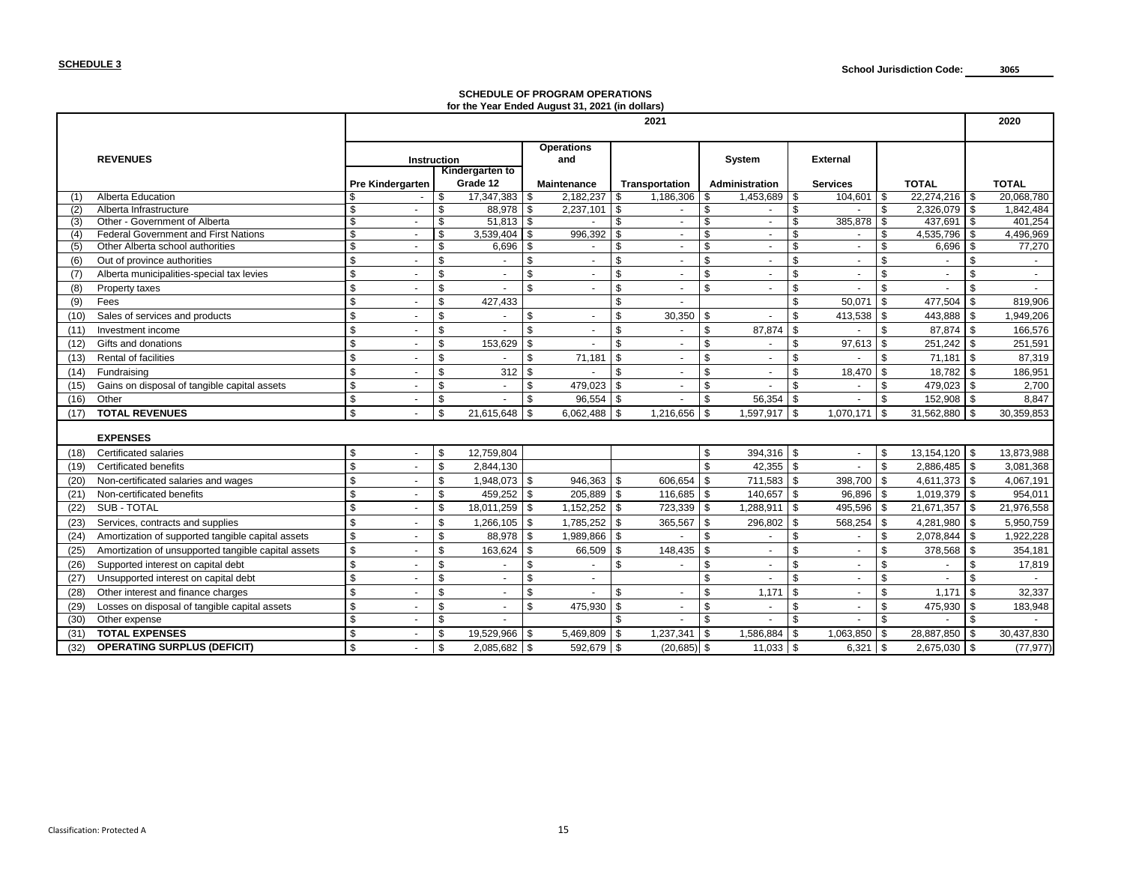#### **SCHEDULE OF PROGRAM OPERATIONS for the Year Ended August 31, 2021 (in dollars)**

|            |                                                     | 2021             |                    |                          |                         |                |                          |                |                     |                |                |            | 2020            |                |                            |          |                         |
|------------|-----------------------------------------------------|------------------|--------------------|--------------------------|-------------------------|----------------|--------------------------|----------------|---------------------|----------------|----------------|------------|-----------------|----------------|----------------------------|----------|-------------------------|
|            | <b>REVENUES</b>                                     |                  | <b>Instruction</b> |                          |                         |                | <b>Operations</b><br>and |                |                     | System         |                |            | <b>External</b> |                |                            |          |                         |
|            |                                                     |                  |                    |                          | Kindergarten to         |                |                          |                |                     |                |                |            |                 |                |                            |          |                         |
|            | <b>Alberta Education</b>                            | Pre Kindergarten |                    |                          | Grade 12                |                | <b>Maintenance</b>       |                | Transportation      |                | Administration |            | <b>Services</b> |                | <b>TOTAL</b>               |          | <b>TOTAL</b>            |
| (1)<br>(2) | Alberta Infrastructure                              |                  | $\sim$             | \$<br>$\mathbf{\hat{S}}$ | 17,347,383 \$<br>88.978 | l \$           | 2,182,237<br>2,237,101   | S.<br>\$       | 1,186,306<br>$\sim$ | \$.            | 1,453,689 \$   | \$.        | 104,601         | -\$<br>\$      | 22,274,216 \$<br>2.326.079 | l \$     | 20,068,780<br>1,842,484 |
| (3)        | Other - Government of Alberta                       | \$               |                    | \$                       | $51.813$ \ \$           |                |                          | \$             | $\blacksquare$      | \$             |                | \$         | 385,878         | \$             | 437,691                    | -\$      | 401,254                 |
| (4)        | Federal Government and First Nations                | \$               | $\sim$             | \$                       | $3,539,404$ \$          |                | 996,392                  | \$             | $\sim$              | \$.            |                | \$         | $\blacksquare$  | \$             | 4,535,796                  |          | 4,496,969               |
| (5)        | Other Alberta school authorities                    | \$               | $\sim$             | \$                       | 6,696                   | \$             | $\sim$                   | \$             | $\sim$              | \$.            | $\sim$         | \$.        | $\sim$          | \$             | 6,696                      |          | 77,270                  |
| (6)        | Out of province authorities                         | \$               |                    | \$                       |                         | \$             |                          | \$             |                     |                |                | \$         | $\blacksquare$  |                |                            |          |                         |
| (7)        | Alberta municipalities-special tax levies           | \$               |                    | \$                       |                         | $\mathfrak{L}$ | $\blacksquare$           | $\mathfrak{L}$ |                     | $\mathfrak{L}$ |                | \$         | $\blacksquare$  |                |                            |          | $\sim$                  |
| (8)        | Property taxes                                      | \$               |                    | \$                       |                         | $\mathfrak{L}$ |                          | \$             |                     | \$             |                | \$         |                 |                |                            |          |                         |
| (9)        | Fees                                                | \$               |                    | \$                       | 427,433                 |                |                          | \$.            |                     |                |                | \$         | 50.071          | \$             | 477.504                    |          | 819,906                 |
| (10)       | Sales of services and products                      | \$               |                    | \$                       |                         | \$             |                          | \$             | 30,350              | \$             |                | \$         | 413,538         | \$             | 443,888                    | . ጽ      | 1,949,206               |
| (11)       | Investment income                                   | $\mathbb{S}$     |                    | \$                       |                         | \$             |                          | \$             |                     |                | 87,874 \$      |            |                 | \$.            | 87,874                     | . ጽ      | 166,576                 |
| (12)       | Gifts and donations                                 | $\mathbb{S}$     |                    | \$                       | 153,629                 | \$             |                          | \$             |                     | $\mathfrak{S}$ |                | \$         | 97,613          | \$             | 251,242                    |          | 251,591                 |
| (13)       | Rental of facilities                                | \$               |                    | \$                       |                         | \$             | 71,181                   | \$             |                     | \$             |                | \$         |                 | \$             | 71,181                     | -S       | 87,319                  |
| (14)       | Fundraising                                         | \$               |                    | \$                       | 312                     | \$             |                          | \$             |                     |                |                | \$         | 18,470          | £.             | 18,782                     | . ጽ      | 186,951                 |
| (15)       | Gains on disposal of tangible capital assets        | \$               |                    | \$                       |                         | \$             | 479,023                  | $\mathfrak{L}$ |                     | \$             |                | \$         |                 |                | 479,023                    |          | 2,700                   |
| (16)       | Other                                               | \$               |                    | \$                       |                         | \$             | 96,554                   | \$             |                     | \$             | $56,354$ \$    |            |                 | \$             | 152,908 \$                 |          | 8,847                   |
| (17)       | <b>TOTAL REVENUES</b>                               | $\mathbf{s}$     |                    | \$                       | 21,615,648              | l \$           | 6,062,488                | $\mathbf{s}$   | 1,216,656           | \$.            | 1,597,917 \$   |            | 1,070,171       | \$             | 31,562,880                 | <b>S</b> | 30,359,853              |
|            |                                                     |                  |                    |                          |                         |                |                          |                |                     |                |                |            |                 |                |                            |          |                         |
|            | <b>EXPENSES</b>                                     |                  |                    |                          |                         |                |                          |                |                     |                |                |            |                 |                |                            |          |                         |
| (18)       | Certificated salaries                               | \$               |                    | \$                       | 12,759,804              |                |                          |                |                     | \$             | $394,316$ \$   |            |                 | \$             | 13,154,120 \$              |          | 13,873,988              |
| (19)       | Certificated benefits                               | $\mathbb{S}$     |                    | \$                       | 2,844,130               |                |                          |                |                     | $\mathbf{\$}$  | $42,355$ \$    |            |                 | $\mathfrak{L}$ | 2,886,485                  | <b>S</b> | 3,081,368               |
| (20)       | Non-certificated salaries and wages                 | \$               |                    | \$                       | $1,948,073$ \$          |                | 946,363                  | $\sqrt{3}$     | 606,654             | \$             | 711,583 \$     |            | 398,700         | \$             | $4,611,373$ \$             |          | 4,067,191               |
| (21)       | Non-certificated benefits                           | \$               |                    | \$                       | 459.252 \$              |                | 205,889                  | <b>S</b>       | 116,685             | \$.            | 140,657 \$     |            | 96,896          | \$             | 1,019,379                  | l \$     | 954,011                 |
| (22)       | <b>SUB - TOTAL</b>                                  | \$               |                    | \$                       | 18,011,259 \$           |                | 1,152,252                | \$             | 723,339             | \$             | $1,288,911$ \$ |            | 495,596         | \$             | 21,671,357                 | \$       | 21,976,558              |
| (23)       | Services, contracts and supplies                    | \$               |                    | \$                       | $1,266,105$ \$          |                | 1,785,252                | \$             | 365,567             | \$             | 296,802 \$     |            | 568,254         | \$             | 4,281,980                  |          | 5,950,759               |
| (24)       | Amortization of supported tangible capital assets   | \$               |                    | \$                       | 88,978 \$               |                | 1,989,866                | <b>S</b>       |                     |                |                | \$         |                 | \$             | 2,078,844                  | . ጽ      | 1,922,228               |
| (25)       | Amortization of unsupported tangible capital assets | \$               |                    | \$                       | 163,624 \$              |                | 66,509                   | \$             | 148,435             | \$             |                | \$         | $\blacksquare$  | \$             | 378,568                    | l \$     | 354,181                 |
| (26)       | Supported interest on capital debt                  | \$               |                    | \$                       |                         | \$             |                          | \$             |                     | $\mathfrak{L}$ |                | \$         | $\blacksquare$  | \$             |                            |          | 17,819                  |
| (27)       | Unsupported interest on capital debt                | \$               |                    | \$                       |                         | \$             | $\mathbf{r}$             |                |                     | $\mathfrak{S}$ |                | \$         | $\sim$          | \$             |                            | ፍ        |                         |
| (28)       | Other interest and finance charges                  | \$               | $\sim$             | \$                       | $\overline{a}$          | \$             |                          | \$.            | $\sim$              | \$             | 1,171          | \$         | $\blacksquare$  | $\mathfrak{L}$ | 1,171                      |          | 32,337                  |
| (29)       | Losses on disposal of tangible capital assets       | \$               |                    | \$                       | ٠                       | \$             | 475,930                  | \$             |                     | \$             | $\sim$         | \$         | $\blacksquare$  | \$             | 475,930                    |          | 183,948                 |
| (30)       | Other expense                                       | \$               |                    | \$                       |                         |                |                          | \$             |                     | $\mathfrak{S}$ |                | \$         |                 |                |                            |          |                         |
| (31)       | <b>TOTAL EXPENSES</b>                               | \$               |                    | \$                       | 19,529,966              | l \$           | 5,469,809                | $\sqrt{3}$     | 1,237,341           | \$             | 1,586,884      | $\sqrt{3}$ | 1,063,850       | \$             | 28,887,850                 |          | 30,437,830              |
| (32)       | <b>OPERATING SURPLUS (DEFICIT)</b>                  | \$               |                    | $\mathbb{S}$             | $2,085,682$ \$          |                | 592,679 \$               |                | $(20.685)$ \$       |                | $11.033$ \$    |            | $6.321$ \$      |                | 2,675,030 \$               |          | (77, 977)               |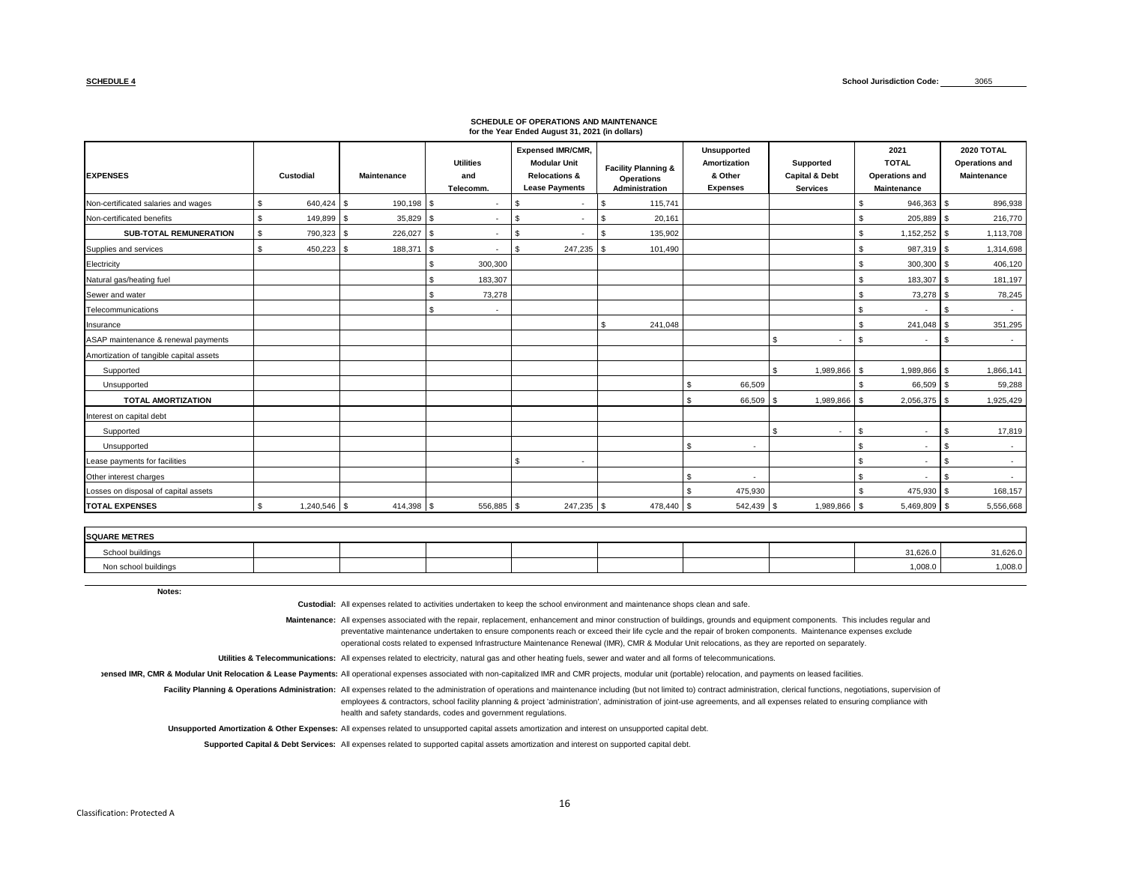**SCHEDULE 4 School Jurisdiction Code:** 3065

| <b>EXPENSES</b>                         | Custodial            | Maintenance         |     | <b>Utilities</b><br>and<br>Telecomm. |     | <b>Expensed IMR/CMR,</b><br><b>Modular Unit</b><br><b>Relocations &amp;</b><br><b>Lease Payments</b> |                | <b>Facility Planning &amp;</b><br><b>Operations</b><br>Administration |                | <b>Unsupported</b><br>Amortization<br>& Other<br><b>Expenses</b> |    | Supported<br><b>Capital &amp; Debt</b><br><b>Services</b> |              | 2021<br><b>TOTAL</b><br><b>Operations and</b><br>Maintenance | <b>2020 TOTAL</b><br>Operations and<br><b>Maintenance</b> |
|-----------------------------------------|----------------------|---------------------|-----|--------------------------------------|-----|------------------------------------------------------------------------------------------------------|----------------|-----------------------------------------------------------------------|----------------|------------------------------------------------------------------|----|-----------------------------------------------------------|--------------|--------------------------------------------------------------|-----------------------------------------------------------|
| Non-certificated salaries and wages     | \$<br>640,424        | \$<br>$190, 198$ \$ |     |                                      | \$  |                                                                                                      | $\mathfrak{L}$ | 115,741                                                               |                |                                                                  |    |                                                           | \$           | 946,363                                                      | \$<br>896,938                                             |
| Non-certificated benefits               | 149,899 \$           | $35,829$ \$         |     | ×.                                   | \$  |                                                                                                      |                | 20,161                                                                |                |                                                                  |    |                                                           | \$           | 205,889 \$                                                   | 216,770                                                   |
| <b>SUB-TOTAL REMUNERATION</b>           | \$<br>790,323 \$     | 226,027 \$          |     |                                      | \$. |                                                                                                      |                | 135,902                                                               |                |                                                                  |    |                                                           | \$           | $1,152,252$ \$                                               | 1,113,708                                                 |
| Supplies and services                   | \$<br>450,223        | \$<br>188,371       | l s |                                      | \$  | 247,235 \$                                                                                           |                | 101,490                                                               |                |                                                                  |    |                                                           | s.           | 987,319 \$                                                   | 1,314,698                                                 |
| Electricity                             |                      |                     | \$  | 300,300                              |     |                                                                                                      |                |                                                                       |                |                                                                  |    |                                                           | \$           | 300,300 \$                                                   | 406,120                                                   |
| Natural gas/heating fuel                |                      |                     | \$  | 183,307                              |     |                                                                                                      |                |                                                                       |                |                                                                  |    |                                                           | \$           | 183,307 \$                                                   | 181,197                                                   |
| Sewer and water                         |                      |                     | £.  | 73,278                               |     |                                                                                                      |                |                                                                       |                |                                                                  |    |                                                           | \$           | $73,278$ \$                                                  | 78,245                                                    |
| Telecommunications                      |                      |                     | \$  | $\overline{\phantom{a}}$             |     |                                                                                                      |                |                                                                       |                |                                                                  |    |                                                           | \$           |                                                              | \$                                                        |
| Insurance                               |                      |                     |     |                                      |     |                                                                                                      | \$             | 241,048                                                               |                |                                                                  |    |                                                           | \$           | 241,048 \$                                                   | 351,295                                                   |
| ASAP maintenance & renewal payments     |                      |                     |     |                                      |     |                                                                                                      |                |                                                                       |                |                                                                  | S  | $\sim$                                                    | \$           | ٠                                                            | \$<br>$\sim$                                              |
| Amortization of tangible capital assets |                      |                     |     |                                      |     |                                                                                                      |                |                                                                       |                |                                                                  |    |                                                           |              |                                                              |                                                           |
| Supported                               |                      |                     |     |                                      |     |                                                                                                      |                |                                                                       |                |                                                                  | \$ | 1,989,866 \$                                              |              | 1,989,866 \$                                                 | 1,866,141                                                 |
| Unsupported                             |                      |                     |     |                                      |     |                                                                                                      |                |                                                                       | \$             | 66,509                                                           |    |                                                           | \$           | 66,509 \$                                                    | 59,288                                                    |
| TOTAL AMORTIZATION                      |                      |                     |     |                                      |     |                                                                                                      |                |                                                                       | $\mathfrak{s}$ | 66,509 \$                                                        |    | 1,989,866 \$                                              |              | $2,056,375$ \$                                               | 1,925,429                                                 |
| Interest on capital debt                |                      |                     |     |                                      |     |                                                                                                      |                |                                                                       |                |                                                                  |    |                                                           |              |                                                              |                                                           |
| Supported                               |                      |                     |     |                                      |     |                                                                                                      |                |                                                                       |                |                                                                  | S  | $\sim$                                                    | \$           | ٠                                                            | \$<br>17,819                                              |
| Unsupported                             |                      |                     |     |                                      |     |                                                                                                      |                |                                                                       | \$             | ٠                                                                |    |                                                           | £.           | ٠                                                            | \$<br>$\sim$                                              |
| Lease payments for facilities           |                      |                     |     |                                      | \$. |                                                                                                      |                |                                                                       |                |                                                                  |    |                                                           | \$           | ٠                                                            | \$<br>$\sim$                                              |
| Other interest charges                  |                      |                     |     |                                      |     |                                                                                                      |                |                                                                       | \$             | ٠                                                                |    |                                                           | \$           | ٠                                                            | \$<br>$\sim$                                              |
| Losses on disposal of capital assets    |                      |                     |     |                                      |     |                                                                                                      |                |                                                                       | \$.            | 475,930                                                          |    |                                                           | $\mathbf{s}$ | 475,930 \$                                                   | 168,157                                                   |
| <b>TOTAL EXPENSES</b>                   | \$<br>$1,240,546$ \$ | 414,398 \$          |     | 556,885 \$                           |     | 247,235 \$                                                                                           |                | 478,440 \$                                                            |                | 542,439 \$                                                       |    | 1,989,866 \$                                              |              | 5,469,809 \$                                                 | 5,556,668                                                 |

#### **SCHEDULE OF OPERATIONS AND MAINTENANCE for the Year Ended August 31, 2021 (in dollars)**

| <b>SQUARE METRES</b> |  |  |  |  |  |  |          |          |  |  |
|----------------------|--|--|--|--|--|--|----------|----------|--|--|
| School buildings     |  |  |  |  |  |  | 31,626.0 | 31,626.0 |  |  |
| Non school buildings |  |  |  |  |  |  | 1,008.0  | 0.800,   |  |  |

**Notes:**

Custodial: All expenses related to activities undertaken to keep the school environment and maintenance shops clean and safe.

Maintenance: All expenses associated with the repair, replacement, enhancement and minor construction of buildings, grounds and equipment components. This includes regular and preventative maintenance undertaken to ensure components reach or exceed their life cycle and the repair of broken components. Maintenance expenses exclude operational costs related to expensed Infrastructure Maintenance Renewal (IMR), CMR & Modular Unit relocations, as they are reported on separately.

Utilities & Telecommunications: All expenses related to electricity, natural gas and other heating fuels, sewer and water and all forms of telecommunications.

vensed IMR, CMR & Modular Unit Relocation & Lease Payments: All operational expenses associated with non-capitalized IMR and CMR projects, modular unit (portable) relocation, and payments on leased facilities.

Facility Planning & Operations Administration: All expenses related to the administration of operations and maintenance including (but not limited to) contract administration, clerical functions, negotiations, supervision employees & contractors, school facility planning & project 'administration', administration of joint-use agreements, and all expenses related to ensuring compliance with health and safety standards, codes and government regulations.

Unsupported Amortization & Other Expenses: All expenses related to unsupported capital assets amortization and interest on unsupported capital debt.

**Supported Capital & Debt Services:** All expenses related to supported capital assets amortization and interest on supported capital debt.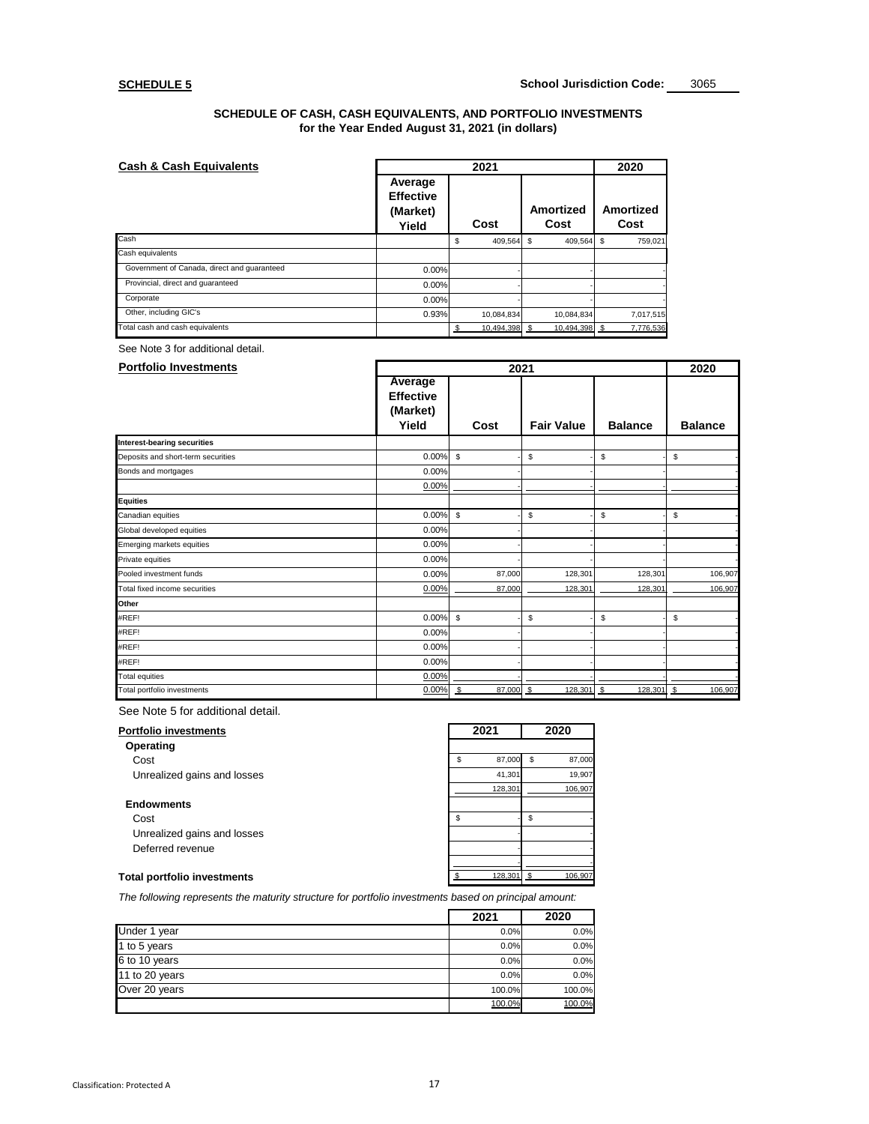#### **SCHEDULE OF CASH, CASH EQUIVALENTS, AND PORTFOLIO INVESTMENTS for the Year Ended August 31, 2021 (in dollars)**

| <b>Cash &amp; Cash Equivalents</b>          |                                                  | 2021             |                      | 2020              |
|---------------------------------------------|--------------------------------------------------|------------------|----------------------|-------------------|
|                                             | Average<br><b>Effective</b><br>(Market)<br>Yield | Cost             | Amortized<br>Cost    | Amortized<br>Cost |
| Cash                                        |                                                  | 409,564<br>\$    | Ŝ.<br>409,564 \$     | 759,021           |
| Cash equivalents                            |                                                  |                  |                      |                   |
| Government of Canada, direct and quaranteed | 0.00%                                            |                  |                      |                   |
| Provincial, direct and quaranteed           | 0.00%                                            |                  |                      |                   |
| Corporate                                   | 0.00%                                            |                  |                      |                   |
| Other, including GIC's                      | 0.93%                                            | 10.084.834       | 10,084,834           | 7,017,515         |
| Total cash and cash equivalents             |                                                  | 10,494,398<br>£. | 10,494,398 \$<br>\$. | 7,776,536         |

See Note 3 for additional detail.

| <b>Portfolio Investments</b>       |                                                  |                        | 2021              |                         | 2020                    |  |  |
|------------------------------------|--------------------------------------------------|------------------------|-------------------|-------------------------|-------------------------|--|--|
|                                    | Average<br><b>Effective</b><br>(Market)<br>Yield | Cost                   | <b>Fair Value</b> | <b>Balance</b>          | <b>Balance</b>          |  |  |
| Interest-bearing securities        |                                                  |                        |                   |                         |                         |  |  |
| Deposits and short-term securities | 0.00%                                            | \$                     | \$                | \$                      | \$                      |  |  |
| Bonds and mortgages                | 0.00%                                            |                        |                   |                         |                         |  |  |
|                                    | 0.00%                                            |                        |                   |                         |                         |  |  |
| <b>Equities</b>                    |                                                  |                        |                   |                         |                         |  |  |
| Canadian equities                  | 0.00%                                            | \$                     | \$                | \$                      | \$                      |  |  |
| Global developed equities          | 0.00%                                            |                        |                   |                         |                         |  |  |
| Emerging markets equities          | 0.00%                                            |                        |                   |                         |                         |  |  |
| Private equities                   | 0.00%                                            |                        |                   |                         |                         |  |  |
| Pooled investment funds            | 0.00%                                            | 87,000                 | 128,301           | 128,301                 | 106,907                 |  |  |
| Total fixed income securities      | 0.00%                                            | 87,000                 | 128,301           | 128,301                 | 106,907                 |  |  |
| Other                              |                                                  |                        |                   |                         |                         |  |  |
| #REF!                              | 0.00%                                            | \$                     | \$                | \$                      | \$                      |  |  |
| #REF!                              | 0.00%                                            |                        |                   |                         |                         |  |  |
| #REF!                              | 0.00%                                            |                        |                   |                         |                         |  |  |
| #REF!                              | 0.00%                                            |                        |                   |                         |                         |  |  |
| <b>Total equities</b>              | 0.00%                                            |                        |                   |                         |                         |  |  |
| Total portfolio investments        | 0.00%                                            | 87.000<br>$\mathbf{s}$ | 128.301<br>\$     | $\mathbf{s}$<br>128.301 | $\mathbb{S}$<br>106,907 |  |  |

#### See Note 5 for additional detail.

| <b>Portfolio investments</b>       | 2021 | 2020                   |
|------------------------------------|------|------------------------|
| Operating                          |      |                        |
| Cost                               | S    | 87,000<br>87,000<br>\$ |
| Unrealized gains and losses        |      | 19,907<br>41,301       |
|                                    |      | 128,301<br>106,907     |
| <b>Endowments</b>                  |      |                        |
| Cost                               | \$   | S                      |
| Unrealized gains and losses        |      |                        |
| Deferred revenue                   |      |                        |
|                                    |      |                        |
| <b>Total portfolio investments</b> |      | 128.301<br>106.907     |

*The following represents the maturity structure for portfolio investments based on principal amount:*

|                | 2021   | 2020   |
|----------------|--------|--------|
| Under 1 year   | 0.0%   | 0.0%   |
| 1 to 5 years   | 0.0%   | 0.0%   |
| 6 to 10 years  | 0.0%   | 0.0%   |
| 11 to 20 years | 0.0%   | 0.0%   |
| Over 20 years  | 100.0% | 100.0% |
|                | 100.0% | 100.0% |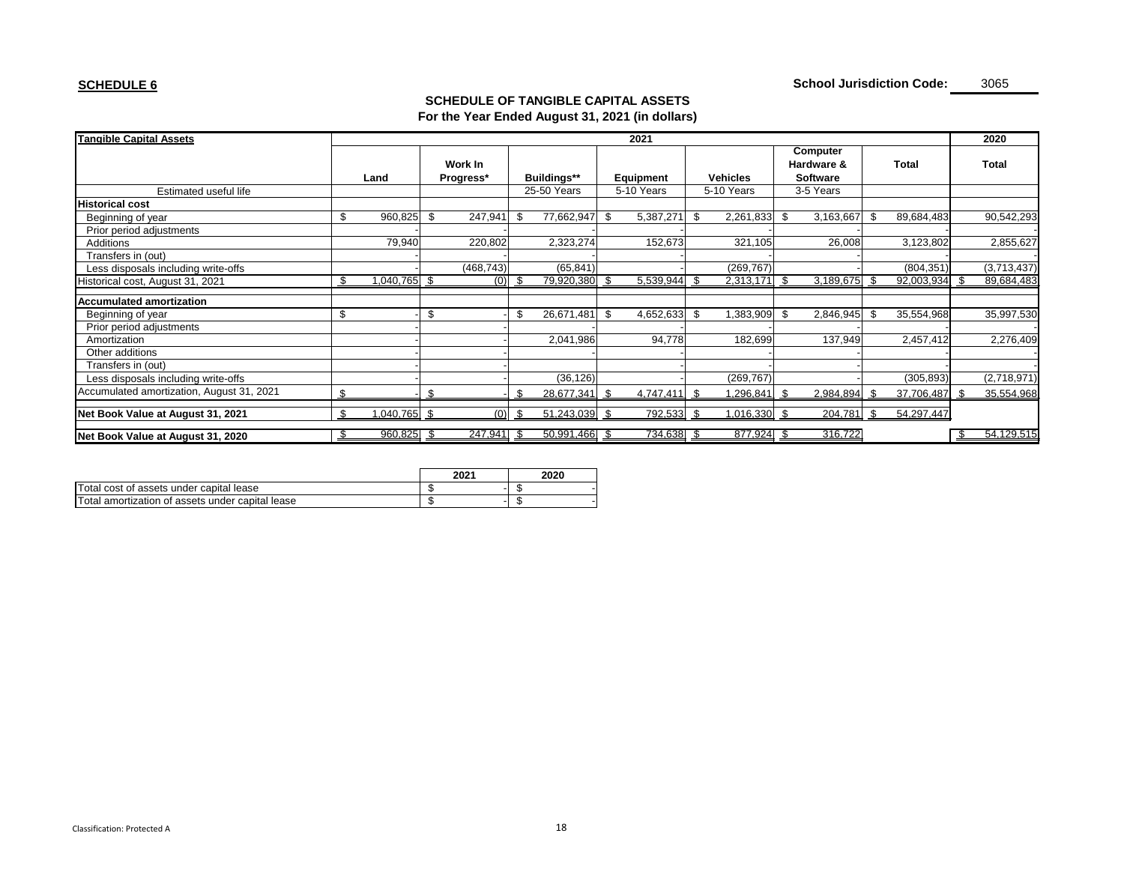# **SCHEDULE 6 School Jurisdiction Code:** 3065

#### **SCHEDULE OF TANGIBLE CAPITAL ASSETS For the Year Ended August 31, 2021 (in dollars)**

| <b>Tangible Capital Assets</b>            |    | 2021          |      |            |      |                 |      |                  |     |                 |      |                 |  |              |     | 2020        |
|-------------------------------------------|----|---------------|------|------------|------|-----------------|------|------------------|-----|-----------------|------|-----------------|--|--------------|-----|-------------|
|                                           |    |               |      |            |      |                 |      |                  |     |                 |      | Computer        |  |              |     |             |
|                                           |    |               |      | Work In    |      |                 |      |                  |     |                 |      | Hardware &      |  | <b>Total</b> |     | Total       |
|                                           |    | Land          |      | Progress*  |      | Buildings**     |      | <b>Equipment</b> |     | <b>Vehicles</b> |      | <b>Software</b> |  |              |     |             |
| Estimated useful life                     |    |               |      |            |      | 25-50 Years     |      | 5-10 Years       |     | 5-10 Years      |      | 3-5 Years       |  |              |     |             |
| <b>Historical cost</b>                    |    |               |      |            |      |                 |      |                  |     |                 |      |                 |  |              |     |             |
| Beginning of year                         | \$ | 960,825       | -\$  | 247,941    | -\$  | 77,662,947      | -\$  | 5,387,271        | \$  | 2,261,833       | \$   | 3,163,667       |  | 89,684,483   |     | 90,542,293  |
| Prior period adjustments                  |    |               |      |            |      |                 |      |                  |     |                 |      |                 |  |              |     |             |
| Additions                                 |    | 79,940        |      | 220,802    |      | 2,323,274       |      | 152,673          |     | 321,105         |      | 26,008          |  | 3,123,802    |     | 2,855,627   |
| Transfers in (out)                        |    |               |      |            |      |                 |      |                  |     |                 |      |                 |  |              |     |             |
| Less disposals including write-offs       |    |               |      | (468, 743) |      | (65, 841)       |      |                  |     | (269, 767)      |      |                 |  | (804, 351)   |     | (3,713,437) |
| Historical cost, August 31, 2021          | \$ | $.040.765$ \$ |      | $(0)$ \$   |      | 79,920,380      | - \$ | 5,539,944 \$     |     | 2,313,171       | - \$ | 3,189,675       |  | 92,003,934   |     | 89,684,483  |
| <b>Accumulated amortization</b>           |    |               |      |            |      |                 |      |                  |     |                 |      |                 |  |              |     |             |
| Beginning of year                         | \$ |               |      |            | \$   | 26,671,481      | - \$ | 4,652,633        | \$  | 1,383,909       | \$   | 2,846,945       |  | 35,554,968   |     | 35,997,530  |
| Prior period adjustments                  |    |               |      |            |      |                 |      |                  |     |                 |      |                 |  |              |     |             |
| Amortization                              |    |               |      |            |      | 2,041,986       |      | 94,778           |     | 182,699         |      | 137,949         |  | 2,457,412    |     | 2,276,409   |
| Other additions                           |    |               |      |            |      |                 |      |                  |     |                 |      |                 |  |              |     |             |
| Transfers in (out)                        |    |               |      |            |      |                 |      |                  |     |                 |      |                 |  |              |     |             |
| Less disposals including write-offs       |    |               |      |            |      | (36, 126)       |      |                  |     | (269, 767)      |      |                 |  | (305, 893)   |     | (2,718,971) |
| Accumulated amortization, August 31, 2021 | \$ |               |      |            | \$   | 28,677,341      | - \$ | 4,747,411        | -\$ | 1,296,841       | \$   | 2,984,894       |  | 37,706,487   |     | 35,554,968  |
| Net Book Value at August 31, 2021         | \$ | $.040.765$ \$ |      | (0)        | - \$ | $51,243,039$ \$ |      | 792,533          | -\$ | 1,016,330 \$    |      | 204,781         |  | 54,297,447   |     |             |
| Net Book Value at August 31, 2020         | ৬  | 960,825       | - \$ | 247,941    |      | 50,991,466      |      | 734,638          |     | 877,924         |      | 316,722         |  |              | - 5 | 54,129,515  |

|                                                  | $202^{\circ}$ | 2020 |
|--------------------------------------------------|---------------|------|
| Total cost of assets under capital lease         |               |      |
| Total amortization of assets under capital lease |               | - 17 |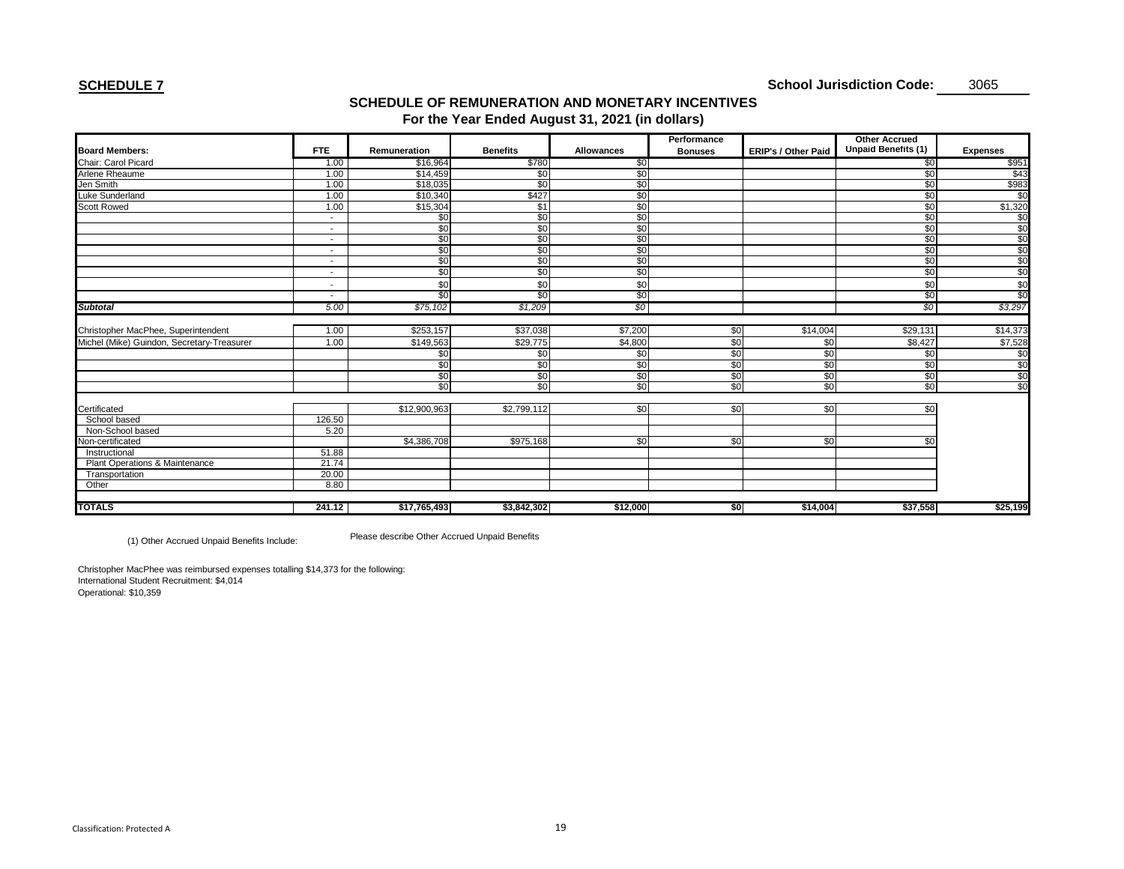#### **SCHEDULE 7 School Jurisdiction Code:** 3065

#### **SCHEDULE OF REMUNERATION AND MONETARY INCENTIVES**

#### **For the Year Ended August 31, 2021 (in dollars)**

|                                            |                          |              |                 |                   | Performance     |                     | <b>Other Accrued</b>       |                 |
|--------------------------------------------|--------------------------|--------------|-----------------|-------------------|-----------------|---------------------|----------------------------|-----------------|
| <b>Board Members:</b>                      | FTE                      | Remuneration | <b>Benefits</b> | <b>Allowances</b> | <b>Bonuses</b>  | ERIP's / Other Paid | <b>Unpaid Benefits (1)</b> | <b>Expenses</b> |
| Chair: Carol Picard                        | 1.00                     | \$16,964     | \$780           | \$0               |                 |                     | \$0                        | \$951           |
| Arlene Rheaume                             | 1.00                     | \$14,459     | \$0             | \$0               |                 |                     | \$0                        | \$43            |
| Jen Smith                                  | 1.00                     | \$18,035     | \$0             | \$0               |                 |                     | \$0                        | \$983           |
| <b>Luke Sunderland</b>                     | 1.00                     | \$10,340     | \$427           | \$0               |                 |                     | \$0                        | \$0             |
| <b>Scott Rowed</b>                         | 1.00                     | \$15,304     | \$1             | \$0               |                 |                     | \$0                        | \$1,320         |
|                                            | $\blacksquare$           | \$0          | \$0             | \$0               |                 |                     | \$0                        | \$0             |
|                                            | $\sim$                   | \$0          | \$0             | \$0               |                 |                     | \$0                        | \$0             |
|                                            | $\sim$                   | \$0          | \$0             | \$0               |                 |                     | \$0                        | \$0             |
|                                            | $\overline{\phantom{a}}$ | \$0          | \$0             | \$0               |                 |                     | \$0                        | \$0             |
|                                            | $\overline{\phantom{a}}$ | \$0          | \$0             | \$0               |                 |                     | \$0                        | \$0             |
|                                            | $\overline{\phantom{a}}$ | \$0          | \$0             | \$0               |                 |                     | \$0                        | \$0             |
|                                            | $\sim$                   | \$0          | \$0             | \$0               |                 |                     | \$0                        | \$0             |
|                                            | $\blacksquare$           | \$0          | \$0             | \$0               |                 |                     | \$0                        | \$0             |
| <b>Subtotal</b>                            | 5.00                     | \$75,102     | \$1,209         | \$0               |                 |                     | \$0                        | \$3,297         |
|                                            |                          |              |                 |                   |                 |                     |                            |                 |
| Christopher MacPhee, Superintendent        | 1.00                     | \$253,157    | \$37,038        | \$7,200           | \$0             | \$14,004            | \$29,131                   | \$14,373        |
| Michel (Mike) Guindon, Secretary-Treasurer | 1.00                     | \$149,563    | \$29,775        | \$4,800           | \$0             | \$0                 | \$8,427                    | \$7,528         |
|                                            |                          | \$0          | \$0             | \$0               | \$0             | \$0                 | \$0                        | \$0             |
|                                            |                          | \$0          | \$0             | \$0               | $\overline{30}$ | \$0                 | \$0                        | \$0             |
|                                            |                          | \$0          | \$0             | \$0               | \$0             | \$0                 | \$0                        | \$0             |
|                                            |                          | \$0          | \$0             | \$0               | \$0             | \$0                 | \$0                        | \$0             |
|                                            |                          |              |                 |                   |                 |                     |                            |                 |
| Certificated                               |                          | \$12,900,963 | \$2,799,112     | \$0               | \$0             | \$0                 | \$0                        |                 |
| School based                               | 126.50                   |              |                 |                   |                 |                     |                            |                 |
| Non-School based                           | 5.20                     |              |                 |                   |                 |                     |                            |                 |
| Non-certificated                           |                          | \$4,386,708  | \$975,168       | \$0               | \$0             | \$0                 | \$0                        |                 |
| Instructional                              | 51.88                    |              |                 |                   |                 |                     |                            |                 |
| Plant Operations & Maintenance             | 21.74                    |              |                 |                   |                 |                     |                            |                 |
| Transportation                             | 20.00                    |              |                 |                   |                 |                     |                            |                 |
| Other                                      | 8.80                     |              |                 |                   |                 |                     |                            |                 |
|                                            |                          |              |                 |                   |                 |                     |                            |                 |
| <b>TOTALS</b>                              | 241.12                   | \$17,765,493 | \$3,842,302     | \$12,000          | \$0             | \$14,004            | \$37,558                   | \$25,199        |

(1) Other Accrued Unpaid Benefits Include: Please describe Other Accrued Unpaid Benefits

Christopher MacPhee was reimbursed expenses totalling \$14,373 for the following: International Student Recruitment: \$4,014 Operational: \$10,359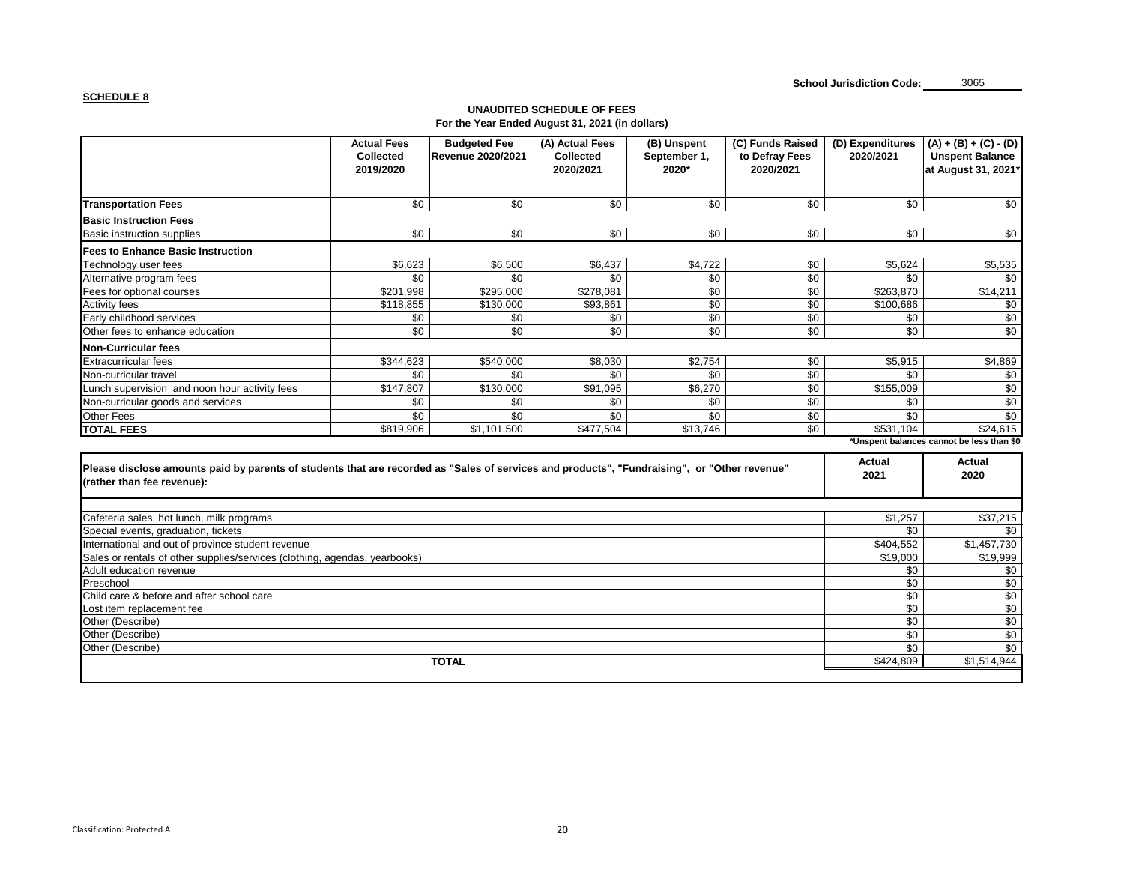#### **School Jurisdiction Code:** 3065

#### **SCHEDULE 8**

#### **UNAUDITED SCHEDULE OF FEES For the Year Ended August 31, 2021 (in dollars)**

|                                                                                                                                                                            | <b>Actual Fees</b><br>Collected<br>2019/2020 | <b>Budgeted Fee</b><br><b>Revenue 2020/2021</b> | (A) Actual Fees<br><b>Collected</b><br>2020/2021 | (B) Unspent<br>September 1,<br>2020* | (C) Funds Raised<br>to Defray Fees<br>2020/2021 | (D) Expenditures<br>2020/2021 | $(A) + (B) + (C) - (D)$<br><b>Unspent Balance</b><br>at August 31, 2021* |
|----------------------------------------------------------------------------------------------------------------------------------------------------------------------------|----------------------------------------------|-------------------------------------------------|--------------------------------------------------|--------------------------------------|-------------------------------------------------|-------------------------------|--------------------------------------------------------------------------|
| <b>Transportation Fees</b>                                                                                                                                                 | $\overline{50}$                              | $\overline{50}$                                 | \$0                                              | \$0                                  | $\overline{50}$                                 | \$0                           | \$0                                                                      |
| <b>Basic Instruction Fees</b>                                                                                                                                              |                                              |                                                 |                                                  |                                      |                                                 |                               |                                                                          |
| Basic instruction supplies                                                                                                                                                 | \$0                                          | \$0                                             | \$0                                              | \$0                                  | \$0                                             | \$0                           | \$0                                                                      |
| <b>Fees to Enhance Basic Instruction</b>                                                                                                                                   |                                              |                                                 |                                                  |                                      |                                                 |                               |                                                                          |
| Technology user fees                                                                                                                                                       | \$6,623                                      | \$6,500                                         | \$6,437                                          | \$4,722                              | \$0                                             | \$5,624                       | \$5,535                                                                  |
| Alternative program fees                                                                                                                                                   | $\overline{50}$                              | $\overline{50}$                                 | \$0                                              | \$0                                  | \$0                                             | \$0                           | \$0                                                                      |
| Fees for optional courses                                                                                                                                                  | \$201,998                                    | \$295,000                                       | \$278,081                                        | $\overline{50}$                      | $\sqrt{50}$                                     | \$263,870                     | \$14,211                                                                 |
| <b>Activity fees</b>                                                                                                                                                       | \$118,855                                    | \$130,000                                       | \$93,861                                         | \$0                                  | $\overline{50}$                                 | \$100,686                     | \$0                                                                      |
| Early childhood services                                                                                                                                                   | \$0                                          | \$0                                             | \$0                                              | \$0                                  | \$0                                             | \$0                           | \$0                                                                      |
| Other fees to enhance education                                                                                                                                            | \$0                                          | \$0                                             | \$0                                              | \$0                                  | \$0                                             | \$0                           | \$0                                                                      |
| <b>Non-Curricular fees</b>                                                                                                                                                 |                                              |                                                 |                                                  |                                      |                                                 |                               |                                                                          |
| <b>Extracurricular fees</b>                                                                                                                                                | \$344,623                                    | \$540,000                                       | \$8,030                                          | \$2,754                              | \$0                                             | \$5,915                       | \$4,869                                                                  |
| Non-curricular travel                                                                                                                                                      | \$0                                          | \$0                                             | \$0                                              | \$0                                  | $\overline{50}$                                 | \$0                           | \$0                                                                      |
| Lunch supervision and noon hour activity fees                                                                                                                              | \$147,807                                    | \$130,000                                       | \$91,095                                         | \$6,270                              | \$0                                             | \$155,009                     | $\sqrt{6}$                                                               |
| Non-curricular goods and services                                                                                                                                          | \$0                                          | \$0                                             | \$0                                              | \$0                                  | $\sqrt{50}$                                     | \$0                           | \$0                                                                      |
| <b>Other Fees</b>                                                                                                                                                          | \$0                                          | \$0                                             | \$0                                              | $\overline{30}$                      | \$0                                             | \$0                           | \$0                                                                      |
| <b>TOTAL FEES</b>                                                                                                                                                          | \$819,906                                    | \$1,101,500                                     | \$477,504                                        | \$13,746                             | \$0                                             | \$531,104                     | \$24,615                                                                 |
|                                                                                                                                                                            |                                              |                                                 |                                                  |                                      |                                                 |                               | *Unspent balances cannot be less than \$0                                |
| Please disclose amounts paid by parents of students that are recorded as "Sales of services and products", "Fundraising", or "Other revenue"<br>(rather than fee revenue): |                                              |                                                 |                                                  |                                      |                                                 | Actual<br>2021                | Actual<br>2020                                                           |
| Cafeteria sales, hot lunch, milk programs                                                                                                                                  |                                              |                                                 |                                                  |                                      |                                                 | \$1,257                       | \$37,215                                                                 |
| Special events, graduation, tickets                                                                                                                                        |                                              |                                                 |                                                  |                                      |                                                 | \$0                           | \$0                                                                      |
| International and out of province student revenue                                                                                                                          |                                              |                                                 |                                                  |                                      |                                                 | \$404,552                     | \$1,457,730                                                              |
| Sales or rentals of other supplies/services (clothing, agendas, yearbooks)                                                                                                 |                                              |                                                 |                                                  |                                      |                                                 | \$19,000                      | \$19,999                                                                 |
| Adult education revenue                                                                                                                                                    |                                              |                                                 |                                                  |                                      |                                                 | \$0                           | \$0                                                                      |
| Preschool                                                                                                                                                                  |                                              |                                                 |                                                  |                                      |                                                 | \$0                           | $\overline{50}$                                                          |
| Child care & before and after school care                                                                                                                                  |                                              |                                                 |                                                  |                                      |                                                 | $\overline{50}$               | $\sqrt{50}$                                                              |
| Lost item replacement fee                                                                                                                                                  |                                              |                                                 |                                                  |                                      |                                                 | $\overline{30}$               | $\sqrt{50}$                                                              |
| Other (Describe)                                                                                                                                                           |                                              |                                                 |                                                  |                                      |                                                 | $\overline{50}$               | \$0                                                                      |
| Other (Describe)                                                                                                                                                           |                                              |                                                 |                                                  |                                      |                                                 | \$0                           | \$0                                                                      |
| Other (Describe)                                                                                                                                                           |                                              |                                                 |                                                  |                                      |                                                 | $\overline{30}$               | \$0                                                                      |
|                                                                                                                                                                            |                                              | <b>TOTAL</b>                                    |                                                  |                                      |                                                 | \$424,809                     | \$1,514,944                                                              |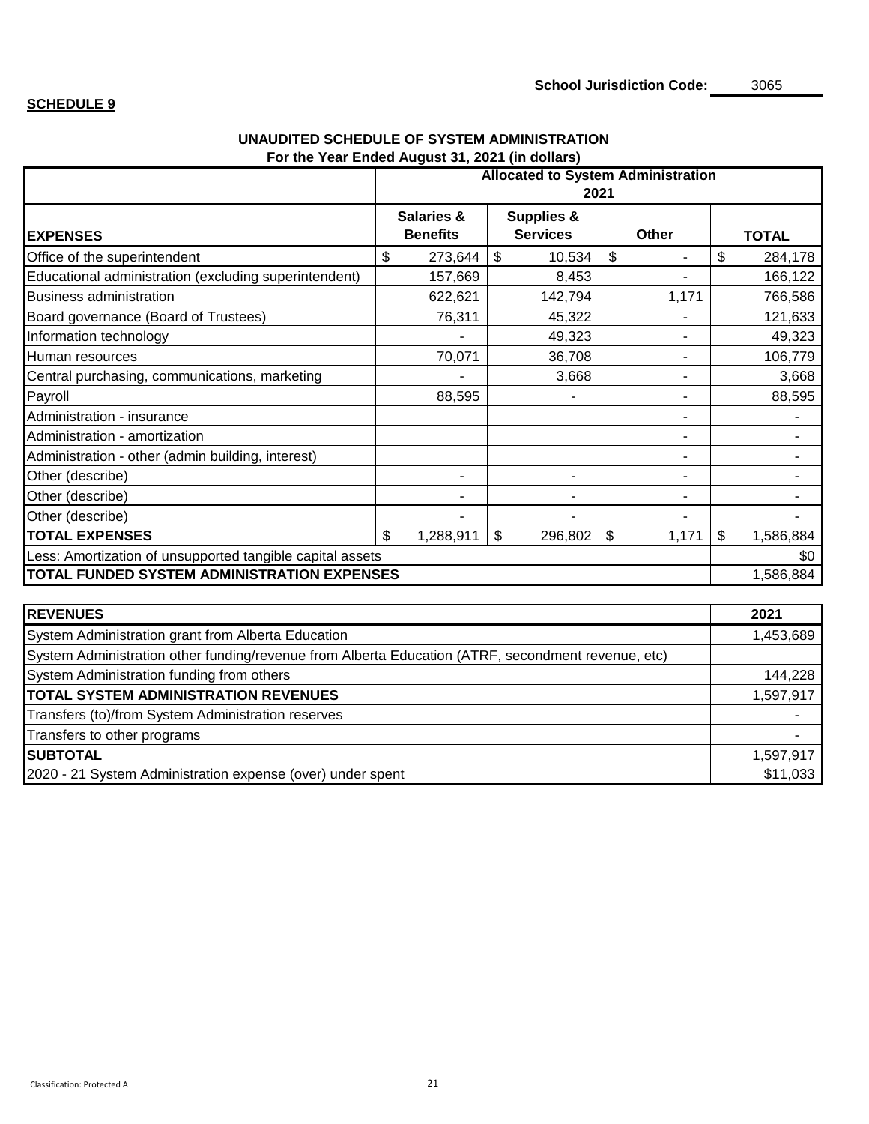#### **UNAUDITED SCHEDULE OF SYSTEM ADMINISTRATION For the Year Ended August 31, 2021 (in dollars)**

|                                                           |                                          | <b>Allocated to System Administration</b> | 2021                    |                 |
|-----------------------------------------------------------|------------------------------------------|-------------------------------------------|-------------------------|-----------------|
| <b>EXPENSES</b>                                           | <b>Salaries &amp;</b><br><b>Benefits</b> | <b>Supplies &amp;</b><br><b>Services</b>  | <b>Other</b>            | <b>TOTAL</b>    |
| Office of the superintendent                              | \$<br>273,644                            | \$<br>10,534                              | $\mathfrak{s}$          | \$<br>284,178   |
| Educational administration (excluding superintendent)     | 157,669                                  | 8,453                                     |                         | 166,122         |
| <b>Business administration</b>                            | 622,621                                  | 142,794                                   | 1,171                   | 766,586         |
| Board governance (Board of Trustees)                      | 76,311                                   | 45,322                                    |                         | 121,633         |
| Information technology                                    |                                          | 49,323                                    | -                       | 49,323          |
| Human resources                                           | 70,071                                   | 36,708                                    |                         | 106,779         |
| Central purchasing, communications, marketing             |                                          | 3,668                                     | -                       | 3,668           |
| Payroll                                                   | 88,595                                   |                                           |                         | 88,595          |
| Administration - insurance                                |                                          |                                           |                         |                 |
| Administration - amortization                             |                                          |                                           | -                       |                 |
| Administration - other (admin building, interest)         |                                          |                                           |                         |                 |
| Other (describe)                                          | ۰                                        |                                           | -                       |                 |
| Other (describe)                                          |                                          |                                           | -                       |                 |
| Other (describe)                                          |                                          |                                           |                         |                 |
| <b>TOTAL EXPENSES</b>                                     | \$<br>1,288,911                          | \$<br>296,802                             | $\mathfrak{S}$<br>1,171 | \$<br>1,586,884 |
| Less: Amortization of unsupported tangible capital assets |                                          |                                           |                         | \$0             |
| TOTAL FUNDED SYSTEM ADMINISTRATION EXPENSES               |                                          |                                           |                         | 1,586,884       |

| <b>REVENUES</b>                                                                                    | 2021      |
|----------------------------------------------------------------------------------------------------|-----------|
| System Administration grant from Alberta Education                                                 | 1,453,689 |
| System Administration other funding/revenue from Alberta Education (ATRF, secondment revenue, etc) |           |
| System Administration funding from others                                                          | 144,228   |
| <b>TOTAL SYSTEM ADMINISTRATION REVENUES</b>                                                        | 1,597,917 |
| Transfers (to)/from System Administration reserves                                                 |           |
| Transfers to other programs                                                                        |           |
| <b>SUBTOTAL</b>                                                                                    | 1,597,917 |
| 2020 - 21 System Administration expense (over) under spent                                         | \$11,033  |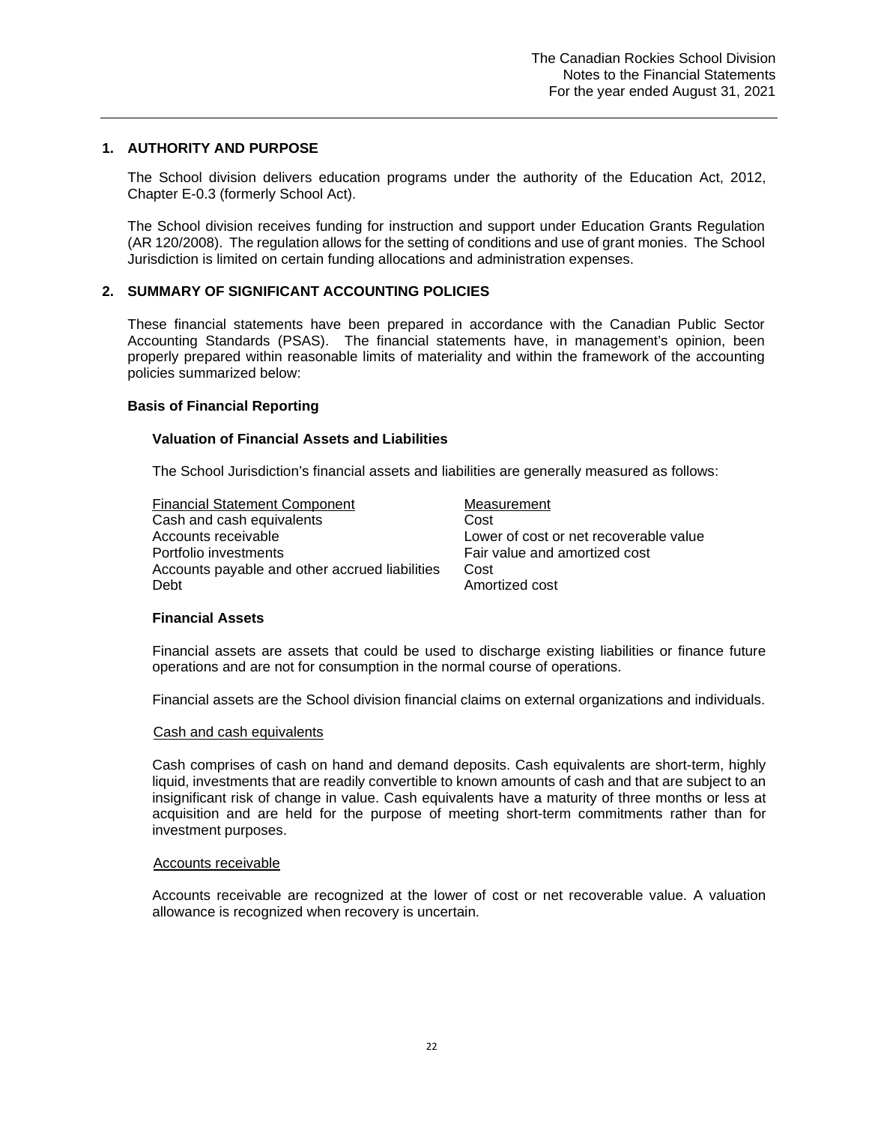# **1. AUTHORITY AND PURPOSE**

 The School division delivers education programs under the authority of the Education Act, 2012, Chapter E-0.3 (formerly School Act).

 The School division receives funding for instruction and support under Education Grants Regulation (AR 120/2008). The regulation allows for the setting of conditions and use of grant monies. The School Jurisdiction is limited on certain funding allocations and administration expenses.

#### **2. SUMMARY OF SIGNIFICANT ACCOUNTING POLICIES**

 These financial statements have been prepared in accordance with the Canadian Public Sector Accounting Standards (PSAS). The financial statements have, in management's opinion, been properly prepared within reasonable limits of materiality and within the framework of the accounting policies summarized below:

#### **Basis of Financial Reporting**

#### **Valuation of Financial Assets and Liabilities**

The School Jurisdiction's financial assets and liabilities are generally measured as follows:

Financial Statement Component Measurement Cash and cash equivalents Cost Accounts receivable Lower of cost or net recoverable value Portfolio investments Table 1 and 2 and 2 and 2 and 2 and 2 and 2 and 2 and 2 and 2 and 2 and 2 and 2 and 2 and 2 and 2 and 2 and 2 and 2 and 2 and 2 and 2 and 2 and 2 and 2 and 2 and 2 and 2 and 2 and 2 and 2 and 2 and 2 Accounts payable and other accrued liabilities Cost Debt **Debt** Amortized cost

#### **Financial Assets**

Financial assets are assets that could be used to discharge existing liabilities or finance future operations and are not for consumption in the normal course of operations.

Financial assets are the School division financial claims on external organizations and individuals.

#### Cash and cash equivalents

Cash comprises of cash on hand and demand deposits. Cash equivalents are short-term, highly liquid, investments that are readily convertible to known amounts of cash and that are subject to an insignificant risk of change in value. Cash equivalents have a maturity of three months or less at acquisition and are held for the purpose of meeting short-term commitments rather than for investment purposes.

#### Accounts receivable

Accounts receivable are recognized at the lower of cost or net recoverable value. A valuation allowance is recognized when recovery is uncertain.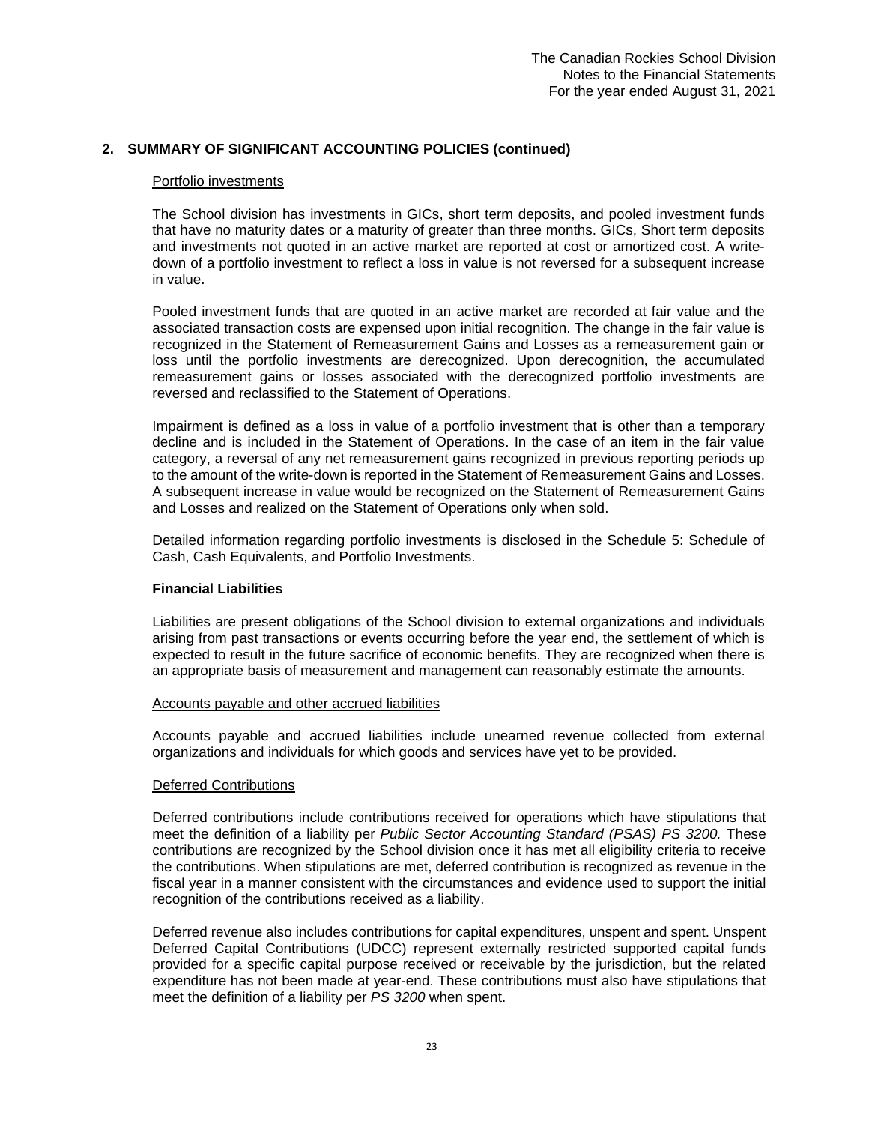#### Portfolio investments

The School division has investments in GICs, short term deposits, and pooled investment funds that have no maturity dates or a maturity of greater than three months. GICs, Short term deposits and investments not quoted in an active market are reported at cost or amortized cost. A writedown of a portfolio investment to reflect a loss in value is not reversed for a subsequent increase in value.

Pooled investment funds that are quoted in an active market are recorded at fair value and the associated transaction costs are expensed upon initial recognition. The change in the fair value is recognized in the Statement of Remeasurement Gains and Losses as a remeasurement gain or loss until the portfolio investments are derecognized. Upon derecognition, the accumulated remeasurement gains or losses associated with the derecognized portfolio investments are reversed and reclassified to the Statement of Operations.

Impairment is defined as a loss in value of a portfolio investment that is other than a temporary decline and is included in the Statement of Operations. In the case of an item in the fair value category, a reversal of any net remeasurement gains recognized in previous reporting periods up to the amount of the write-down is reported in the Statement of Remeasurement Gains and Losses. A subsequent increase in value would be recognized on the Statement of Remeasurement Gains and Losses and realized on the Statement of Operations only when sold.

Detailed information regarding portfolio investments is disclosed in the Schedule 5: Schedule of Cash, Cash Equivalents, and Portfolio Investments.

#### **Financial Liabilities**

Liabilities are present obligations of the School division to external organizations and individuals arising from past transactions or events occurring before the year end, the settlement of which is expected to result in the future sacrifice of economic benefits. They are recognized when there is an appropriate basis of measurement and management can reasonably estimate the amounts.

#### Accounts payable and other accrued liabilities

Accounts payable and accrued liabilities include unearned revenue collected from external organizations and individuals for which goods and services have yet to be provided.

#### Deferred Contributions

Deferred contributions include contributions received for operations which have stipulations that meet the definition of a liability per *Public Sector Accounting Standard (PSAS) PS 3200.* These contributions are recognized by the School division once it has met all eligibility criteria to receive the contributions. When stipulations are met, deferred contribution is recognized as revenue in the fiscal year in a manner consistent with the circumstances and evidence used to support the initial recognition of the contributions received as a liability.

Deferred revenue also includes contributions for capital expenditures, unspent and spent. Unspent Deferred Capital Contributions (UDCC) represent externally restricted supported capital funds provided for a specific capital purpose received or receivable by the jurisdiction, but the related expenditure has not been made at year-end. These contributions must also have stipulations that meet the definition of a liability per *PS 3200* when spent.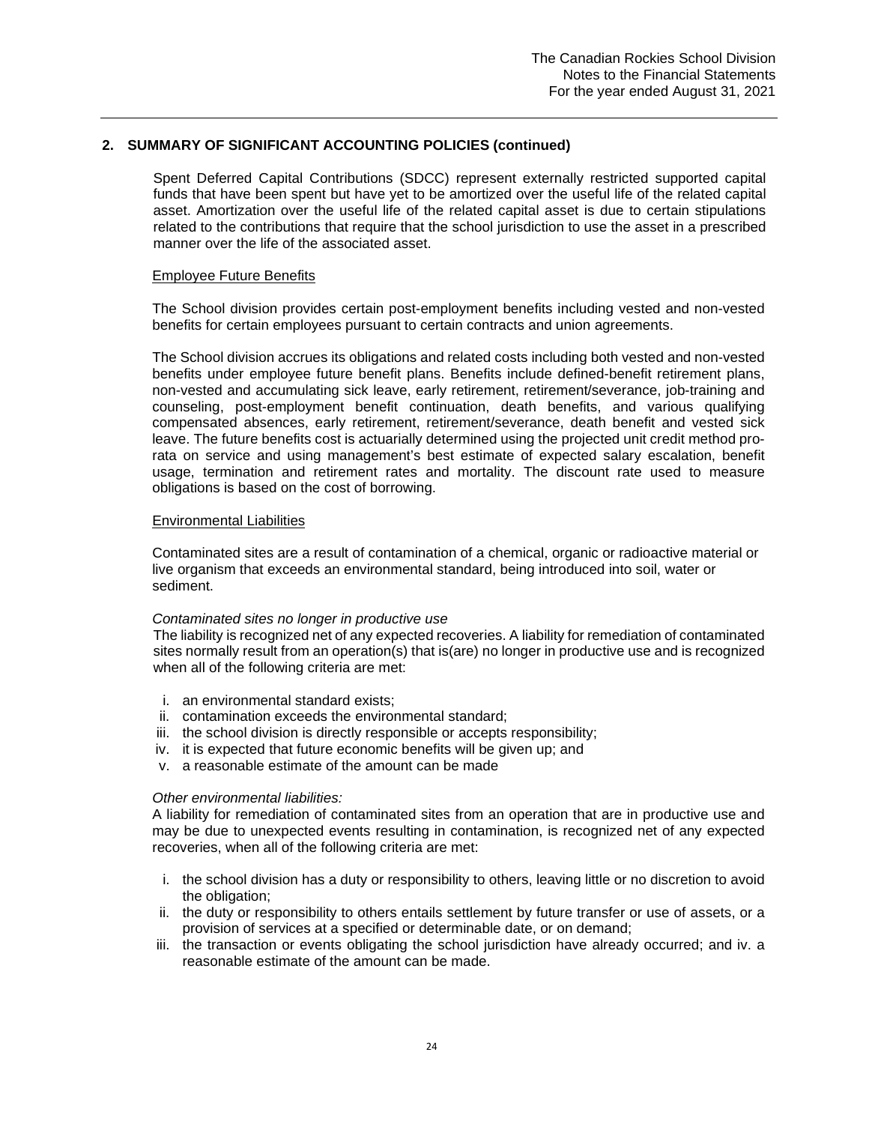Spent Deferred Capital Contributions (SDCC) represent externally restricted supported capital funds that have been spent but have yet to be amortized over the useful life of the related capital asset. Amortization over the useful life of the related capital asset is due to certain stipulations related to the contributions that require that the school jurisdiction to use the asset in a prescribed manner over the life of the associated asset.

#### Employee Future Benefits

The School division provides certain post-employment benefits including vested and non-vested benefits for certain employees pursuant to certain contracts and union agreements.

The School division accrues its obligations and related costs including both vested and non-vested benefits under employee future benefit plans. Benefits include defined-benefit retirement plans, non-vested and accumulating sick leave, early retirement, retirement/severance, job-training and counseling, post-employment benefit continuation, death benefits, and various qualifying compensated absences, early retirement, retirement/severance, death benefit and vested sick leave. The future benefits cost is actuarially determined using the projected unit credit method prorata on service and using management's best estimate of expected salary escalation, benefit usage, termination and retirement rates and mortality. The discount rate used to measure obligations is based on the cost of borrowing.

#### Environmental Liabilities

Contaminated sites are a result of contamination of a chemical, organic or radioactive material or live organism that exceeds an environmental standard, being introduced into soil, water or sediment.

#### *Contaminated sites no longer in productive use*

The liability is recognized net of any expected recoveries. A liability for remediation of contaminated sites normally result from an operation(s) that is(are) no longer in productive use and is recognized when all of the following criteria are met:

- i. an environmental standard exists;
- ii. contamination exceeds the environmental standard;
- iii. the school division is directly responsible or accepts responsibility;
- iv. it is expected that future economic benefits will be given up; and
- v. a reasonable estimate of the amount can be made

#### *Other environmental liabilities:*

A liability for remediation of contaminated sites from an operation that are in productive use and may be due to unexpected events resulting in contamination, is recognized net of any expected recoveries, when all of the following criteria are met:

- i. the school division has a duty or responsibility to others, leaving little or no discretion to avoid the obligation;
- ii. the duty or responsibility to others entails settlement by future transfer or use of assets, or a provision of services at a specified or determinable date, or on demand;
- iii. the transaction or events obligating the school jurisdiction have already occurred; and iv. a reasonable estimate of the amount can be made.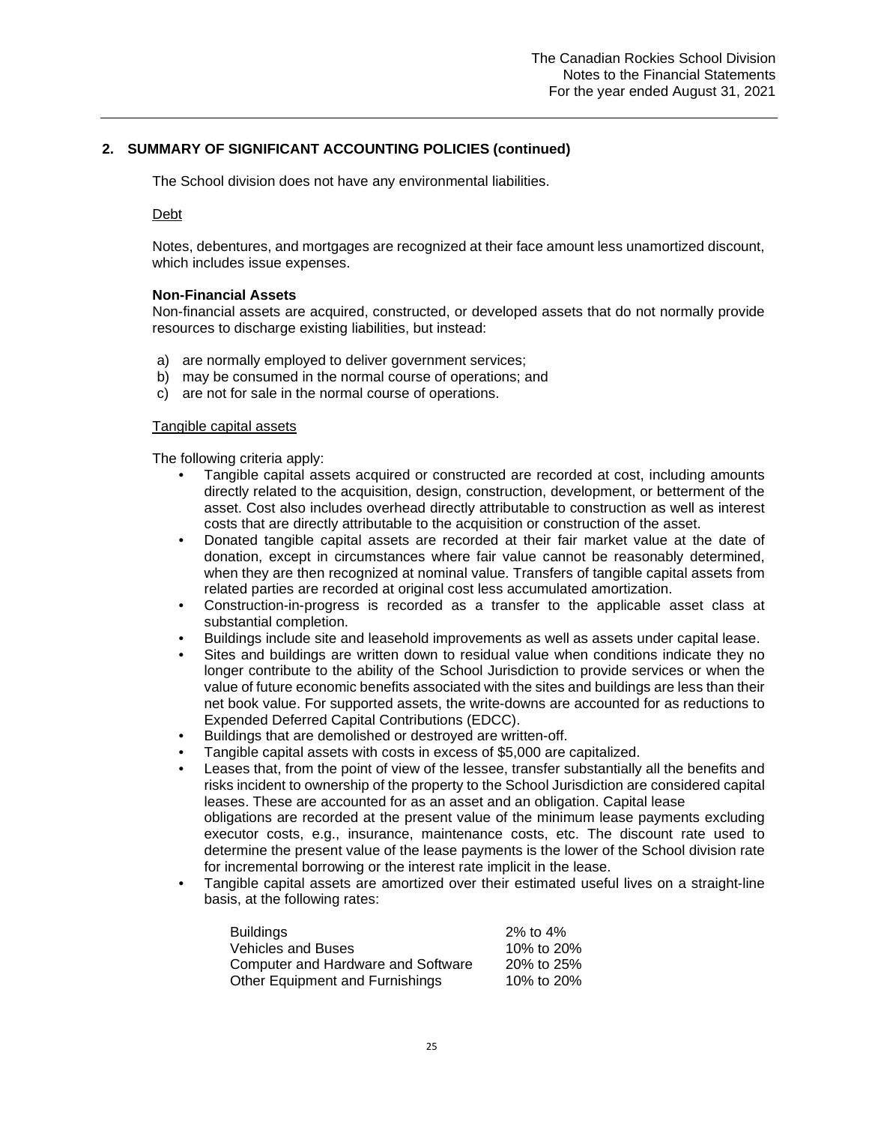The School division does not have any environmental liabilities.

Debt

Notes, debentures, and mortgages are recognized at their face amount less unamortized discount, which includes issue expenses.

#### **Non-Financial Assets**

Non-financial assets are acquired, constructed, or developed assets that do not normally provide resources to discharge existing liabilities, but instead:

- a) are normally employed to deliver government services;
- b) may be consumed in the normal course of operations; and
- c) are not for sale in the normal course of operations.

#### Tangible capital assets

The following criteria apply:

- Tangible capital assets acquired or constructed are recorded at cost, including amounts directly related to the acquisition, design, construction, development, or betterment of the asset. Cost also includes overhead directly attributable to construction as well as interest costs that are directly attributable to the acquisition or construction of the asset.
- Donated tangible capital assets are recorded at their fair market value at the date of donation, except in circumstances where fair value cannot be reasonably determined, when they are then recognized at nominal value. Transfers of tangible capital assets from related parties are recorded at original cost less accumulated amortization.
- Construction-in-progress is recorded as a transfer to the applicable asset class at substantial completion.
- Buildings include site and leasehold improvements as well as assets under capital lease.
- Sites and buildings are written down to residual value when conditions indicate they no longer contribute to the ability of the School Jurisdiction to provide services or when the value of future economic benefits associated with the sites and buildings are less than their net book value. For supported assets, the write-downs are accounted for as reductions to Expended Deferred Capital Contributions (EDCC).
- Buildings that are demolished or destroyed are written-off.
- Tangible capital assets with costs in excess of \$5,000 are capitalized.
- Leases that, from the point of view of the lessee, transfer substantially all the benefits and risks incident to ownership of the property to the School Jurisdiction are considered capital leases. These are accounted for as an asset and an obligation. Capital lease obligations are recorded at the present value of the minimum lease payments excluding executor costs, e.g., insurance, maintenance costs, etc. The discount rate used to determine the present value of the lease payments is the lower of the School division rate for incremental borrowing or the interest rate implicit in the lease.
- Tangible capital assets are amortized over their estimated useful lives on a straight-line basis, at the following rates:

| <b>Buildings</b>                   | $2\%$ to $4\%$ |
|------------------------------------|----------------|
| <b>Vehicles and Buses</b>          | 10% to 20%     |
| Computer and Hardware and Software | 20% to 25%     |
| Other Equipment and Furnishings    | 10% to 20%     |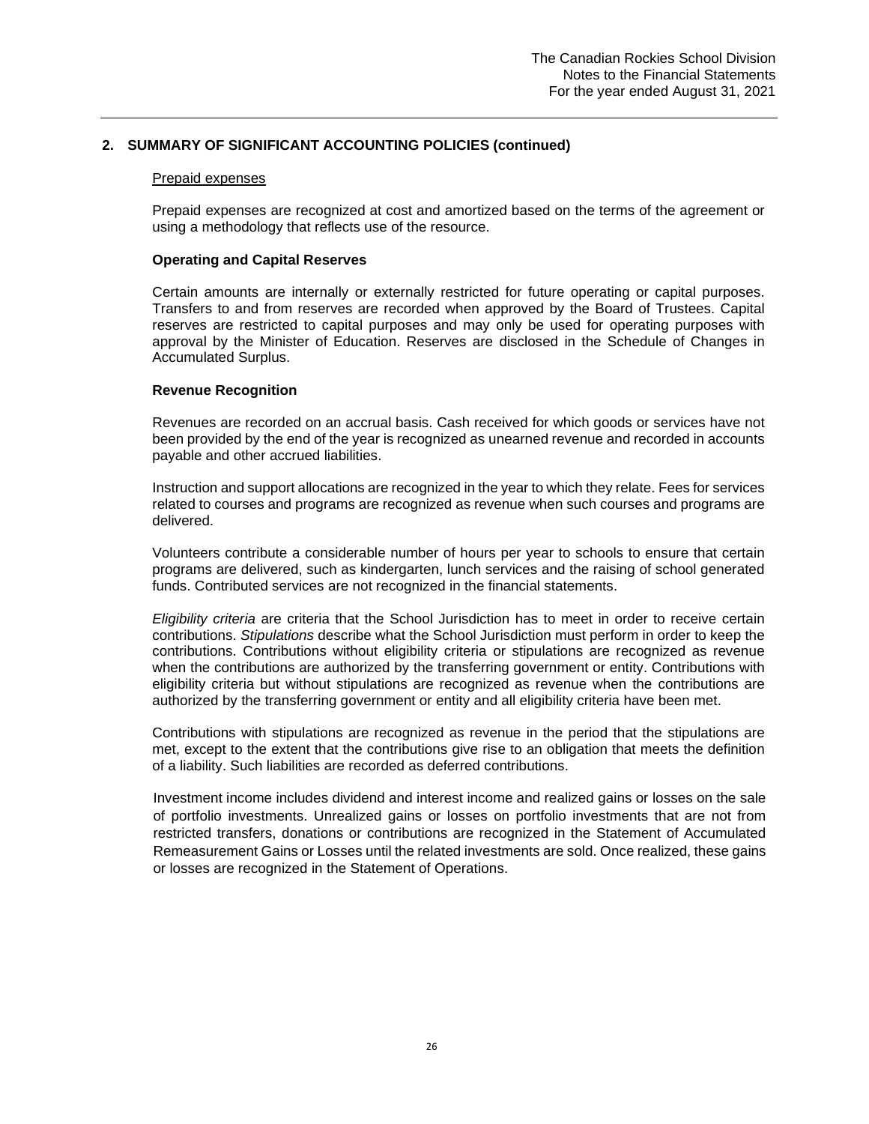#### Prepaid expenses

Prepaid expenses are recognized at cost and amortized based on the terms of the agreement or using a methodology that reflects use of the resource.

#### **Operating and Capital Reserves**

Certain amounts are internally or externally restricted for future operating or capital purposes. Transfers to and from reserves are recorded when approved by the Board of Trustees. Capital reserves are restricted to capital purposes and may only be used for operating purposes with approval by the Minister of Education. Reserves are disclosed in the Schedule of Changes in Accumulated Surplus.

#### **Revenue Recognition**

Revenues are recorded on an accrual basis. Cash received for which goods or services have not been provided by the end of the year is recognized as unearned revenue and recorded in accounts payable and other accrued liabilities.

Instruction and support allocations are recognized in the year to which they relate. Fees for services related to courses and programs are recognized as revenue when such courses and programs are delivered.

Volunteers contribute a considerable number of hours per year to schools to ensure that certain programs are delivered, such as kindergarten, lunch services and the raising of school generated funds. Contributed services are not recognized in the financial statements.

*Eligibility criteria* are criteria that the School Jurisdiction has to meet in order to receive certain contributions. *Stipulations* describe what the School Jurisdiction must perform in order to keep the contributions. Contributions without eligibility criteria or stipulations are recognized as revenue when the contributions are authorized by the transferring government or entity. Contributions with eligibility criteria but without stipulations are recognized as revenue when the contributions are authorized by the transferring government or entity and all eligibility criteria have been met.

Contributions with stipulations are recognized as revenue in the period that the stipulations are met, except to the extent that the contributions give rise to an obligation that meets the definition of a liability. Such liabilities are recorded as deferred contributions.

Investment income includes dividend and interest income and realized gains or losses on the sale of portfolio investments. Unrealized gains or losses on portfolio investments that are not from restricted transfers, donations or contributions are recognized in the Statement of Accumulated Remeasurement Gains or Losses until the related investments are sold. Once realized, these gains or losses are recognized in the Statement of Operations.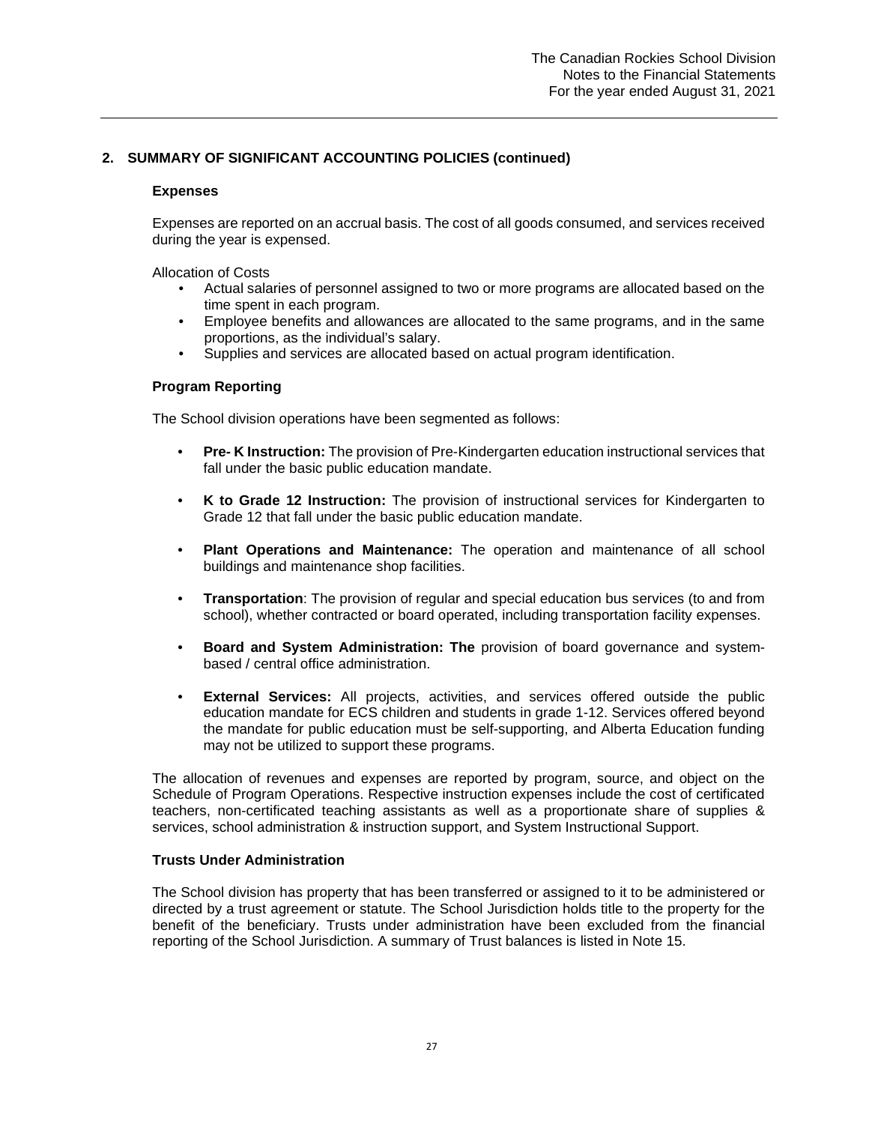#### **Expenses**

Expenses are reported on an accrual basis. The cost of all goods consumed, and services received during the year is expensed.

Allocation of Costs

- Actual salaries of personnel assigned to two or more programs are allocated based on the time spent in each program.
- Employee benefits and allowances are allocated to the same programs, and in the same proportions, as the individual's salary.
- Supplies and services are allocated based on actual program identification.

# **Program Reporting**

The School division operations have been segmented as follows:

- **Pre- K Instruction:** The provision of Pre-Kindergarten education instructional services that fall under the basic public education mandate.
- **K to Grade 12 Instruction:** The provision of instructional services for Kindergarten to Grade 12 that fall under the basic public education mandate.
- **Plant Operations and Maintenance:** The operation and maintenance of all school buildings and maintenance shop facilities.
- **Transportation**: The provision of regular and special education bus services (to and from school), whether contracted or board operated, including transportation facility expenses.
- **Board and System Administration: The** provision of board governance and systembased / central office administration.
- **External Services:** All projects, activities, and services offered outside the public education mandate for ECS children and students in grade 1-12. Services offered beyond the mandate for public education must be self-supporting, and Alberta Education funding may not be utilized to support these programs.

The allocation of revenues and expenses are reported by program, source, and object on the Schedule of Program Operations. Respective instruction expenses include the cost of certificated teachers, non-certificated teaching assistants as well as a proportionate share of supplies & services, school administration & instruction support, and System Instructional Support.

## **Trusts Under Administration**

The School division has property that has been transferred or assigned to it to be administered or directed by a trust agreement or statute. The School Jurisdiction holds title to the property for the benefit of the beneficiary. Trusts under administration have been excluded from the financial reporting of the School Jurisdiction. A summary of Trust balances is listed in Note 15.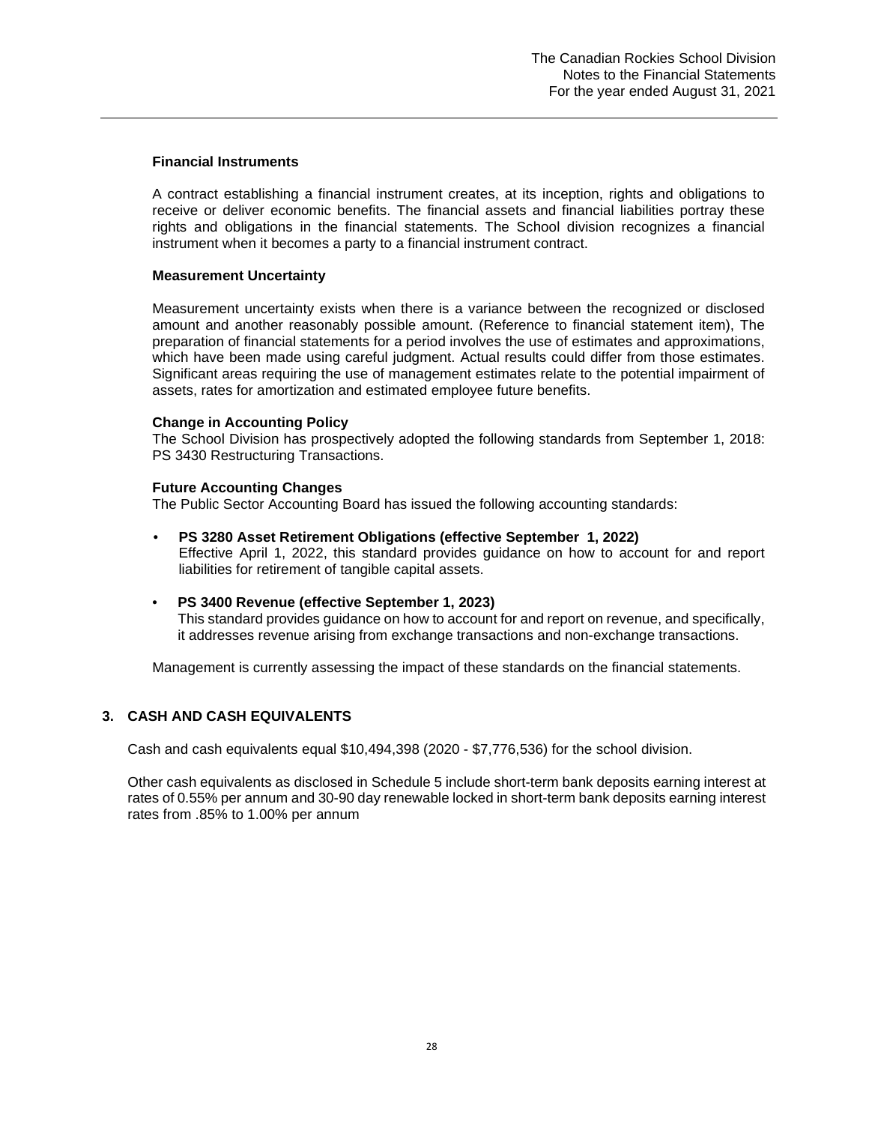# **Financial Instruments**

A contract establishing a financial instrument creates, at its inception, rights and obligations to receive or deliver economic benefits. The financial assets and financial liabilities portray these rights and obligations in the financial statements. The School division recognizes a financial instrument when it becomes a party to a financial instrument contract.

# **Measurement Uncertainty**

Measurement uncertainty exists when there is a variance between the recognized or disclosed amount and another reasonably possible amount. (Reference to financial statement item), The preparation of financial statements for a period involves the use of estimates and approximations, which have been made using careful judgment. Actual results could differ from those estimates. Significant areas requiring the use of management estimates relate to the potential impairment of assets, rates for amortization and estimated employee future benefits.

# **Change in Accounting Policy**

The School Division has prospectively adopted the following standards from September 1, 2018: PS 3430 Restructuring Transactions.

# **Future Accounting Changes**

The Public Sector Accounting Board has issued the following accounting standards:

• **PS 3280 Asset Retirement Obligations (effective September 1, 2022)**  Effective April 1, 2022, this standard provides guidance on how to account for and report liabilities for retirement of tangible capital assets.

#### • **PS 3400 Revenue (effective September 1, 2023)**

This standard provides guidance on how to account for and report on revenue, and specifically, it addresses revenue arising from exchange transactions and non-exchange transactions.

Management is currently assessing the impact of these standards on the financial statements.

# **3. CASH AND CASH EQUIVALENTS**

Cash and cash equivalents equal \$10,494,398 (2020 - \$7,776,536) for the school division.

Other cash equivalents as disclosed in Schedule 5 include short-term bank deposits earning interest at rates of 0.55% per annum and 30-90 day renewable locked in short-term bank deposits earning interest rates from .85% to 1.00% per annum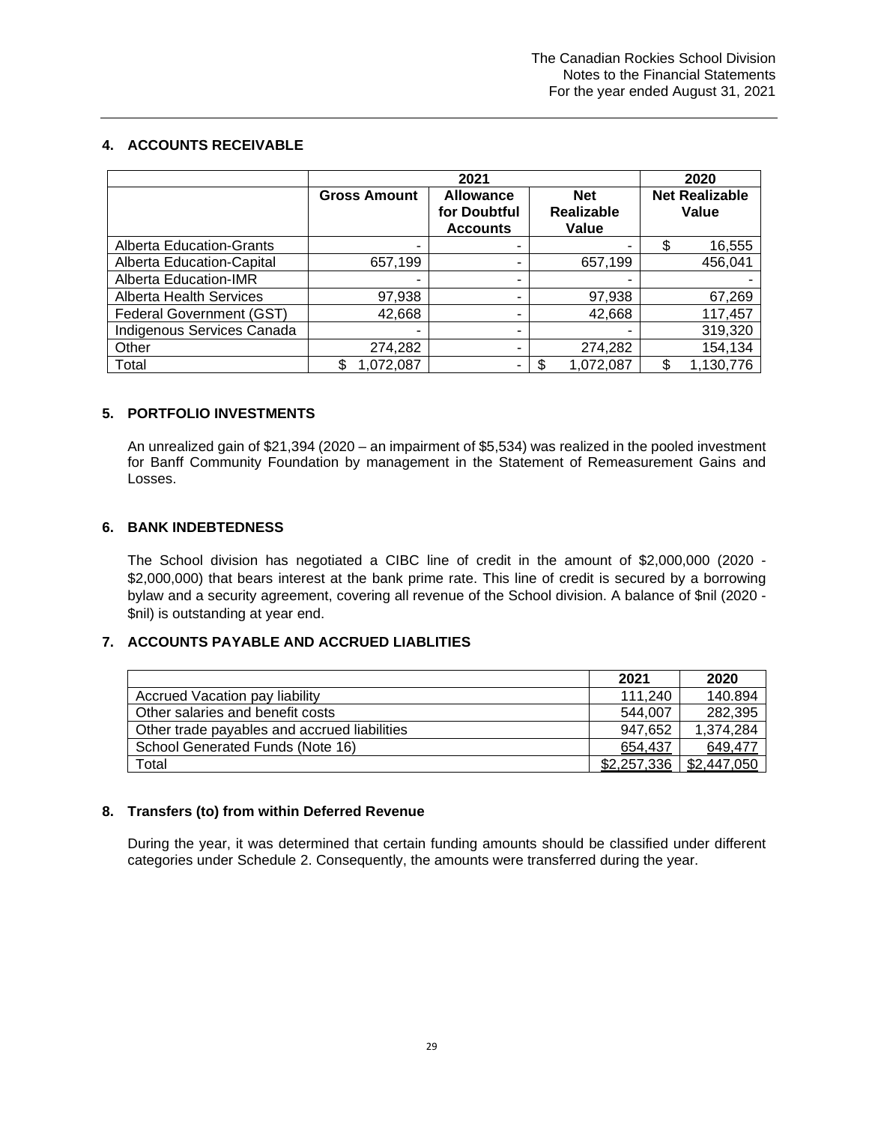# **4. ACCOUNTS RECEIVABLE**

|                                 |                     | 2021                             |                          |                                |  |  |
|---------------------------------|---------------------|----------------------------------|--------------------------|--------------------------------|--|--|
|                                 | <b>Gross Amount</b> | <b>Allowance</b><br>for Doubtful | <b>Net</b><br>Realizable | <b>Net Realizable</b><br>Value |  |  |
|                                 |                     | <b>Accounts</b>                  | Value                    |                                |  |  |
| <b>Alberta Education-Grants</b> |                     | -                                |                          | \$<br>16,555                   |  |  |
| Alberta Education-Capital       | 657,199             |                                  | 657,199                  | 456,041                        |  |  |
| <b>Alberta Education-IMR</b>    |                     |                                  |                          |                                |  |  |
| <b>Alberta Health Services</b>  | 97,938              | $\blacksquare$                   | 97,938                   | 67,269                         |  |  |
| <b>Federal Government (GST)</b> | 42,668              | $\overline{\phantom{0}}$         | 42,668                   | 117,457                        |  |  |
| Indigenous Services Canada      |                     | -                                |                          | 319,320                        |  |  |
| Other                           | 274,282             |                                  | 274,282                  | 154,134                        |  |  |
| Total                           | 1,072,087           | ۰                                | 1,072,087                | 1,130,776<br>S                 |  |  |

# **5. PORTFOLIO INVESTMENTS**

An unrealized gain of \$21,394 (2020 – an impairment of \$5,534) was realized in the pooled investment for Banff Community Foundation by management in the Statement of Remeasurement Gains and Losses.

# **6. BANK INDEBTEDNESS**

The School division has negotiated a CIBC line of credit in the amount of \$2,000,000 (2020 - \$2,000,000) that bears interest at the bank prime rate. This line of credit is secured by a borrowing bylaw and a security agreement, covering all revenue of the School division. A balance of \$nil (2020 - \$nil) is outstanding at year end.

# **7. ACCOUNTS PAYABLE AND ACCRUED LIABLITIES**

|                                              | 2021        | 2020        |
|----------------------------------------------|-------------|-------------|
| Accrued Vacation pay liability               | 111,240     | 140.894     |
| Other salaries and benefit costs             | 544.007     | 282,395     |
| Other trade payables and accrued liabilities | 947.652     | 1,374,284   |
| School Generated Funds (Note 16)             | 654.437     | 649.477     |
| Total                                        | \$2,257,336 | \$2,447,050 |

# **8. Transfers (to) from within Deferred Revenue**

During the year, it was determined that certain funding amounts should be classified under different categories under Schedule 2. Consequently, the amounts were transferred during the year.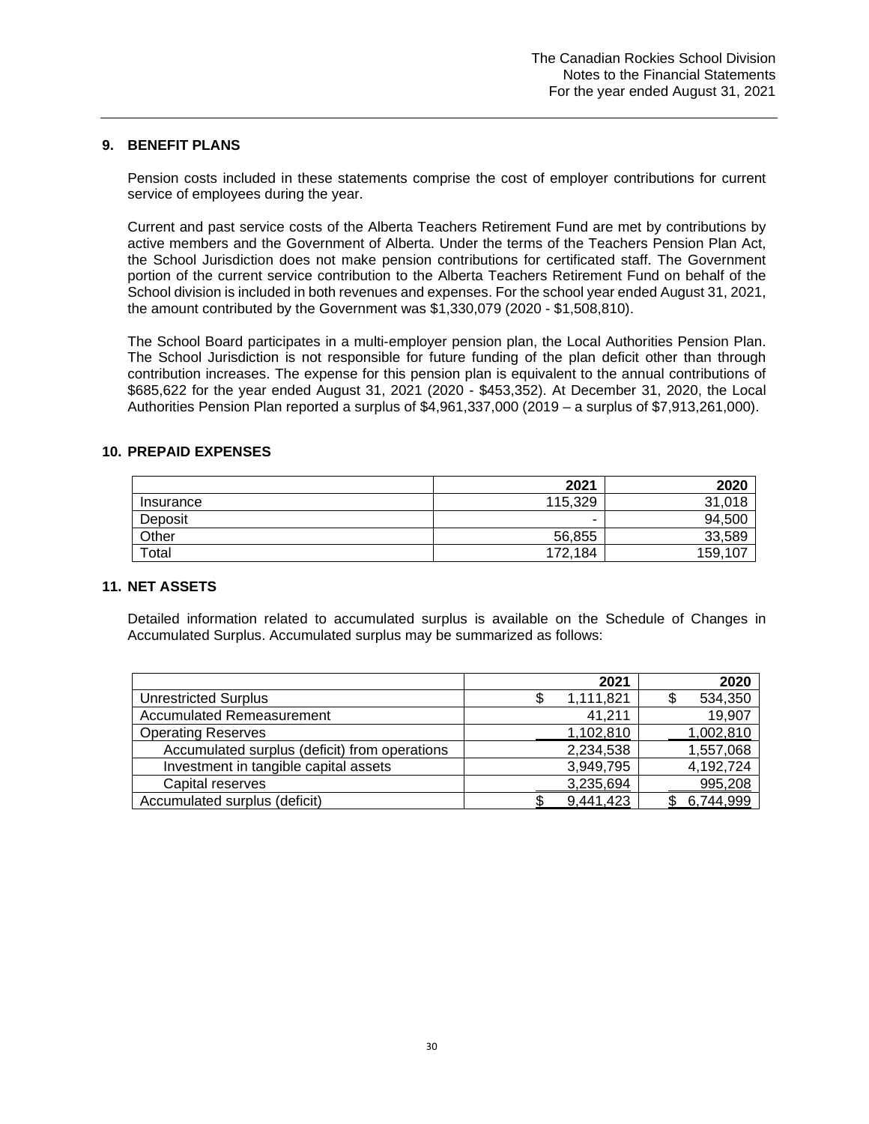# **9. BENEFIT PLANS**

Pension costs included in these statements comprise the cost of employer contributions for current service of employees during the year.

Current and past service costs of the Alberta Teachers Retirement Fund are met by contributions by active members and the Government of Alberta. Under the terms of the Teachers Pension Plan Act, the School Jurisdiction does not make pension contributions for certificated staff. The Government portion of the current service contribution to the Alberta Teachers Retirement Fund on behalf of the School division is included in both revenues and expenses. For the school year ended August 31, 2021, the amount contributed by the Government was \$1,330,079 (2020 - \$1,508,810).

The School Board participates in a multi-employer pension plan, the Local Authorities Pension Plan. The School Jurisdiction is not responsible for future funding of the plan deficit other than through contribution increases. The expense for this pension plan is equivalent to the annual contributions of \$685,622 for the year ended August 31, 2021 (2020 - \$453,352). At December 31, 2020, the Local Authorities Pension Plan reported a surplus of \$4,961,337,000 (2019 – a surplus of \$7,913,261,000).

# **10. PREPAID EXPENSES**

|           | 2021    | 2020    |
|-----------|---------|---------|
| Insurance | 115,329 | 31,018  |
| Deposit   | -       | 94,500  |
| Other     | 56,855  | 33,589  |
| Total     | 172.184 | 159,107 |

# **11. NET ASSETS**

Detailed information related to accumulated surplus is available on the Schedule of Changes in Accumulated Surplus. Accumulated surplus may be summarized as follows:

|                                               | 2021      | 2020      |
|-----------------------------------------------|-----------|-----------|
| <b>Unrestricted Surplus</b>                   | 1,111,821 | 534,350   |
| <b>Accumulated Remeasurement</b>              | 41,211    | 19,907    |
| <b>Operating Reserves</b>                     | 1,102,810 | 1,002,810 |
| Accumulated surplus (deficit) from operations | 2,234,538 | 1,557,068 |
| Investment in tangible capital assets         | 3,949,795 | 4,192,724 |
| Capital reserves                              | 3,235,694 | 995,208   |
| Accumulated surplus (deficit)                 | 9,441,423 | 6,744,999 |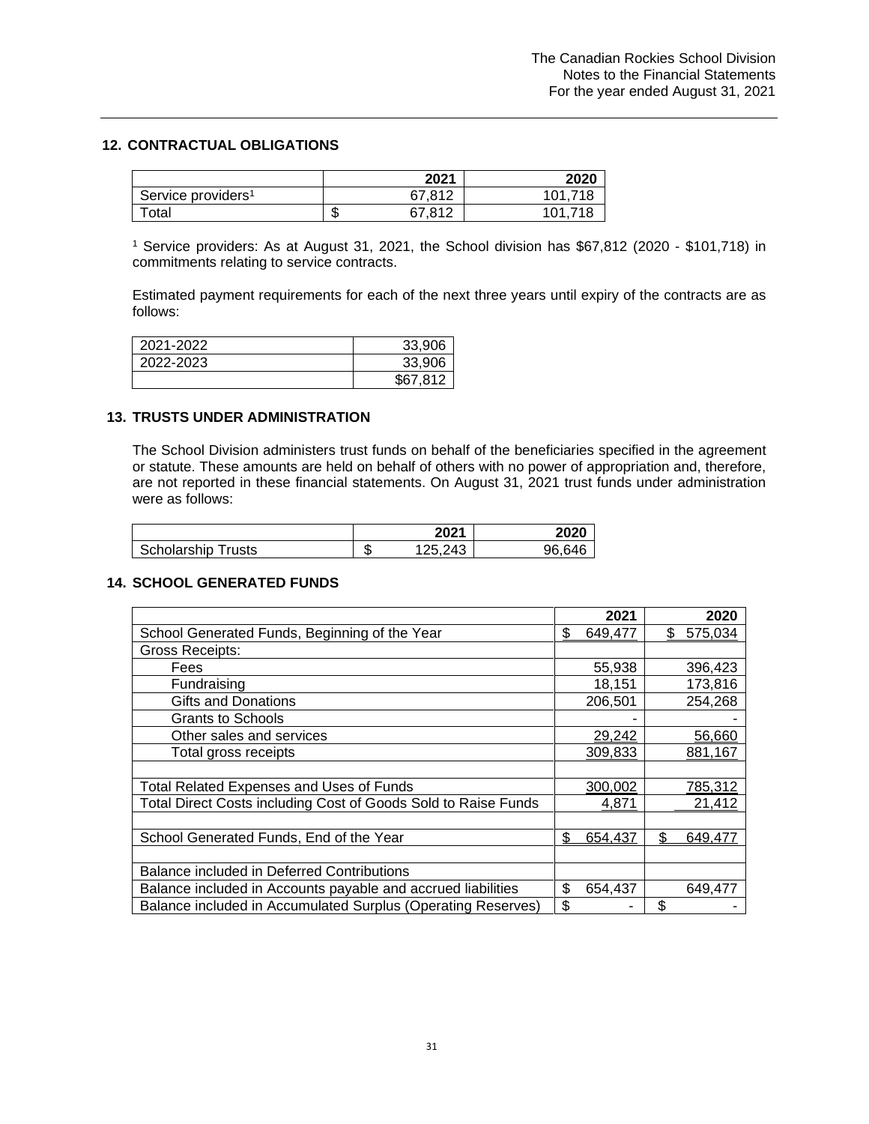# **12. CONTRACTUAL OBLIGATIONS**

|                                |                    | 2021   | 2020    |
|--------------------------------|--------------------|--------|---------|
| Service providers <sup>1</sup> |                    | 67.812 | 101.718 |
| Total                          | $\mathbf{r}$<br>ъD | 67.812 | 101 718 |

1 Service providers: As at August 31, 2021, the School division has \$67,812 (2020 - \$101,718) in commitments relating to service contracts.

Estimated payment requirements for each of the next three years until expiry of the contracts are as follows:

| 2021-2022 | 33.906   |
|-----------|----------|
| 2022-2023 | 33,906   |
|           | \$67.812 |

# **13. TRUSTS UNDER ADMINISTRATION**

The School Division administers trust funds on behalf of the beneficiaries specified in the agreement or statute. These amounts are held on behalf of others with no power of appropriation and, therefore, are not reported in these financial statements. On August 31, 2021 trust funds under administration were as follows:

|                       |          | 2021    | 2020   |
|-----------------------|----------|---------|--------|
| Scholarship<br>Trusts | æ<br>۰IJ | 125.243 | 96.646 |

# **14. SCHOOL GENERATED FUNDS**

|                                                                | 2021          |     | 2020    |
|----------------------------------------------------------------|---------------|-----|---------|
| School Generated Funds, Beginning of the Year                  | \$<br>649,477 | \$. | 575,034 |
| <b>Gross Receipts:</b>                                         |               |     |         |
| Fees                                                           | 55,938        |     | 396,423 |
| Fundraising                                                    | 18,151        |     | 173,816 |
| <b>Gifts and Donations</b>                                     | 206,501       |     | 254,268 |
| <b>Grants to Schools</b>                                       |               |     |         |
| Other sales and services                                       | 29,242        |     | 56,660  |
| Total gross receipts                                           | 309,833       |     | 881,167 |
|                                                                |               |     |         |
| Total Related Expenses and Uses of Funds                       | 300,002       |     | 785,312 |
| Total Direct Costs including Cost of Goods Sold to Raise Funds | 4,871         |     | 21,412  |
|                                                                |               |     |         |
| School Generated Funds, End of the Year                        | \$<br>654,437 | \$  | 649,477 |
|                                                                |               |     |         |
| <b>Balance included in Deferred Contributions</b>              |               |     |         |
| Balance included in Accounts payable and accrued liabilities   | \$<br>654,437 |     | 649,477 |
| Balance included in Accumulated Surplus (Operating Reserves)   | \$            | \$  |         |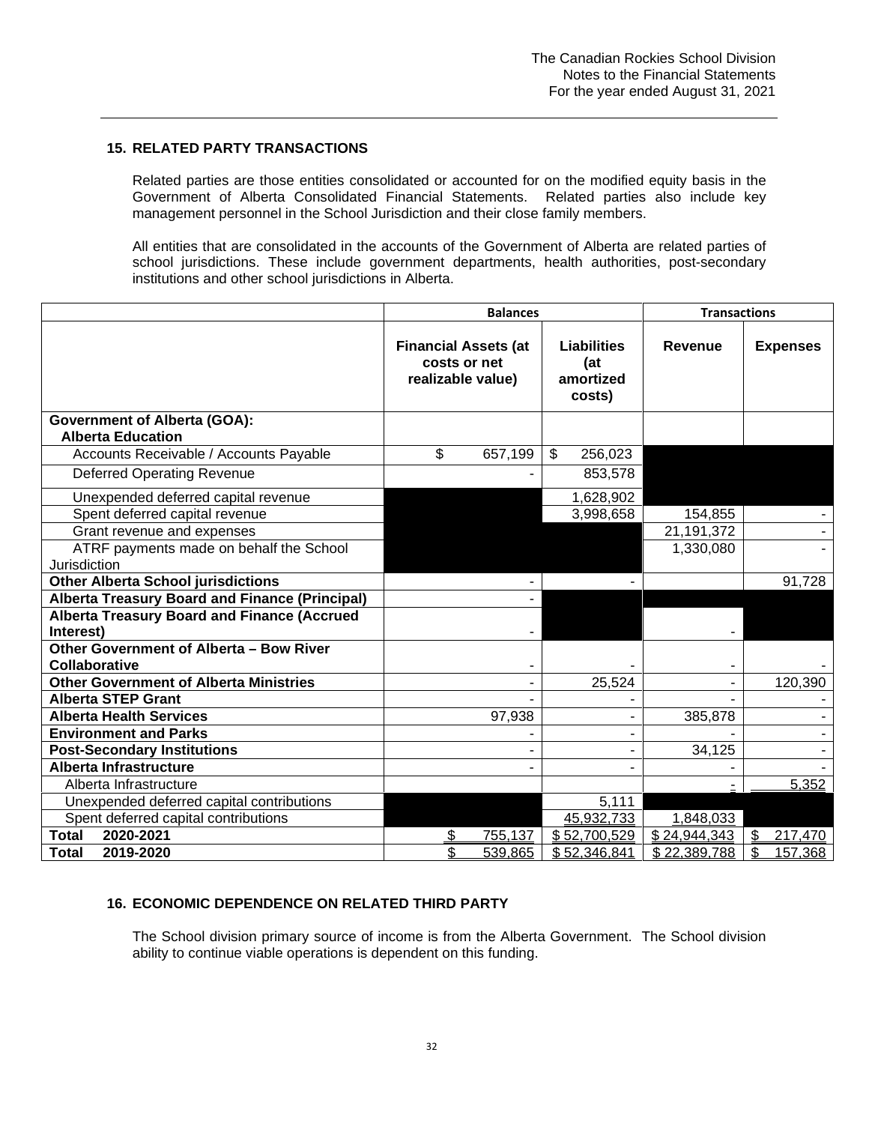# **15. RELATED PARTY TRANSACTIONS**

Related parties are those entities consolidated or accounted for on the modified equity basis in the Government of Alberta Consolidated Financial Statements. Related parties also include key management personnel in the School Jurisdiction and their close family members.

All entities that are consolidated in the accounts of the Government of Alberta are related parties of school jurisdictions. These include government departments, health authorities, post-secondary institutions and other school jurisdictions in Alberta.

|                                                                 | <b>Balances</b>                                                  |         |                                                   | <b>Transactions</b> |                 |  |
|-----------------------------------------------------------------|------------------------------------------------------------------|---------|---------------------------------------------------|---------------------|-----------------|--|
|                                                                 | <b>Financial Assets (at</b><br>costs or net<br>realizable value) |         | <b>Liabilities</b><br>(at)<br>amortized<br>costs) | Revenue             | <b>Expenses</b> |  |
| <b>Government of Alberta (GOA):</b><br><b>Alberta Education</b> |                                                                  |         |                                                   |                     |                 |  |
| Accounts Receivable / Accounts Payable                          | \$                                                               | 657,199 | \$<br>256,023                                     |                     |                 |  |
| <b>Deferred Operating Revenue</b>                               |                                                                  |         | 853,578                                           |                     |                 |  |
| Unexpended deferred capital revenue                             |                                                                  |         | 1,628,902                                         |                     |                 |  |
| Spent deferred capital revenue                                  |                                                                  |         | 3,998,658                                         | 154,855             |                 |  |
| Grant revenue and expenses                                      |                                                                  |         |                                                   | 21,191,372          |                 |  |
| ATRF payments made on behalf the School                         |                                                                  |         |                                                   | 1,330,080           |                 |  |
| Jurisdiction                                                    |                                                                  |         |                                                   |                     |                 |  |
| <b>Other Alberta School jurisdictions</b>                       |                                                                  |         |                                                   |                     | 91,728          |  |
| <b>Alberta Treasury Board and Finance (Principal)</b>           |                                                                  |         |                                                   |                     |                 |  |
| <b>Alberta Treasury Board and Finance (Accrued</b>              |                                                                  |         |                                                   |                     |                 |  |
| Interest)                                                       |                                                                  |         |                                                   |                     |                 |  |
| Other Government of Alberta - Bow River                         |                                                                  |         |                                                   |                     |                 |  |
| <b>Collaborative</b>                                            |                                                                  | ۰       |                                                   |                     |                 |  |
| <b>Other Government of Alberta Ministries</b>                   |                                                                  |         | 25,524                                            |                     | 120,390         |  |
| <b>Alberta STEP Grant</b>                                       |                                                                  |         |                                                   |                     |                 |  |
| <b>Alberta Health Services</b>                                  |                                                                  | 97,938  |                                                   | 385,878             |                 |  |
| <b>Environment and Parks</b>                                    |                                                                  |         |                                                   |                     |                 |  |
| <b>Post-Secondary Institutions</b>                              |                                                                  |         |                                                   | 34,125              |                 |  |
| <b>Alberta Infrastructure</b>                                   |                                                                  |         |                                                   |                     |                 |  |
| Alberta Infrastructure                                          |                                                                  |         |                                                   |                     | 5,352           |  |
| Unexpended deferred capital contributions                       |                                                                  |         | 5,111                                             |                     |                 |  |
| Spent deferred capital contributions                            |                                                                  |         | 45,932,733                                        | 1,848,033           |                 |  |
| 2020-2021<br>Total                                              | \$                                                               | 755,137 | \$52,700,529                                      | \$24,944,343        | 217,470         |  |
| 2019-2020<br>Total                                              | \$                                                               | 539,865 | \$52,346,841                                      | \$22,389,788        | 157,368         |  |

# **16. ECONOMIC DEPENDENCE ON RELATED THIRD PARTY**

The School division primary source of income is from the Alberta Government. The School division ability to continue viable operations is dependent on this funding.